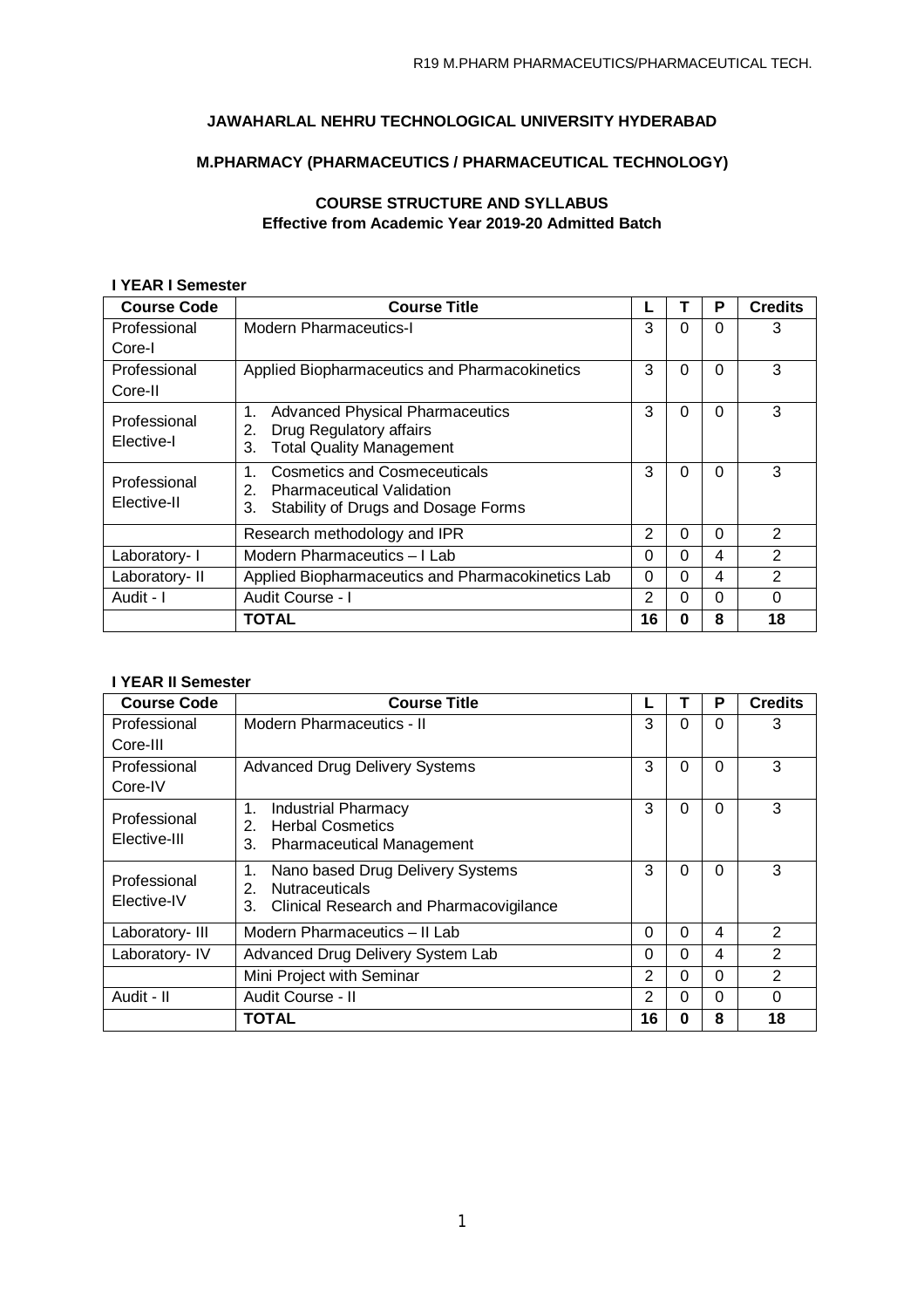# **JAWAHARLAL NEHRU TECHNOLOGICAL UNIVERSITY HYDERABAD**

# **M.PHARMACY (PHARMACEUTICS / PHARMACEUTICAL TECHNOLOGY)**

# **COURSE STRUCTURE AND SYLLABUS Effective from Academic Year 2019-20 Admitted Batch**

### **I YEAR I Semester**

| <b>Course Code</b> | <b>Course Title</b>                                                    |          |          | P        | <b>Credits</b> |
|--------------------|------------------------------------------------------------------------|----------|----------|----------|----------------|
| Professional       | <b>Modern Pharmaceutics-I</b>                                          | 3        | $\Omega$ | $\Omega$ | 3              |
| Core-I             |                                                                        |          |          |          |                |
| Professional       | Applied Biopharmaceutics and Pharmacokinetics                          | 3        | 0        | $\Omega$ | 3              |
| Core-II            |                                                                        |          |          |          |                |
| Professional       | <b>Advanced Physical Pharmaceutics</b><br>1.                           | 3        | 0        | 0        | 3              |
| Elective-I         | Drug Regulatory affairs<br>2.<br><b>Total Quality Management</b><br>3. |          |          |          |                |
|                    |                                                                        |          |          |          |                |
| Professional       | <b>Cosmetics and Cosmeceuticals</b><br>1.                              | 3        | $\Omega$ | $\Omega$ | 3              |
| Elective-II        | <b>Pharmaceutical Validation</b><br>2.                                 |          |          |          |                |
|                    | Stability of Drugs and Dosage Forms<br>3.                              |          |          |          |                |
|                    | Research methodology and IPR                                           | 2        | 0        | $\Omega$ | $\mathcal{P}$  |
| Laboratory- I      | Modern Pharmaceutics - I Lab                                           | $\Omega$ | 0        | 4        | $\mathfrak{p}$ |
| Laboratory- II     | Applied Biopharmaceutics and Pharmacokinetics Lab                      | $\Omega$ | $\Omega$ | 4        | $\overline{2}$ |
| Audit - I          | Audit Course - I                                                       | 2        | 0        | $\Omega$ | 0              |
|                    | TOTAL                                                                  | 16       | Ω        | 8        | 18             |

## **I YEAR II Semester**

| <b>Course Code</b> | <b>Course Title</b>                           |                |          | P        | <b>Credits</b> |
|--------------------|-----------------------------------------------|----------------|----------|----------|----------------|
| Professional       | Modern Pharmaceutics - II                     | 3              | 0        | 0        | 3              |
| Core-III           |                                               |                |          |          |                |
| Professional       | <b>Advanced Drug Delivery Systems</b>         | 3              | 0        | $\Omega$ | 3              |
| Core-IV            |                                               |                |          |          |                |
| Professional       | Industrial Pharmacy<br>1.                     | 3              | $\Omega$ | $\Omega$ | 3              |
| Elective-III       | <b>Herbal Cosmetics</b><br>2.                 |                |          |          |                |
|                    | 3.<br><b>Pharmaceutical Management</b>        |                |          |          |                |
| Professional       | Nano based Drug Delivery Systems<br>1.        | 3              | 0        | $\Omega$ | 3              |
| Elective-IV        | <b>Nutraceuticals</b><br>2.                   |                |          |          |                |
|                    | Clinical Research and Pharmacovigilance<br>3. |                |          |          |                |
| Laboratory-III     | Modern Pharmaceutics - II Lab                 | 0              | $\Omega$ | 4        | 2              |
| Laboratory- IV     | Advanced Drug Delivery System Lab             | 0              | $\Omega$ | 4        | $\overline{2}$ |
|                    | Mini Project with Seminar                     | 2              | $\Omega$ | $\Omega$ | 2              |
| Audit - II         | Audit Course - II                             | $\overline{2}$ | 0        | $\Omega$ | 0              |
|                    | <b>TOTAL</b>                                  | 16             | 0        | 8        | 18             |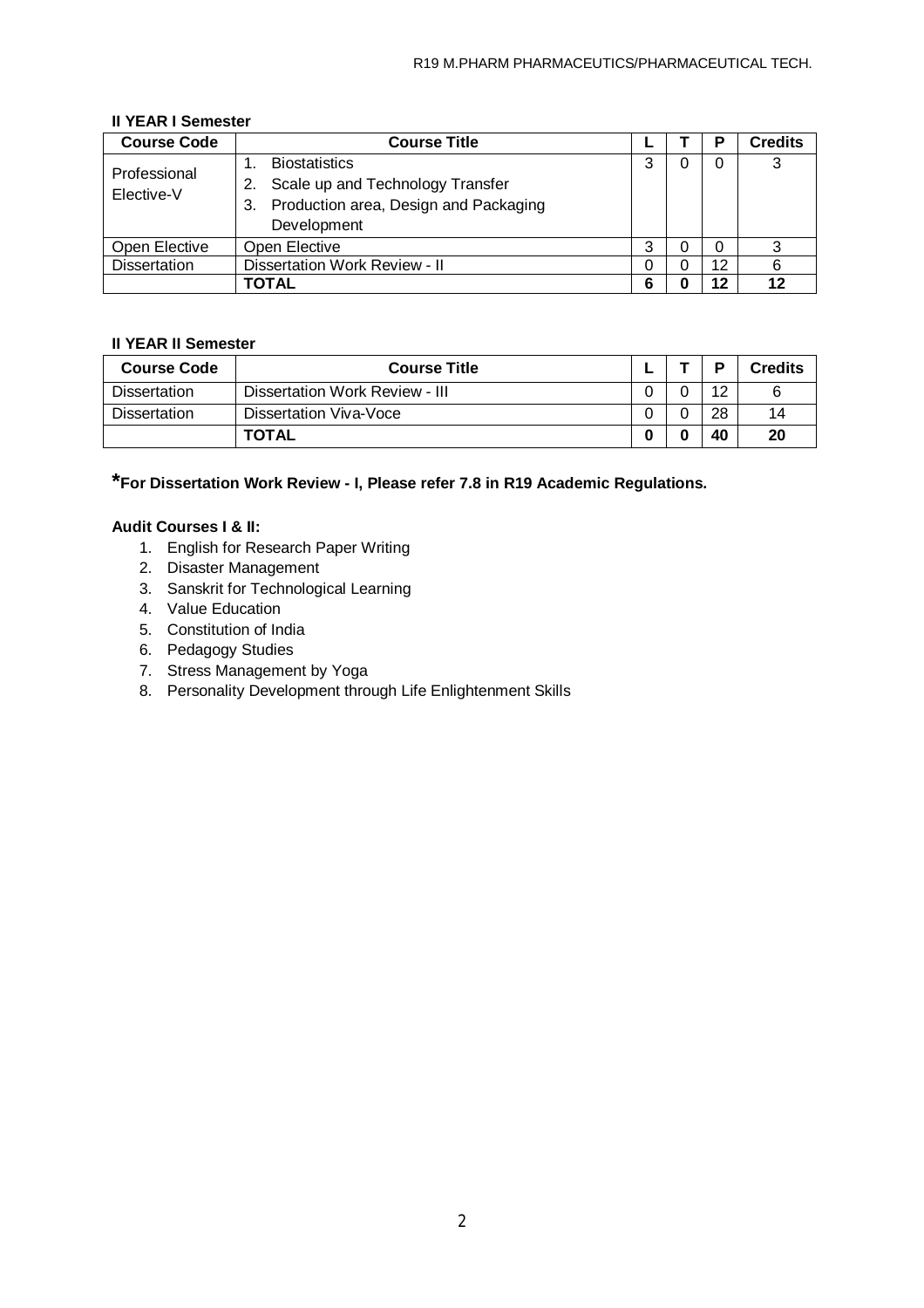| <b>Course Code</b>         | <b>Course Title</b>                                                                                                          |   | Р  | <b>Credits</b> |
|----------------------------|------------------------------------------------------------------------------------------------------------------------------|---|----|----------------|
| Professional<br>Elective-V | <b>Biostatistics</b><br>Scale up and Technology Transfer<br>2.<br>Production area, Design and Packaging<br>3.<br>Development |   |    | 3              |
| Open Elective              | Open Elective                                                                                                                | ົ |    | າ              |
| <b>Dissertation</b>        | Dissertation Work Review - II                                                                                                | 0 | 12 |                |
|                            | TOTAL                                                                                                                        | 6 | 12 | 12             |

## **II YEAR I Semester**

## **II YEAR II Semester**

| <b>Course Code</b>  | <b>Course Title</b>            |  | D  | <b>Credits</b> |
|---------------------|--------------------------------|--|----|----------------|
| <b>Dissertation</b> | Dissertation Work Review - III |  | 12 |                |
| <b>Dissertation</b> | Dissertation Viva-Voce         |  | 28 | 14             |
|                     | <b>TOTAL</b>                   |  | 40 | 20             |

**\*For Dissertation Work Review - I, Please refer 7.8 in R19 Academic Regulations.**

## **Audit Courses I & II:**

- 1. English for Research Paper Writing
- 2. Disaster Management
- 3. Sanskrit for Technological Learning
- 4. Value Education
- 5. Constitution of India
- 6. Pedagogy Studies
- 7. Stress Management by Yoga
- 8. Personality Development through Life Enlightenment Skills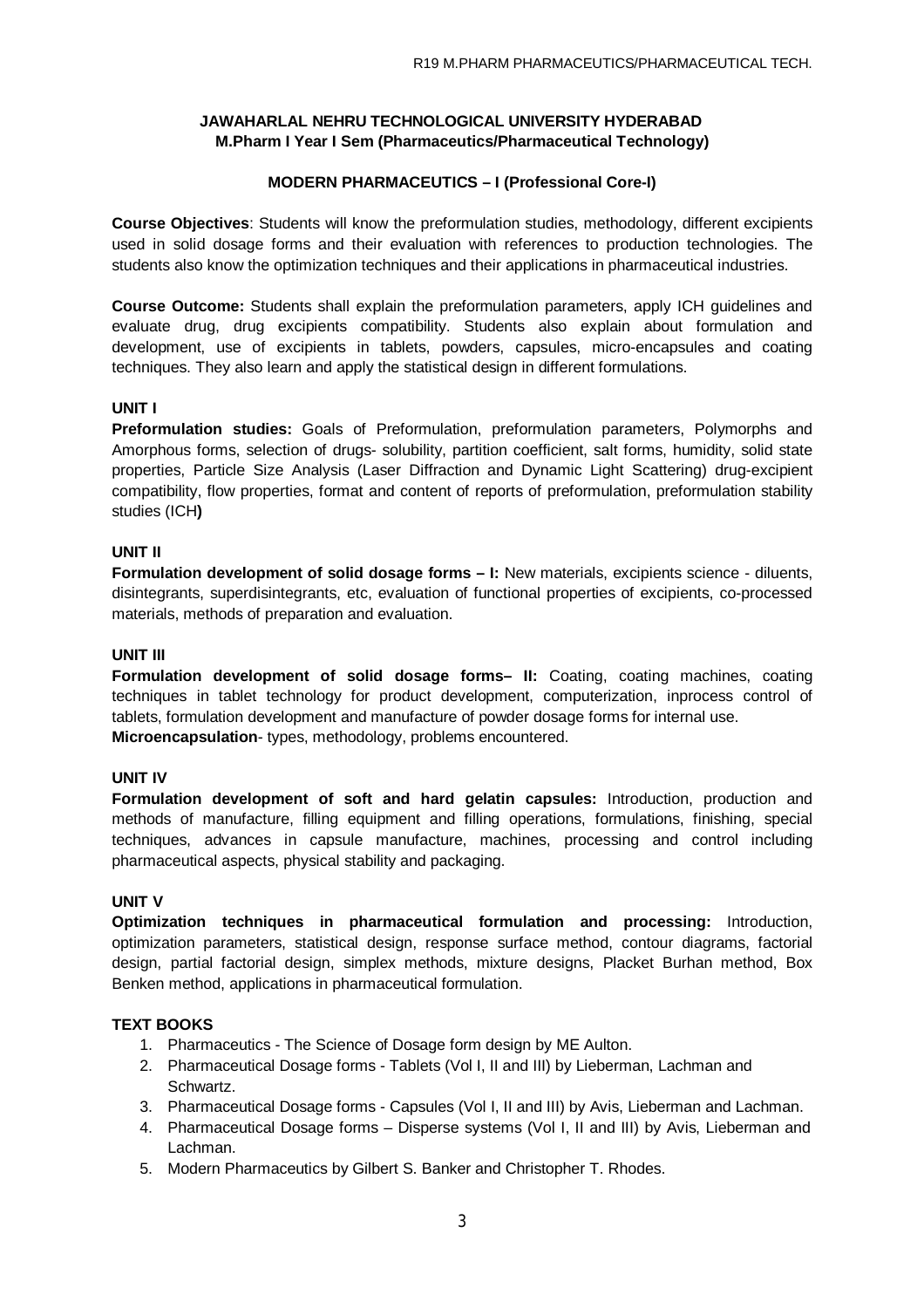## **MODERN PHARMACEUTICS – I (Professional Core-I)**

**Course Objectives**: Students will know the preformulation studies, methodology, different excipients used in solid dosage forms and their evaluation with references to production technologies. The students also know the optimization techniques and their applications in pharmaceutical industries.

**Course Outcome:** Students shall explain the preformulation parameters, apply ICH guidelines and evaluate drug, drug excipients compatibility. Students also explain about formulation and development, use of excipients in tablets, powders, capsules, micro-encapsules and coating techniques. They also learn and apply the statistical design in different formulations.

## **UNIT I**

**Preformulation studies:** Goals of Preformulation, preformulation parameters, Polymorphs and Amorphous forms, selection of drugs- solubility, partition coefficient, salt forms, humidity, solid state properties, Particle Size Analysis (Laser Diffraction and Dynamic Light Scattering) drug-excipient compatibility, flow properties, format and content of reports of preformulation, preformulation stability studies (ICH**)**

### **UNIT II**

**Formulation development of solid dosage forms – I:** New materials, excipients science - diluents, disintegrants, superdisintegrants, etc, evaluation of functional properties of excipients, co-processed materials, methods of preparation and evaluation.

### **UNIT III**

**Formulation development of solid dosage forms- II:** Coating, coating machines, coating techniques in tablet technology for product development, computerization, inprocess control of tablets, formulation development and manufacture of powder dosage forms for internal use. **Microencapsulation**- types, methodology, problems encountered.

### **UNIT IV**

**Formulation development of soft and hard gelatin capsules:** Introduction, production and methods of manufacture, filling equipment and filling operations, formulations, finishing, special techniques, advances in capsule manufacture, machines, processing and control including pharmaceutical aspects, physical stability and packaging.

### **UNIT V**

**Optimization techniques in pharmaceutical formulation and processing:** Introduction, optimization parameters, statistical design, response surface method, contour diagrams, factorial design, partial factorial design, simplex methods, mixture designs, Placket Burhan method, Box Benken method, applications in pharmaceutical formulation.

## **TEXT BOOKS**

- 1. Pharmaceutics The Science of Dosage form design by ME Aulton.
- 2. Pharmaceutical Dosage forms Tablets (Vol I, II and III) by Lieberman, Lachman and Schwartz.
- 3. Pharmaceutical Dosage forms Capsules (Vol I, II and III) by Avis, Lieberman and Lachman.
- 4. Pharmaceutical Dosage forms Disperse systems (Vol I, II and III) by Avis, Lieberman and Lachman.
- 5. Modern Pharmaceutics by Gilbert S. Banker and Christopher T. Rhodes.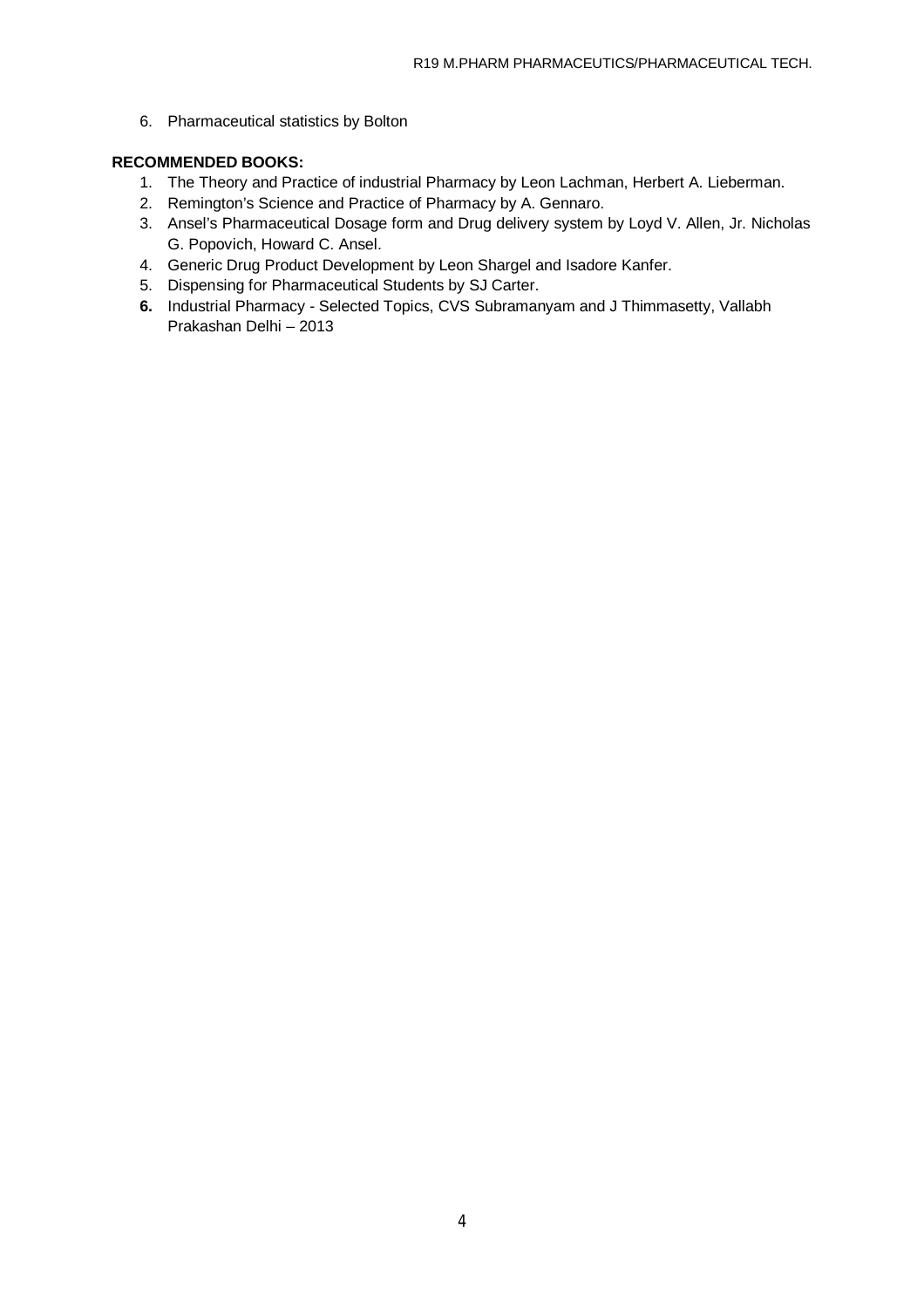6. Pharmaceutical statistics by Bolton

## **RECOMMENDED BOOKS:**

- 1. The Theory and Practice of industrial Pharmacy by Leon Lachman, Herbert A. Lieberman.
- 2. Remington's Science and Practice of Pharmacy by A. Gennaro.
- 3. Ansel's Pharmaceutical Dosage form and Drug delivery system by Loyd V. Allen, Jr. Nicholas G. Popovich, Howard C. Ansel.
- 4. Generic Drug Product Development by Leon Shargel and Isadore Kanfer.
- 5. Dispensing for Pharmaceutical Students by SJ Carter.
- **6.** Industrial Pharmacy Selected Topics, CVS Subramanyam and J Thimmasetty, Vallabh Prakashan Delhi – 2013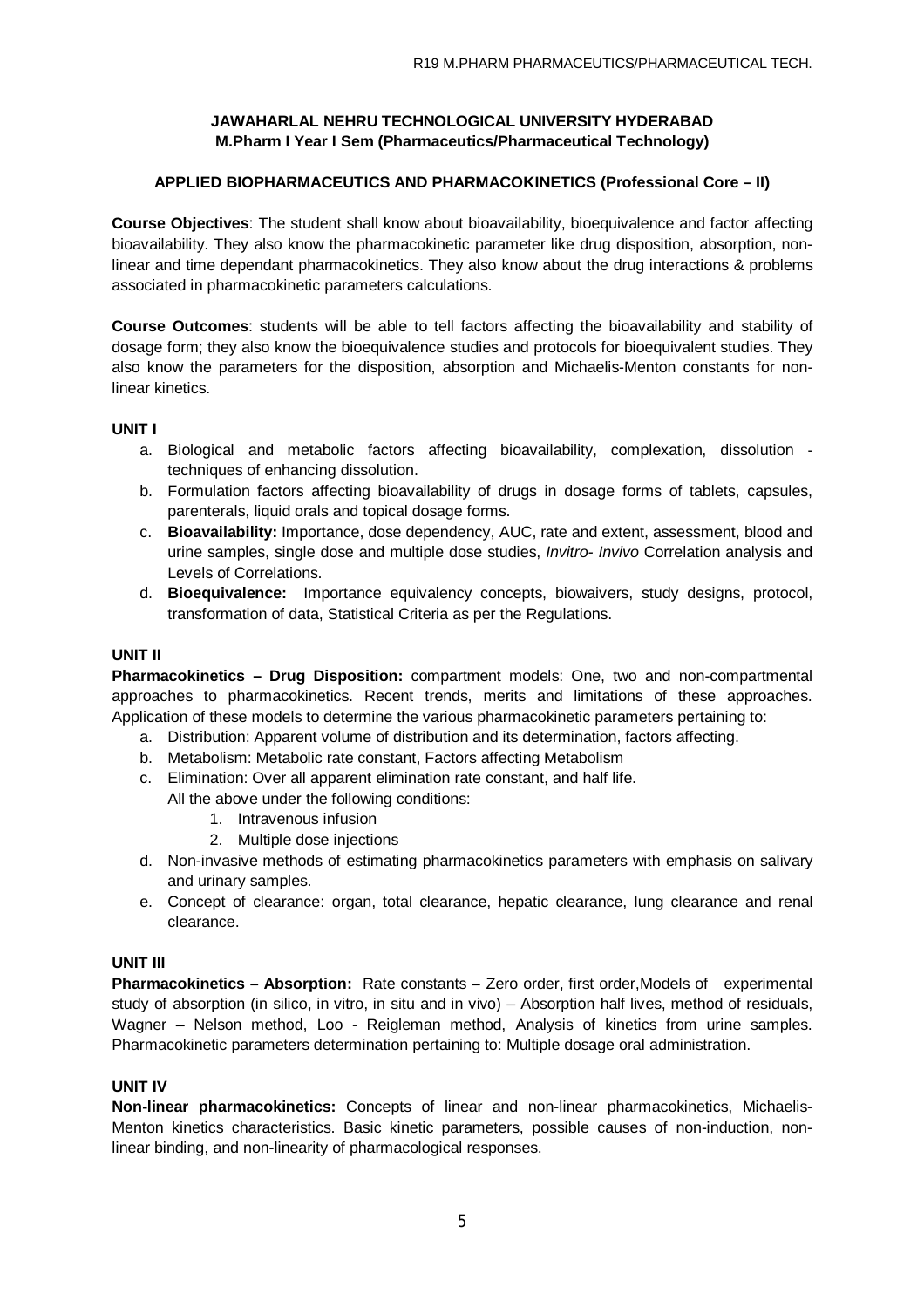## **APPLIED BIOPHARMACEUTICS AND PHARMACOKINETICS (Professional Core – II)**

**Course Objectives**: The student shall know about bioavailability, bioequivalence and factor affecting bioavailability. They also know the pharmacokinetic parameter like drug disposition, absorption, nonlinear and time dependant pharmacokinetics. They also know about the drug interactions & problems associated in pharmacokinetic parameters calculations.

**Course Outcomes**: students will be able to tell factors affecting the bioavailability and stability of dosage form; they also know the bioequivalence studies and protocols for bioequivalent studies. They also know the parameters for the disposition, absorption and Michaelis-Menton constants for nonlinear kinetics.

### **UNIT I**

- a. Biological and metabolic factors affecting bioavailability, complexation, dissolution techniques of enhancing dissolution.
- b. Formulation factors affecting bioavailability of drugs in dosage forms of tablets, capsules, parenterals, liquid orals and topical dosage forms.
- c. **Bioavailability:** Importance, dose dependency, AUC, rate and extent, assessment, blood and urine samples, single dose and multiple dose studies, *Invitro- Invivo* Correlation analysis and Levels of Correlations.
- d. **Bioequivalence:** Importance equivalency concepts, biowaivers, study designs, protocol, transformation of data, Statistical Criteria as per the Regulations.

## **UNIT II**

**Pharmacokinetics – Drug Disposition:** compartment models: One, two and non-compartmental approaches to pharmacokinetics. Recent trends, merits and limitations of these approaches. Application of these models to determine the various pharmacokinetic parameters pertaining to:

- a. Distribution: Apparent volume of distribution and its determination, factors affecting.
- b. Metabolism: Metabolic rate constant, Factors affecting Metabolism
- c. Elimination: Over all apparent elimination rate constant, and half life. All the above under the following conditions:
	- 1. Intravenous infusion
	- 2. Multiple dose injections
- d. Non-invasive methods of estimating pharmacokinetics parameters with emphasis on salivary and urinary samples.
- e. Concept of clearance: organ, total clearance, hepatic clearance, lung clearance and renal clearance.

### **UNIT III**

**Pharmacokinetics – Absorption:** Rate constants – Zero order, first order, Models of experimental study of absorption (in silico, in vitro, in situ and in vivo) – Absorption half lives, method of residuals, Wagner – Nelson method, Loo - Reigleman method, Analysis of kinetics from urine samples. Pharmacokinetic parameters determination pertaining to: Multiple dosage oral administration.

### **UNIT IV**

**Non-linear pharmacokinetics:** Concepts of linear and non-linear pharmacokinetics, Michaelis-Menton kinetics characteristics. Basic kinetic parameters, possible causes of non-induction, nonlinear binding, and non-linearity of pharmacological responses.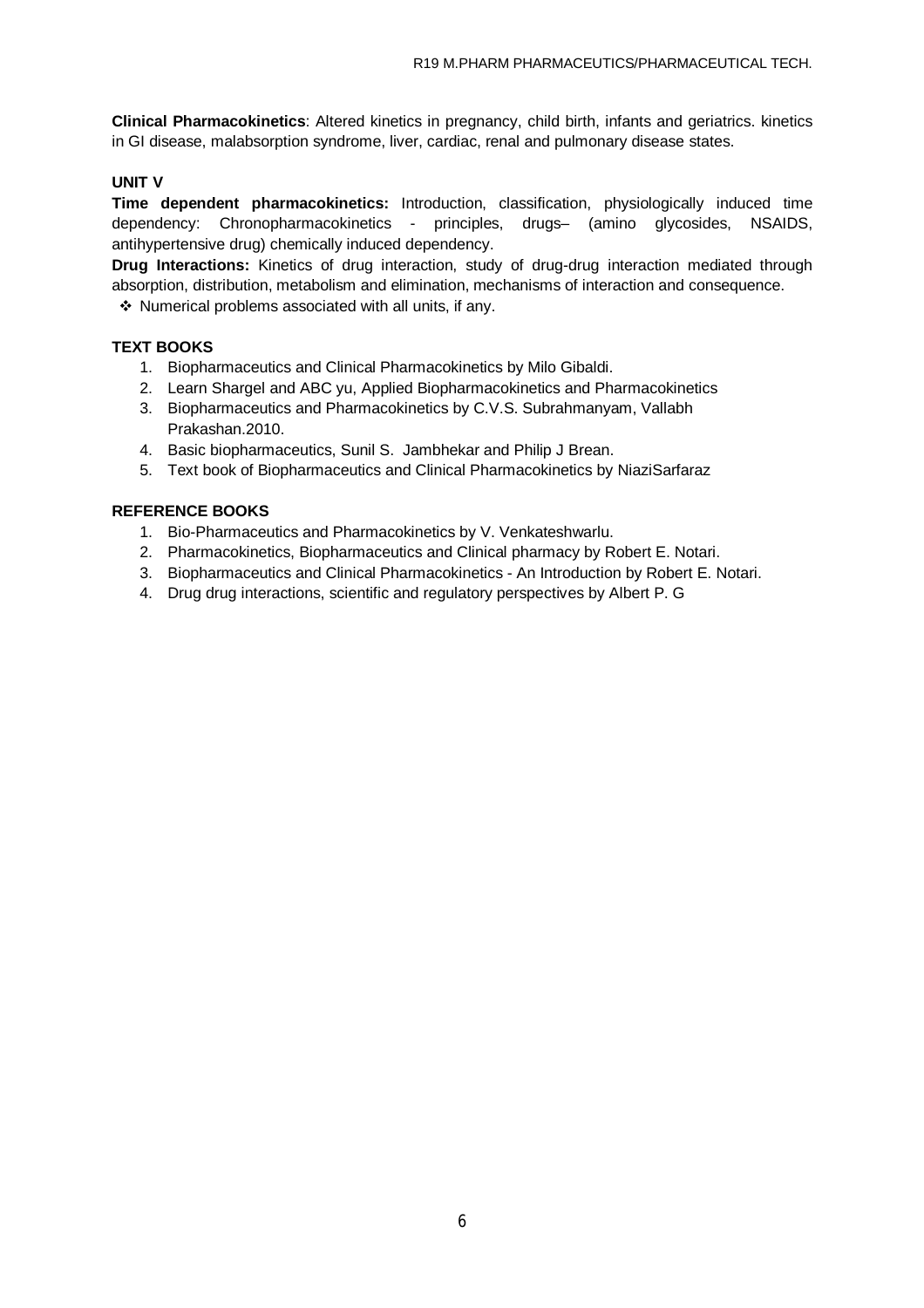**Clinical Pharmacokinetics**: Altered kinetics in pregnancy, child birth, infants and geriatrics. kinetics in GI disease, malabsorption syndrome, liver, cardiac, renal and pulmonary disease states.

### **UNIT V**

**Time dependent pharmacokinetics:** Introduction, classification, physiologically induced time dependency: Chronopharmacokinetics - principles, drugs– (amino glycosides, NSAIDS, antihypertensive drug) chemically induced dependency.

**Drug Interactions:** Kinetics of drug interaction, study of drug-drug interaction mediated through absorption, distribution, metabolism and elimination, mechanisms of interaction and consequence.

Numerical problems associated with all units, if any.

### **TEXT BOOKS**

- 1. Biopharmaceutics and Clinical Pharmacokinetics by Milo Gibaldi.
- 2. Learn Shargel and ABC yu, Applied Biopharmacokinetics and Pharmacokinetics
- 3. Biopharmaceutics and Pharmacokinetics by C.V.S. Subrahmanyam, Vallabh Prakashan.2010.
- 4. Basic biopharmaceutics, Sunil S. Jambhekar and Philip J Brean.
- 5. Text book of Biopharmaceutics and Clinical Pharmacokinetics by NiaziSarfaraz

### **REFERENCE BOOKS**

- 1. Bio-Pharmaceutics and Pharmacokinetics by V. Venkateshwarlu.
- 2. Pharmacokinetics, Biopharmaceutics and Clinical pharmacy by Robert E. Notari.
- 3. Biopharmaceutics and Clinical Pharmacokinetics An Introduction by Robert E. Notari.
- 4. Drug drug interactions, scientific and regulatory perspectives by Albert P. G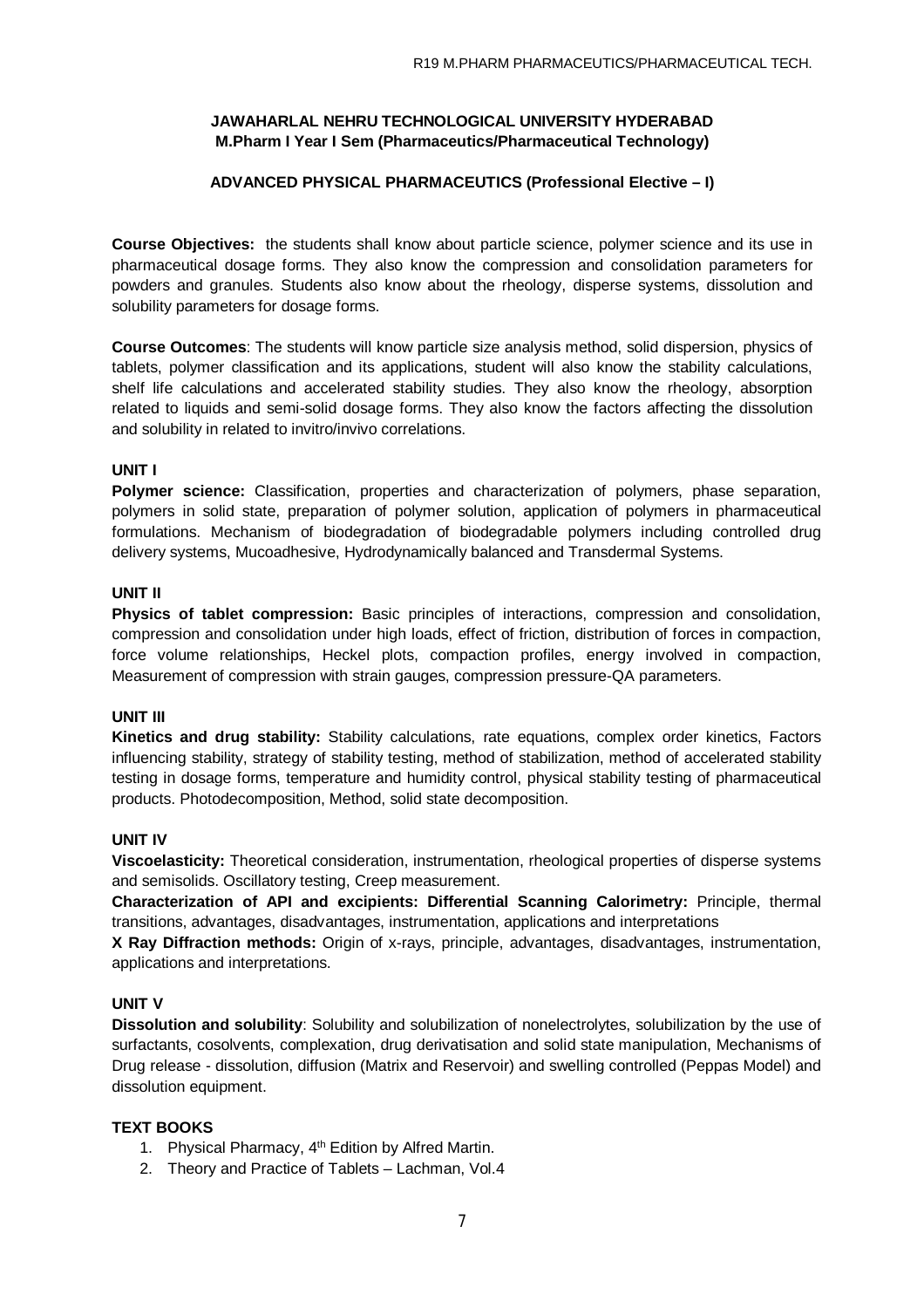### **ADVANCED PHYSICAL PHARMACEUTICS (Professional Elective – I)**

**Course Objectives:** the students shall know about particle science, polymer science and its use in pharmaceutical dosage forms. They also know the compression and consolidation parameters for powders and granules. Students also know about the rheology, disperse systems, dissolution and solubility parameters for dosage forms.

**Course Outcomes**: The students will know particle size analysis method, solid dispersion, physics of tablets, polymer classification and its applications, student will also know the stability calculations, shelf life calculations and accelerated stability studies. They also know the rheology, absorption related to liquids and semi-solid dosage forms. They also know the factors affecting the dissolution and solubility in related to invitro/invivo correlations.

### **UNIT I**

**Polymer science:** Classification, properties and characterization of polymers, phase separation, polymers in solid state, preparation of polymer solution, application of polymers in pharmaceutical formulations. Mechanism of biodegradation of biodegradable polymers including controlled drug delivery systems, Mucoadhesive, Hydrodynamically balanced and Transdermal Systems.

#### **UNIT II**

**Physics of tablet compression:** Basic principles of interactions, compression and consolidation, compression and consolidation under high loads, effect of friction, distribution of forces in compaction, force volume relationships, Heckel plots, compaction profiles, energy involved in compaction, Measurement of compression with strain gauges, compression pressure-QA parameters.

### **UNIT III**

**Kinetics and drug stability:** Stability calculations, rate equations, complex order kinetics, Factors influencing stability, strategy of stability testing, method of stabilization, method of accelerated stability testing in dosage forms, temperature and humidity control, physical stability testing of pharmaceutical products. Photodecomposition, Method, solid state decomposition.

### **UNIT IV**

**Viscoelasticity:** Theoretical consideration, instrumentation, rheological properties of disperse systems and semisolids. Oscillatory testing, Creep measurement.

**Characterization of API and excipients: Differential Scanning Calorimetry:** Principle, thermal transitions, advantages, disadvantages, instrumentation, applications and interpretations

**X Ray Diffraction methods:** Origin of x-rays, principle, advantages, disadvantages, instrumentation, applications and interpretations.

### **UNIT V**

**Dissolution and solubility**: Solubility and solubilization of nonelectrolytes, solubilization by the use of surfactants, cosolvents, complexation, drug derivatisation and solid state manipulation, Mechanisms of Drug release - dissolution, diffusion (Matrix and Reservoir) and swelling controlled (Peppas Model) and dissolution equipment.

#### **TEXT BOOKS**

- 1. Physical Pharmacy, 4<sup>th</sup> Edition by Alfred Martin.
- 2. Theory and Practice of Tablets Lachman, Vol.4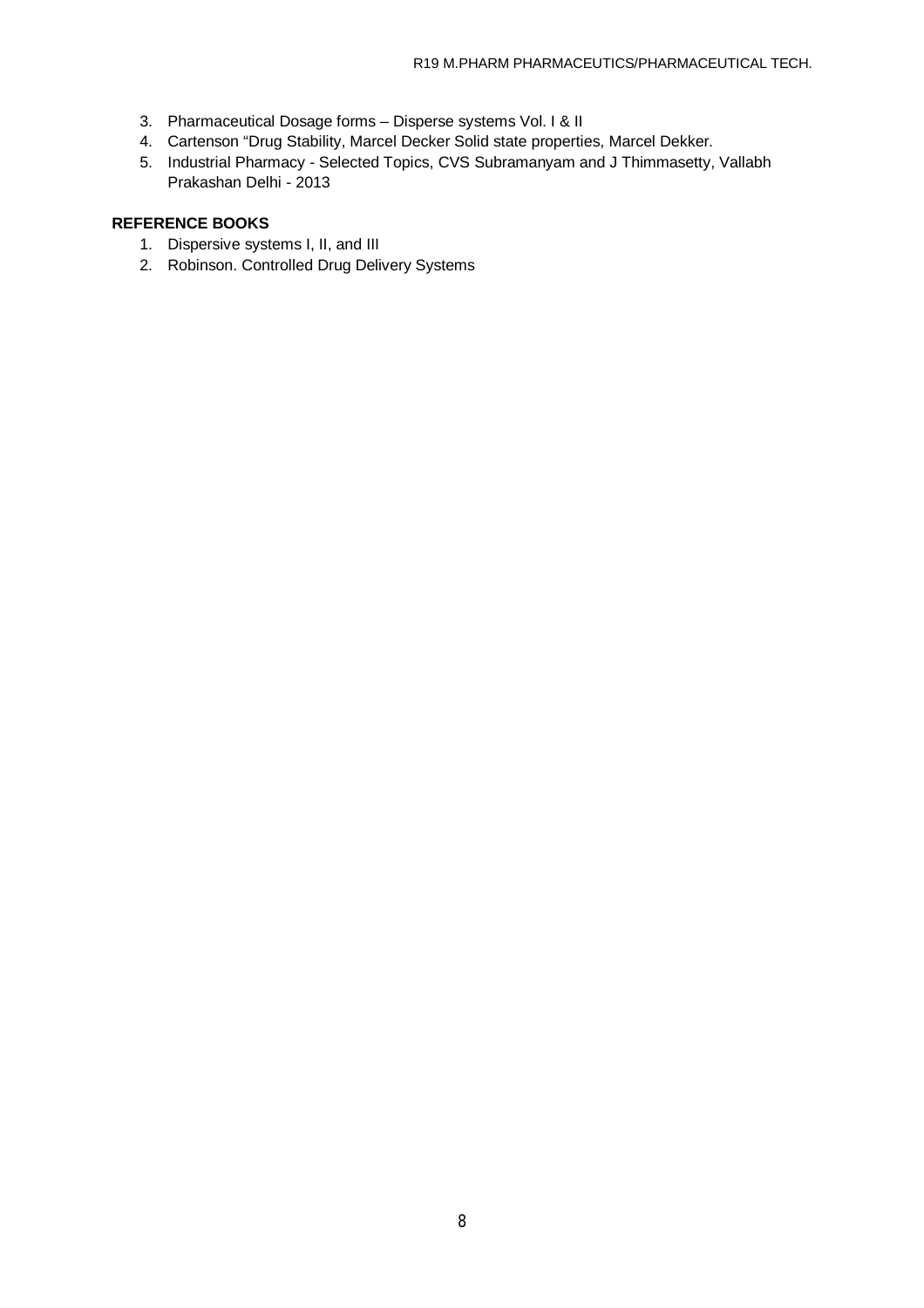- 3. Pharmaceutical Dosage forms Disperse systems Vol. I & II
- 4. Cartenson "Drug Stability, Marcel Decker Solid state properties, Marcel Dekker.
- 5. Industrial Pharmacy Selected Topics, CVS Subramanyam and J Thimmasetty, Vallabh Prakashan Delhi - 2013

## **REFERENCE BOOKS**

- 1. Dispersive systems I, II, and III
- 2. Robinson. Controlled Drug Delivery Systems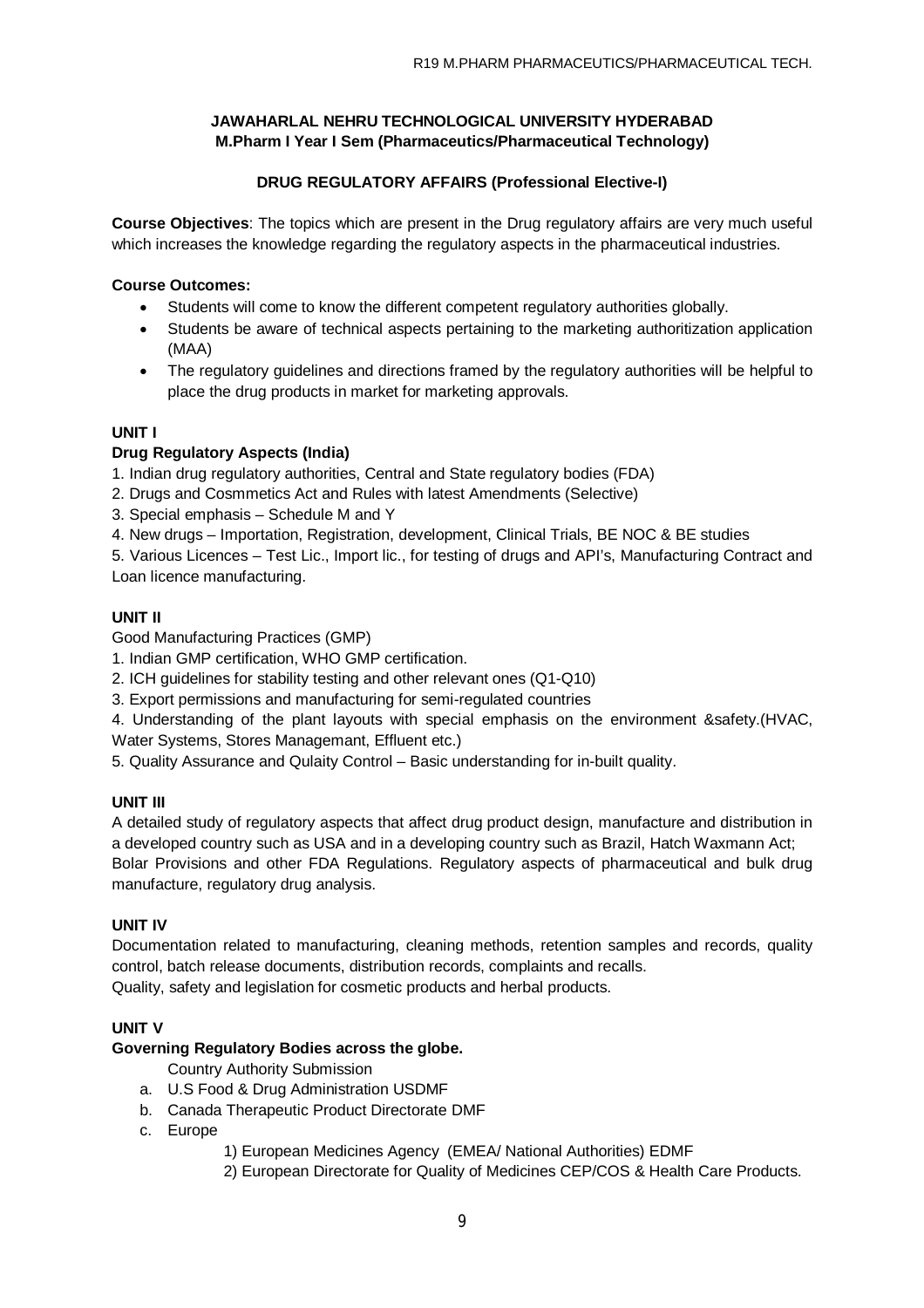## **DRUG REGULATORY AFFAIRS (Professional Elective-I)**

**Course Objectives**: The topics which are present in the Drug regulatory affairs are very much useful which increases the knowledge regarding the regulatory aspects in the pharmaceutical industries.

## **Course Outcomes:**

- Students will come to know the different competent regulatory authorities globally.
- Students be aware of technical aspects pertaining to the marketing authoritization application (MAA)
- The regulatory guidelines and directions framed by the regulatory authorities will be helpful to place the drug products in market for marketing approvals.

## **UNIT I**

### **Drug Regulatory Aspects (India)**

1. Indian drug regulatory authorities, Central and State regulatory bodies (FDA)

- 2. Drugs and Cosmmetics Act and Rules with latest Amendments (Selective)
- 3. Special emphasis Schedule M and Y
- 4. New drugs Importation, Registration, development, Clinical Trials, BE NOC & BE studies

5. Various Licences – Test Lic., Import lic., for testing of drugs and API's, Manufacturing Contract and Loan licence manufacturing.

## **UNIT II**

Good Manufacturing Practices (GMP)

1. Indian GMP certification, WHO GMP certification.

- 2. ICH guidelines for stability testing and other relevant ones (Q1-Q10)
- 3. Export permissions and manufacturing for semi-regulated countries

4. Understanding of the plant layouts with special emphasis on the environment &safety.(HVAC, Water Systems, Stores Managemant, Effluent etc.)

5. Quality Assurance and Qulaity Control – Basic understanding for in-built quality.

## **UNIT III**

A detailed study of regulatory aspects that affect drug product design, manufacture and distribution in a developed country such as USA and in a developing country such as Brazil, Hatch Waxmann Act; Bolar Provisions and other FDA Regulations. Regulatory aspects of pharmaceutical and bulk drug manufacture, regulatory drug analysis.

### **UNIT IV**

Documentation related to manufacturing, cleaning methods, retention samples and records, quality control, batch release documents, distribution records, complaints and recalls. Quality, safety and legislation for cosmetic products and herbal products.

### **UNIT V**

## **Governing Regulatory Bodies across the globe.**

Country Authority Submission

- a. U.S Food & Drug Administration USDMF
- b. Canada Therapeutic Product Directorate DMF
- c. Europe
	- 1) European Medicines Agency (EMEA/ National Authorities) EDMF
	- 2) European Directorate for Quality of Medicines CEP/COS & Health Care Products.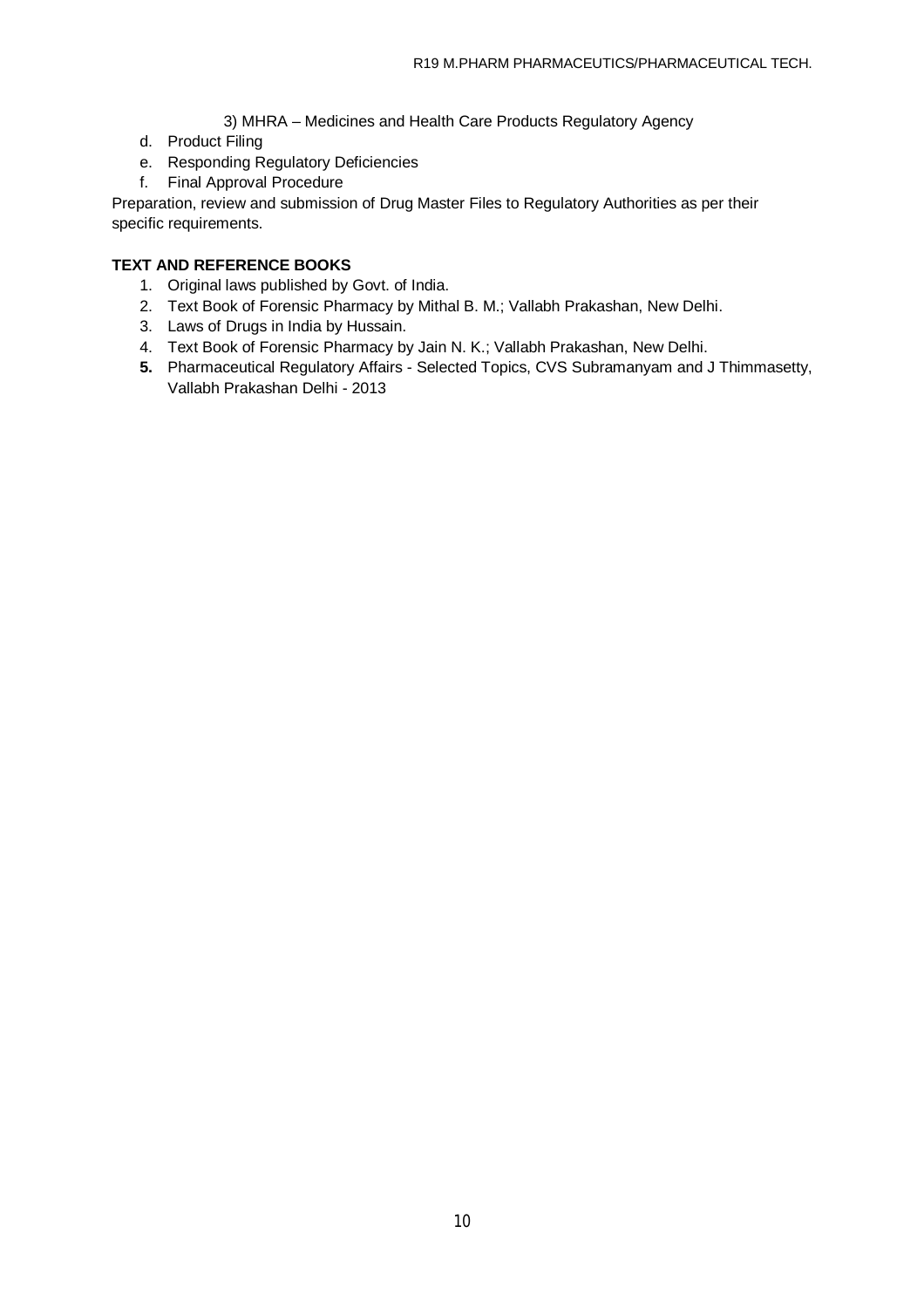- 3) MHRA Medicines and Health Care Products Regulatory Agency
- d. Product Filing
- e. Responding Regulatory Deficiencies
- f. Final Approval Procedure

Preparation, review and submission of Drug Master Files to Regulatory Authorities as per their specific requirements.

## **TEXT AND REFERENCE BOOKS**

- 1. Original laws published by Govt. of India.
- 2. Text Book of Forensic Pharmacy by Mithal B. M.; Vallabh Prakashan, New Delhi.
- 3. Laws of Drugs in India by Hussain.
- 4. Text Book of Forensic Pharmacy by Jain N. K.; Vallabh Prakashan, New Delhi.
- **5.** Pharmaceutical Regulatory Affairs Selected Topics, CVS Subramanyam and J Thimmasetty, Vallabh Prakashan Delhi - 2013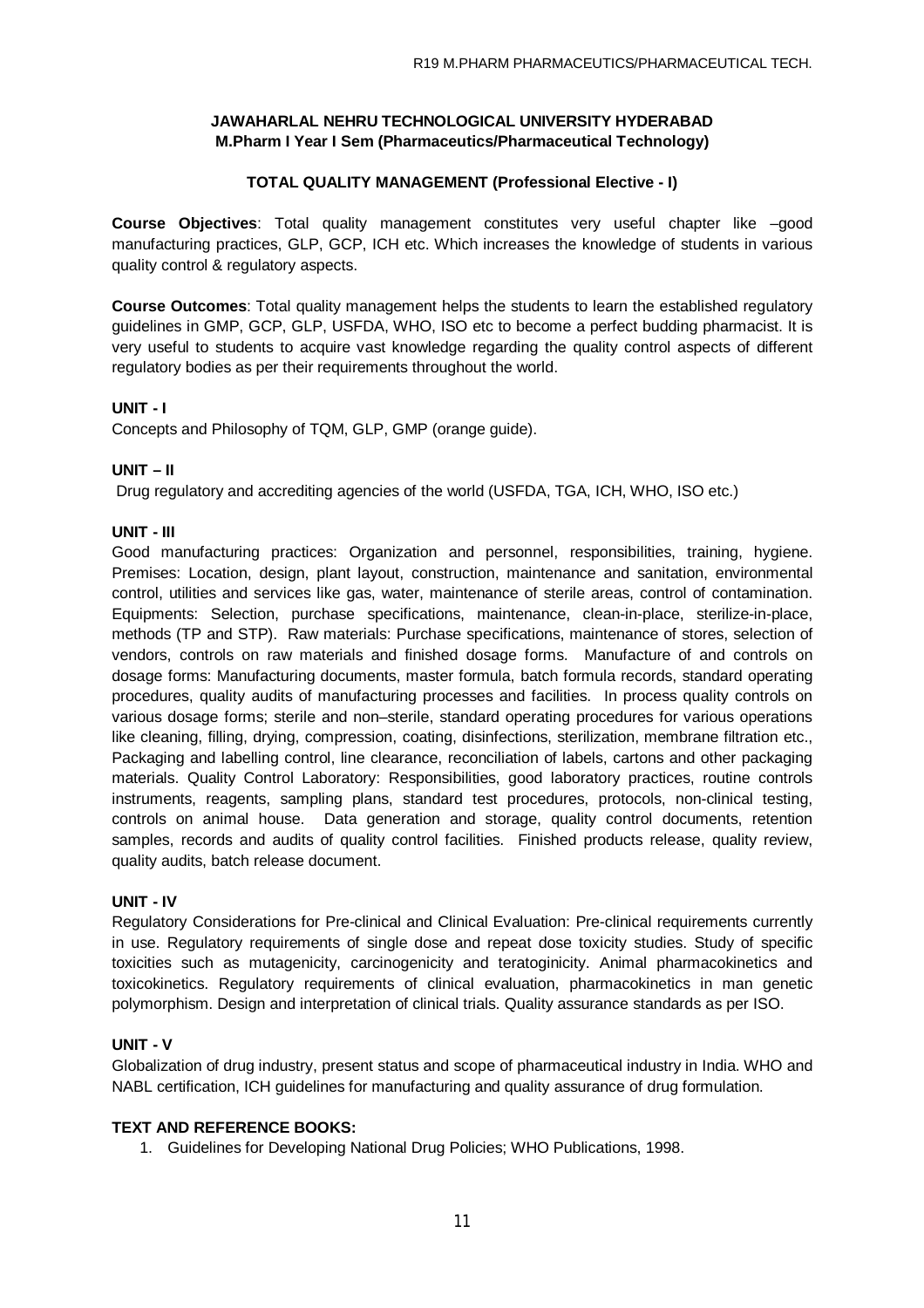## **TOTAL QUALITY MANAGEMENT (Professional Elective - I)**

**Course Objectives**: Total quality management constitutes very useful chapter like –good manufacturing practices, GLP, GCP, ICH etc. Which increases the knowledge of students in various quality control & regulatory aspects.

**Course Outcomes**: Total quality management helps the students to learn the established regulatory guidelines in GMP, GCP, GLP, USFDA, WHO, ISO etc to become a perfect budding pharmacist. It is very useful to students to acquire vast knowledge regarding the quality control aspects of different regulatory bodies as per their requirements throughout the world.

### **UNIT - I**

Concepts and Philosophy of TQM, GLP, GMP (orange guide).

### **UNIT – II**

Drug regulatory and accrediting agencies of the world (USFDA, TGA, ICH, WHO, ISO etc.)

### **UNIT - III**

Good manufacturing practices: Organization and personnel, responsibilities, training, hygiene. Premises: Location, design, plant layout, construction, maintenance and sanitation, environmental control, utilities and services like gas, water, maintenance of sterile areas, control of contamination. Equipments: Selection, purchase specifications, maintenance, clean-in-place, sterilize-in-place, methods (TP and STP). Raw materials: Purchase specifications, maintenance of stores, selection of vendors, controls on raw materials and finished dosage forms. Manufacture of and controls on dosage forms: Manufacturing documents, master formula, batch formula records, standard operating procedures, quality audits of manufacturing processes and facilities. In process quality controls on various dosage forms; sterile and non–sterile, standard operating procedures for various operations like cleaning, filling, drying, compression, coating, disinfections, sterilization, membrane filtration etc., Packaging and labelling control, line clearance, reconciliation of labels, cartons and other packaging materials. Quality Control Laboratory: Responsibilities, good laboratory practices, routine controls instruments, reagents, sampling plans, standard test procedures, protocols, non-clinical testing, controls on animal house. Data generation and storage, quality control documents, retention samples, records and audits of quality control facilities. Finished products release, quality review, quality audits, batch release document.

### **UNIT - IV**

Regulatory Considerations for Pre-clinical and Clinical Evaluation: Pre-clinical requirements currently in use. Regulatory requirements of single dose and repeat dose toxicity studies. Study of specific toxicities such as mutagenicity, carcinogenicity and teratoginicity. Animal pharmacokinetics and toxicokinetics. Regulatory requirements of clinical evaluation, pharmacokinetics in man genetic polymorphism. Design and interpretation of clinical trials. Quality assurance standards as per ISO.

### **UNIT - V**

Globalization of drug industry, present status and scope of pharmaceutical industry in India. WHO and NABL certification, ICH guidelines for manufacturing and quality assurance of drug formulation.

### **TEXT AND REFERENCE BOOKS:**

1. Guidelines for Developing National Drug Policies; WHO Publications, 1998.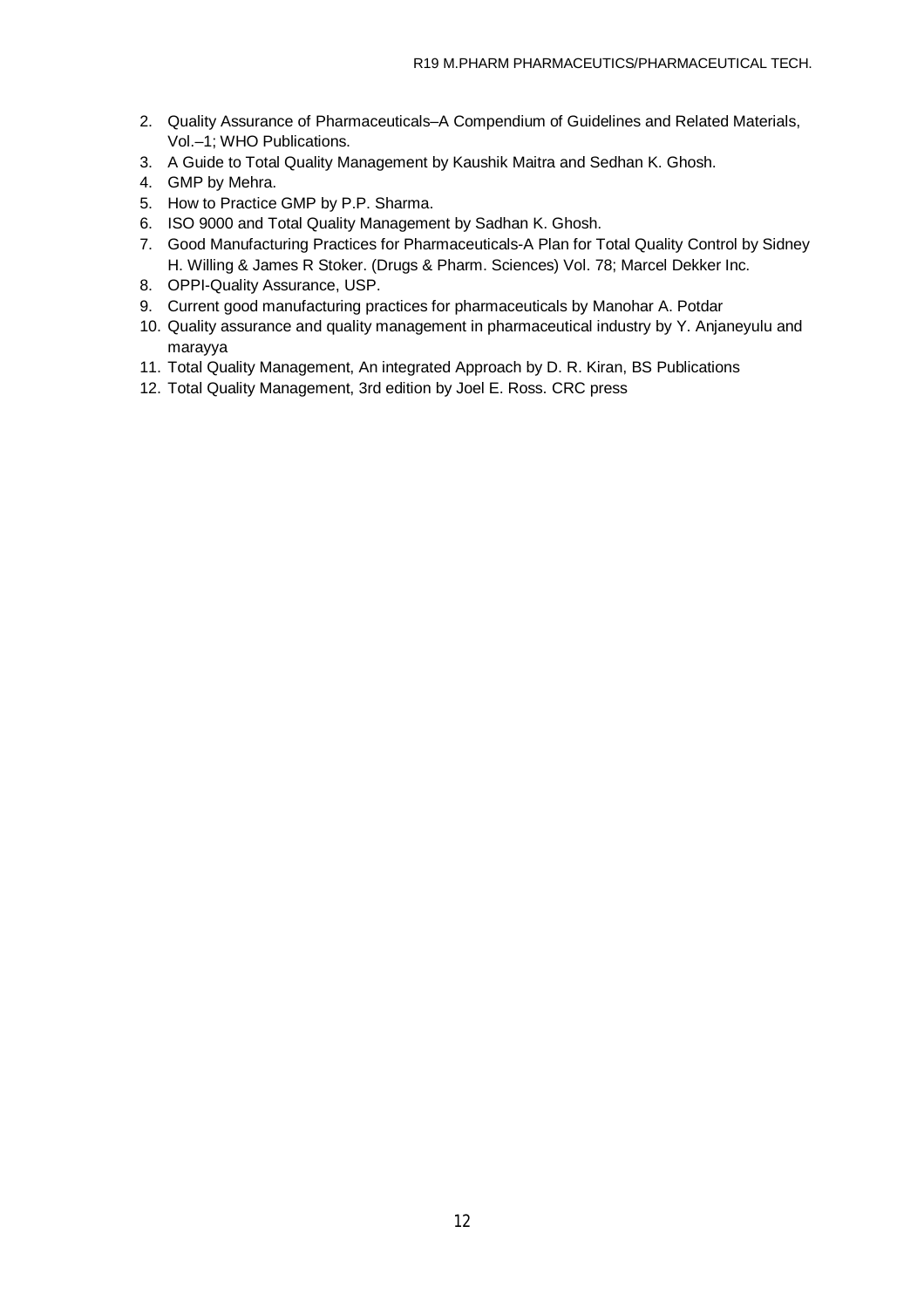- 2. Quality Assurance of Pharmaceuticals–A Compendium of Guidelines and Related Materials, Vol.–1; WHO Publications.
- 3. A Guide to Total Quality Management by Kaushik Maitra and Sedhan K. Ghosh.
- 4. GMP by Mehra.
- 5. How to Practice GMP by P.P. Sharma.
- 6. ISO 9000 and Total Quality Management by Sadhan K. Ghosh.
- 7. Good Manufacturing Practices for Pharmaceuticals-A Plan for Total Quality Control by Sidney H. Willing & James R Stoker. (Drugs & Pharm. Sciences) Vol. 78; Marcel Dekker Inc.
- 8. OPPI-Quality Assurance, USP.
- 9. Current good manufacturing practices for pharmaceuticals by Manohar A. Potdar
- 10. Quality assurance and quality management in pharmaceutical industry by Y. Anjaneyulu and marayya
- 11. Total Quality Management, An integrated Approach by D. R. Kiran, BS Publications
- 12. Total Quality Management, 3rd edition by Joel E. Ross. CRC press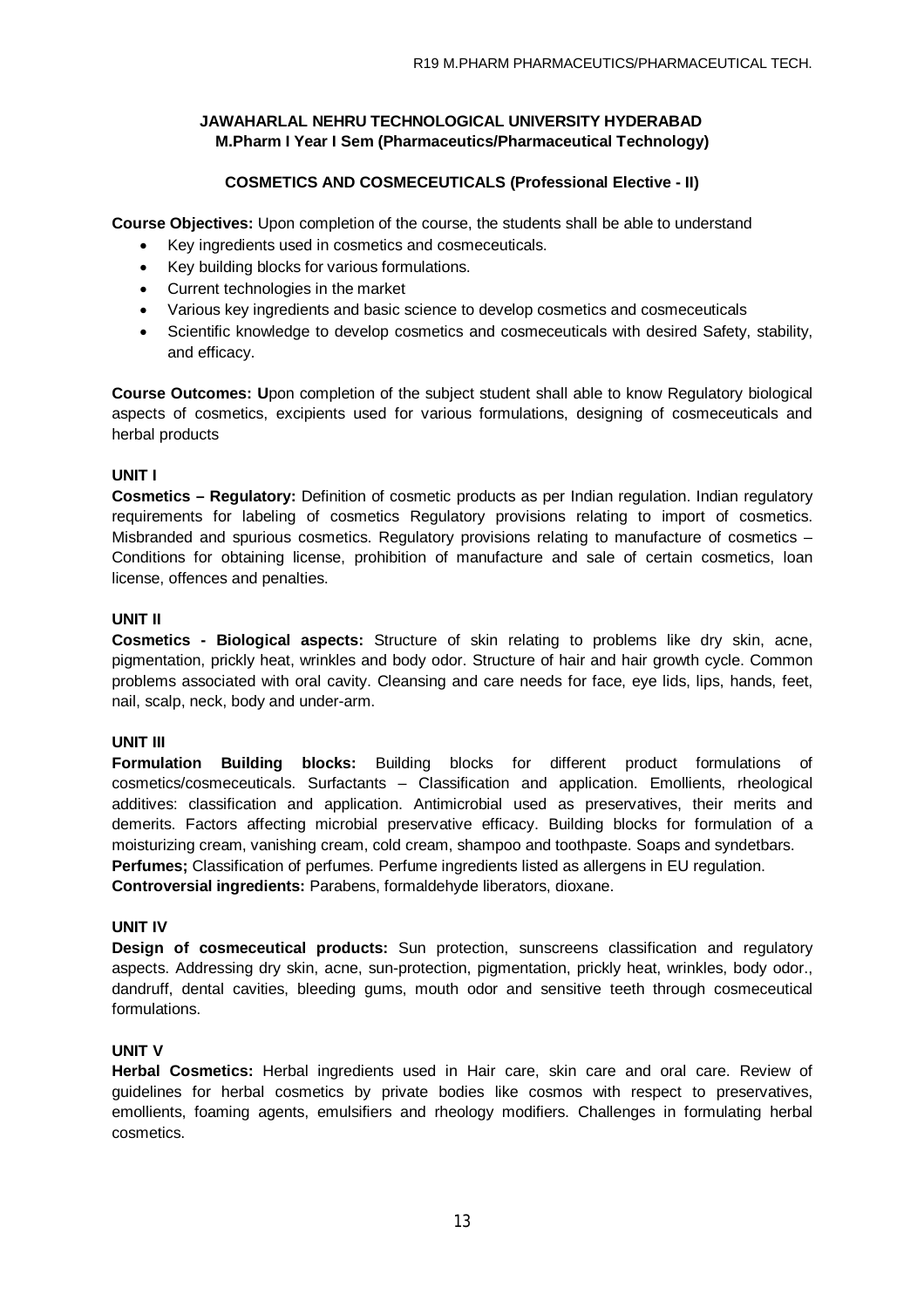## **COSMETICS AND COSMECEUTICALS (Professional Elective - II)**

**Course Objectives:** Upon completion of the course, the students shall be able to understand

- Key ingredients used in cosmetics and cosmeceuticals.
- Key building blocks for various formulations.
- Current technologies in the market
- Various key ingredients and basic science to develop cosmetics and cosmeceuticals
- Scientific knowledge to develop cosmetics and cosmeceuticals with desired Safety, stability, and efficacy.

**Course Outcomes: U**pon completion of the subject student shall able to know Regulatory biological aspects of cosmetics, excipients used for various formulations, designing of cosmeceuticals and herbal products

### **UNIT I**

**Cosmetics – Regulatory:** Definition of cosmetic products as per Indian regulation. Indian regulatory requirements for labeling of cosmetics Regulatory provisions relating to import of cosmetics. Misbranded and spurious cosmetics. Regulatory provisions relating to manufacture of cosmetics – Conditions for obtaining license, prohibition of manufacture and sale of certain cosmetics, loan license, offences and penalties.

### **UNIT II**

**Cosmetics - Biological aspects:** Structure of skin relating to problems like dry skin, acne, pigmentation, prickly heat, wrinkles and body odor. Structure of hair and hair growth cycle. Common problems associated with oral cavity. Cleansing and care needs for face, eye lids, lips, hands, feet, nail, scalp, neck, body and under-arm.

### **UNIT III**

**Formulation Building blocks:** Building blocks for different product formulations of cosmetics/cosmeceuticals. Surfactants – Classification and application. Emollients, rheological additives: classification and application. Antimicrobial used as preservatives, their merits and demerits. Factors affecting microbial preservative efficacy. Building blocks for formulation of a moisturizing cream, vanishing cream, cold cream, shampoo and toothpaste. Soaps and syndetbars. **Perfumes;** Classification of perfumes. Perfume ingredients listed as allergens in EU regulation.

**Controversial ingredients:** Parabens, formaldehyde liberators, dioxane.

## **UNIT IV**

**Design of cosmeceutical products:** Sun protection, sunscreens classification and regulatory aspects. Addressing dry skin, acne, sun-protection, pigmentation, prickly heat, wrinkles, body odor., dandruff, dental cavities, bleeding gums, mouth odor and sensitive teeth through cosmeceutical formulations.

### **UNIT V**

**Herbal Cosmetics:** Herbal ingredients used in Hair care, skin care and oral care. Review of guidelines for herbal cosmetics by private bodies like cosmos with respect to preservatives, emollients, foaming agents, emulsifiers and rheology modifiers. Challenges in formulating herbal cosmetics.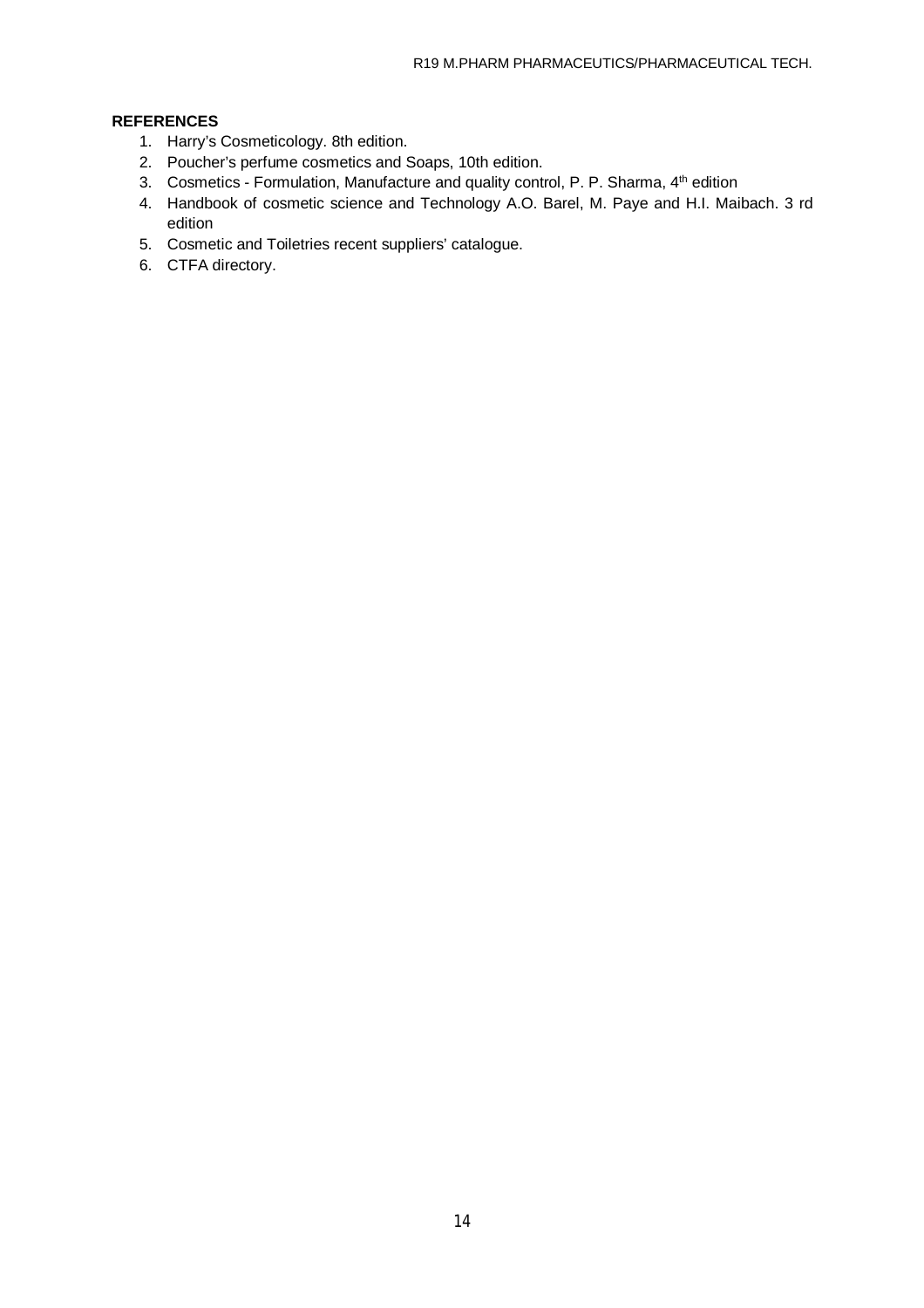## **REFERENCES**

- 1. Harry's Cosmeticology. 8th edition.
- 2. Poucher's perfume cosmetics and Soaps, 10th edition.
- 3. Cosmetics Formulation, Manufacture and quality control, P. P. Sharma, 4<sup>th</sup> edition
- 4. Handbook of cosmetic science and Technology A.O. Barel, M. Paye and H.I. Maibach. 3 rd edition
- 5. Cosmetic and Toiletries recent suppliers' catalogue.
- 6. CTFA directory.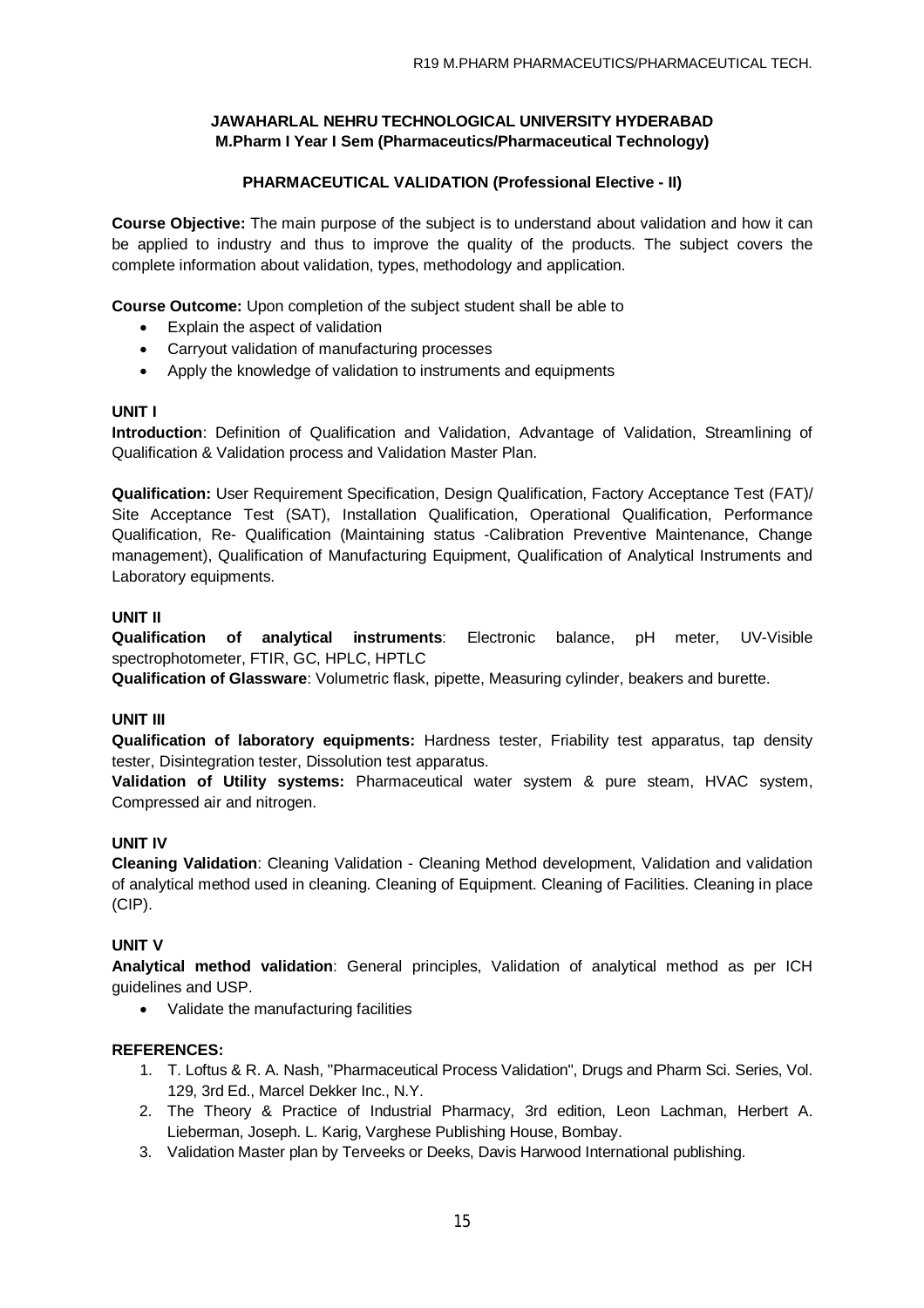## **PHARMACEUTICAL VALIDATION (Professional Elective - II)**

**Course Objective:** The main purpose of the subject is to understand about validation and how it can be applied to industry and thus to improve the quality of the products. The subject covers the complete information about validation, types, methodology and application.

**Course Outcome:** Upon completion of the subject student shall be able to

- Explain the aspect of validation
- Carryout validation of manufacturing processes
- Apply the knowledge of validation to instruments and equipments

### **UNIT I**

**Introduction**: Definition of Qualification and Validation, Advantage of Validation, Streamlining of Qualification & Validation process and Validation Master Plan.

**Qualification:** User Requirement Specification, Design Qualification, Factory Acceptance Test (FAT)/ Site Acceptance Test (SAT), Installation Qualification, Operational Qualification, Performance Qualification, Re- Qualification (Maintaining status -Calibration Preventive Maintenance, Change management), Qualification of Manufacturing Equipment, Qualification of Analytical Instruments and Laboratory equipments.

### **UNIT II**

**Qualification of analytical instruments**: Electronic balance, pH meter, UV-Visible spectrophotometer, FTIR, GC, HPLC, HPTLC

**Qualification of Glassware**: Volumetric flask, pipette, Measuring cylinder, beakers and burette.

### **UNIT III**

**Qualification of laboratory equipments:** Hardness tester, Friability test apparatus, tap density tester, Disintegration tester, Dissolution test apparatus.

**Validation of Utility systems:** Pharmaceutical water system & pure steam, HVAC system, Compressed air and nitrogen.

## **UNIT IV**

**Cleaning Validation**: Cleaning Validation - Cleaning Method development, Validation and validation of analytical method used in cleaning. Cleaning of Equipment. Cleaning of Facilities. Cleaning in place (CIP).

### **UNIT V**

**Analytical method validation**: General principles, Validation of analytical method as per ICH guidelines and USP.

Validate the manufacturing facilities

### **REFERENCES:**

- 1. T. Loftus & R. A. Nash, "Pharmaceutical Process Validation", Drugs and Pharm Sci. Series, Vol. 129, 3rd Ed., Marcel Dekker Inc., N.Y.
- 2. The Theory & Practice of Industrial Pharmacy, 3rd edition, Leon Lachman, Herbert A. Lieberman, Joseph. L. Karig, Varghese Publishing House, Bombay.
- 3. Validation Master plan by Terveeks or Deeks, Davis Harwood International publishing.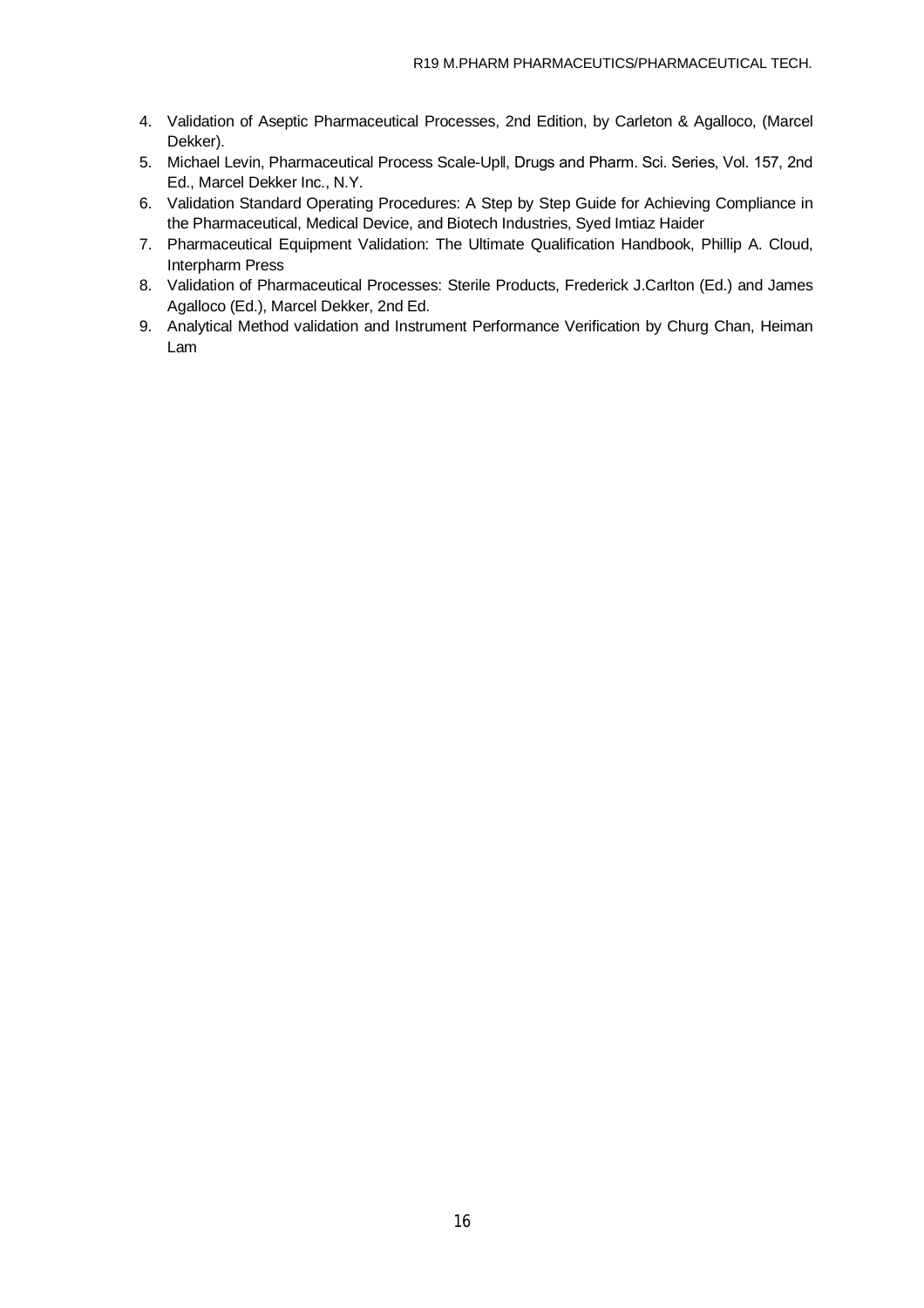- 4. Validation of Aseptic Pharmaceutical Processes, 2nd Edition, by Carleton & Agalloco, (Marcel Dekker).
- 5. Michael Levin, Pharmaceutical Process Scale-Up‖, Drugs and Pharm. Sci. Series, Vol. 157, 2nd Ed., Marcel Dekker Inc., N.Y.
- 6. Validation Standard Operating Procedures: A Step by Step Guide for Achieving Compliance in the Pharmaceutical, Medical Device, and Biotech Industries, Syed Imtiaz Haider
- 7. Pharmaceutical Equipment Validation: The Ultimate Qualification Handbook, Phillip A. Cloud, Interpharm Press
- 8. Validation of Pharmaceutical Processes: Sterile Products, Frederick J.Carlton (Ed.) and James Agalloco (Ed.), Marcel Dekker, 2nd Ed.
- 9. Analytical Method validation and Instrument Performance Verification by Churg Chan, Heiman Lam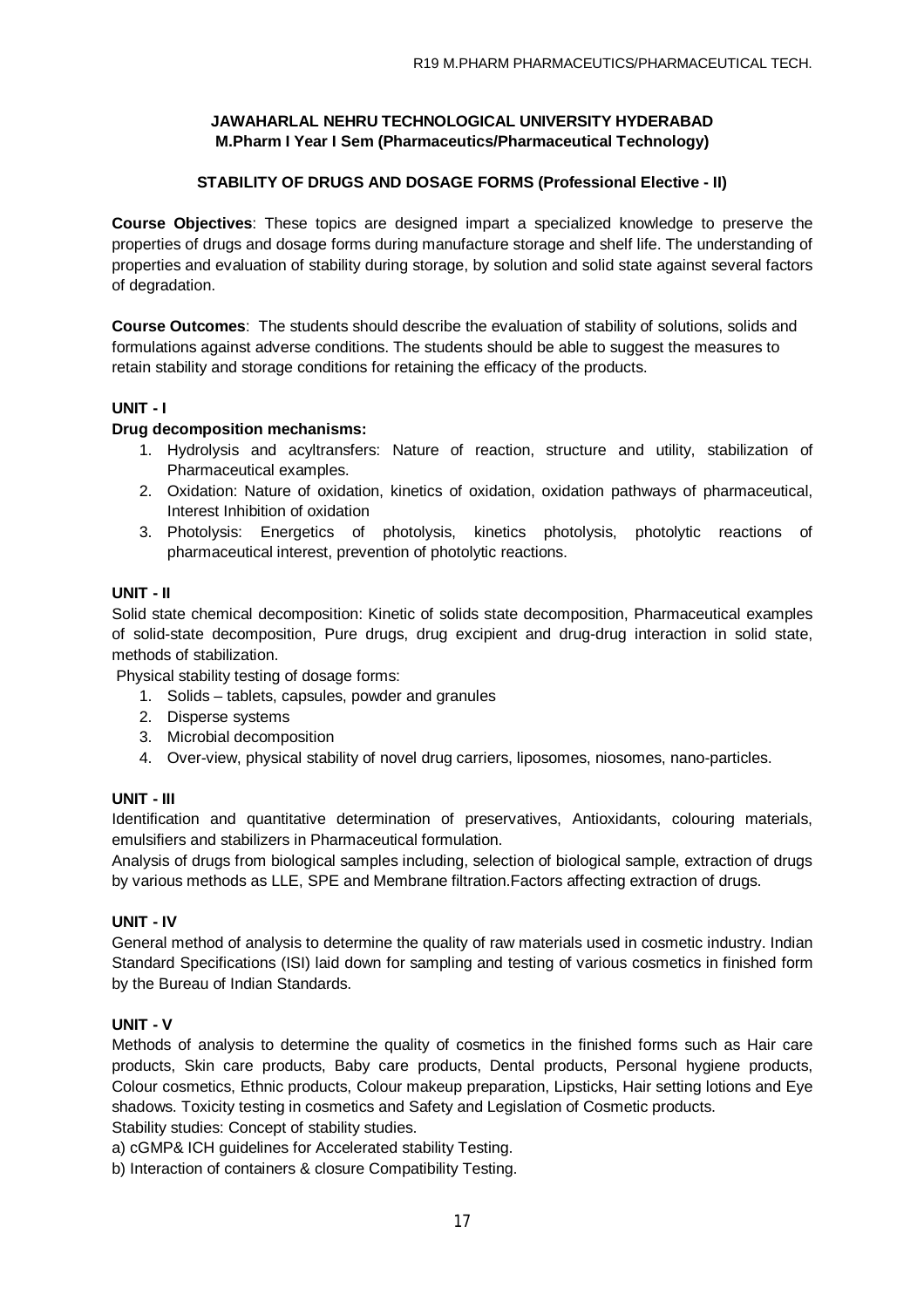## **STABILITY OF DRUGS AND DOSAGE FORMS (Professional Elective - II)**

**Course Objectives**: These topics are designed impart a specialized knowledge to preserve the properties of drugs and dosage forms during manufacture storage and shelf life. The understanding of properties and evaluation of stability during storage, by solution and solid state against several factors of degradation.

**Course Outcomes**: The students should describe the evaluation of stability of solutions, solids and formulations against adverse conditions. The students should be able to suggest the measures to retain stability and storage conditions for retaining the efficacy of the products.

## **UNIT - I**

### **Drug decomposition mechanisms:**

- 1. Hydrolysis and acyltransfers: Nature of reaction, structure and utility, stabilization of Pharmaceutical examples.
- 2. Oxidation: Nature of oxidation, kinetics of oxidation, oxidation pathways of pharmaceutical, Interest Inhibition of oxidation
- 3. Photolysis: Energetics of photolysis, kinetics photolysis, photolytic reactions of pharmaceutical interest, prevention of photolytic reactions.

### **UNIT - II**

Solid state chemical decomposition: Kinetic of solids state decomposition, Pharmaceutical examples of solid-state decomposition, Pure drugs, drug excipient and drug-drug interaction in solid state, methods of stabilization.

Physical stability testing of dosage forms:

- 1. Solids tablets, capsules, powder and granules
- 2. Disperse systems
- 3. Microbial decomposition
- 4. Over-view, physical stability of novel drug carriers, liposomes, niosomes, nano-particles.

### **UNIT - III**

Identification and quantitative determination of preservatives, Antioxidants, colouring materials, emulsifiers and stabilizers in Pharmaceutical formulation.

Analysis of drugs from biological samples including, selection of biological sample, extraction of drugs by various methods as LLE, SPE and Membrane filtration.Factors affecting extraction of drugs.

### **UNIT - IV**

General method of analysis to determine the quality of raw materials used in cosmetic industry. Indian Standard Specifications (ISI) laid down for sampling and testing of various cosmetics in finished form by the Bureau of Indian Standards.

### **UNIT - V**

Methods of analysis to determine the quality of cosmetics in the finished forms such as Hair care products, Skin care products, Baby care products, Dental products, Personal hygiene products, Colour cosmetics, Ethnic products, Colour makeup preparation, Lipsticks, Hair setting lotions and Eye shadows. Toxicity testing in cosmetics and Safety and Legislation of Cosmetic products.

Stability studies: Concept of stability studies.

a) cGMP& ICH guidelines for Accelerated stability Testing.

b) Interaction of containers & closure Compatibility Testing.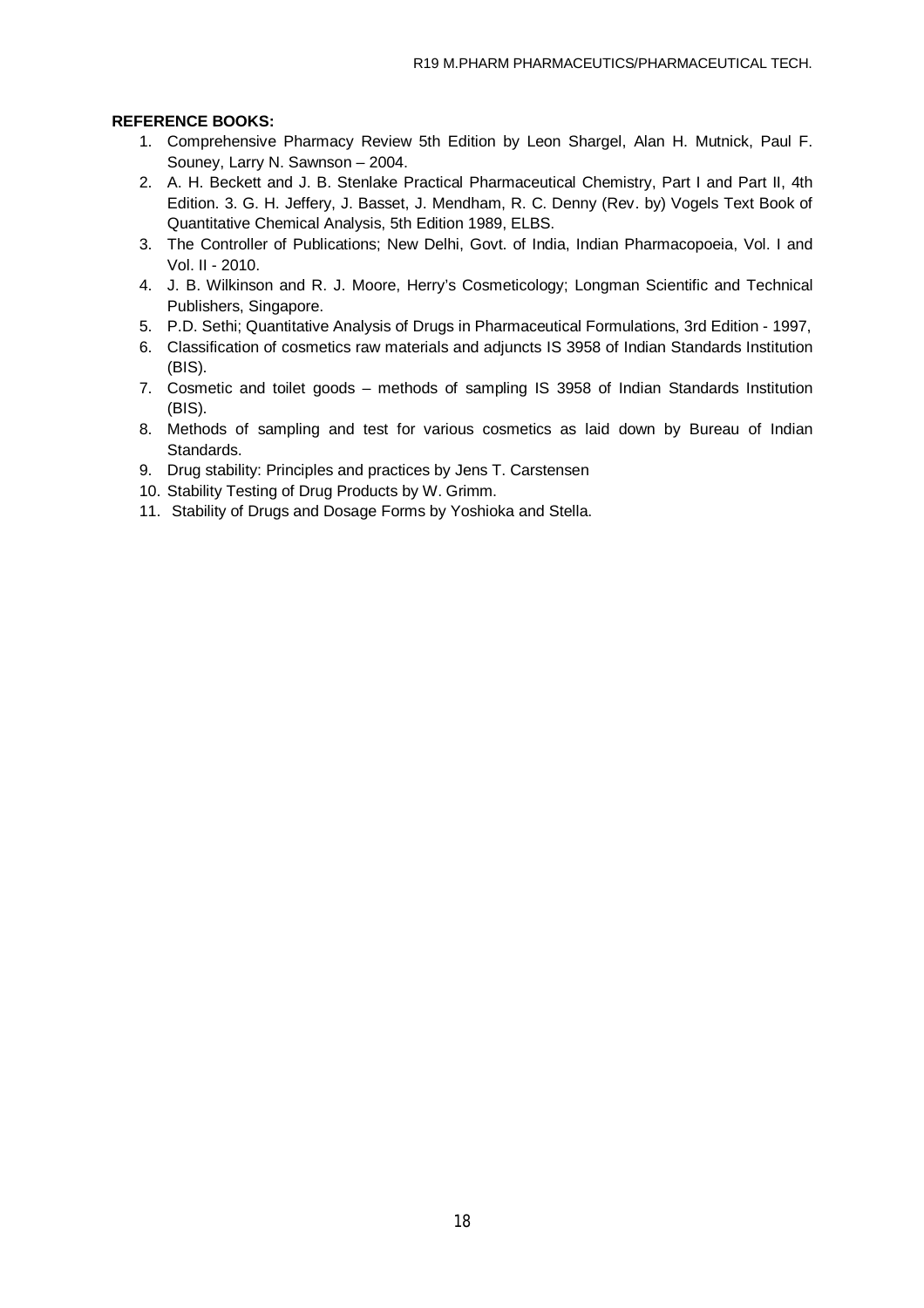### **REFERENCE BOOKS:**

- 1. Comprehensive Pharmacy Review 5th Edition by Leon Shargel, Alan H. Mutnick, Paul F. Souney, Larry N. Sawnson – 2004.
- 2. A. H. Beckett and J. B. Stenlake Practical Pharmaceutical Chemistry, Part I and Part II, 4th Edition. 3. G. H. Jeffery, J. Basset, J. Mendham, R. C. Denny (Rev. by) Vogels Text Book of Quantitative Chemical Analysis, 5th Edition 1989, ELBS.
- 3. The Controller of Publications; New Delhi, Govt. of India, Indian Pharmacopoeia, Vol. I and Vol. II - 2010.
- 4. J. B. Wilkinson and R. J. Moore, Herry's Cosmeticology; Longman Scientific and Technical Publishers, Singapore.
- 5. P.D. Sethi; Quantitative Analysis of Drugs in Pharmaceutical Formulations, 3rd Edition 1997,
- 6. Classification of cosmetics raw materials and adjuncts IS 3958 of Indian Standards Institution (BIS).
- 7. Cosmetic and toilet goods methods of sampling IS 3958 of Indian Standards Institution (BIS).
- 8. Methods of sampling and test for various cosmetics as laid down by Bureau of Indian Standards.
- 9. Drug stability: Principles and practices by Jens T. Carstensen
- 10. Stability Testing of Drug Products by W. Grimm.
- 11. Stability of Drugs and Dosage Forms by Yoshioka and Stella.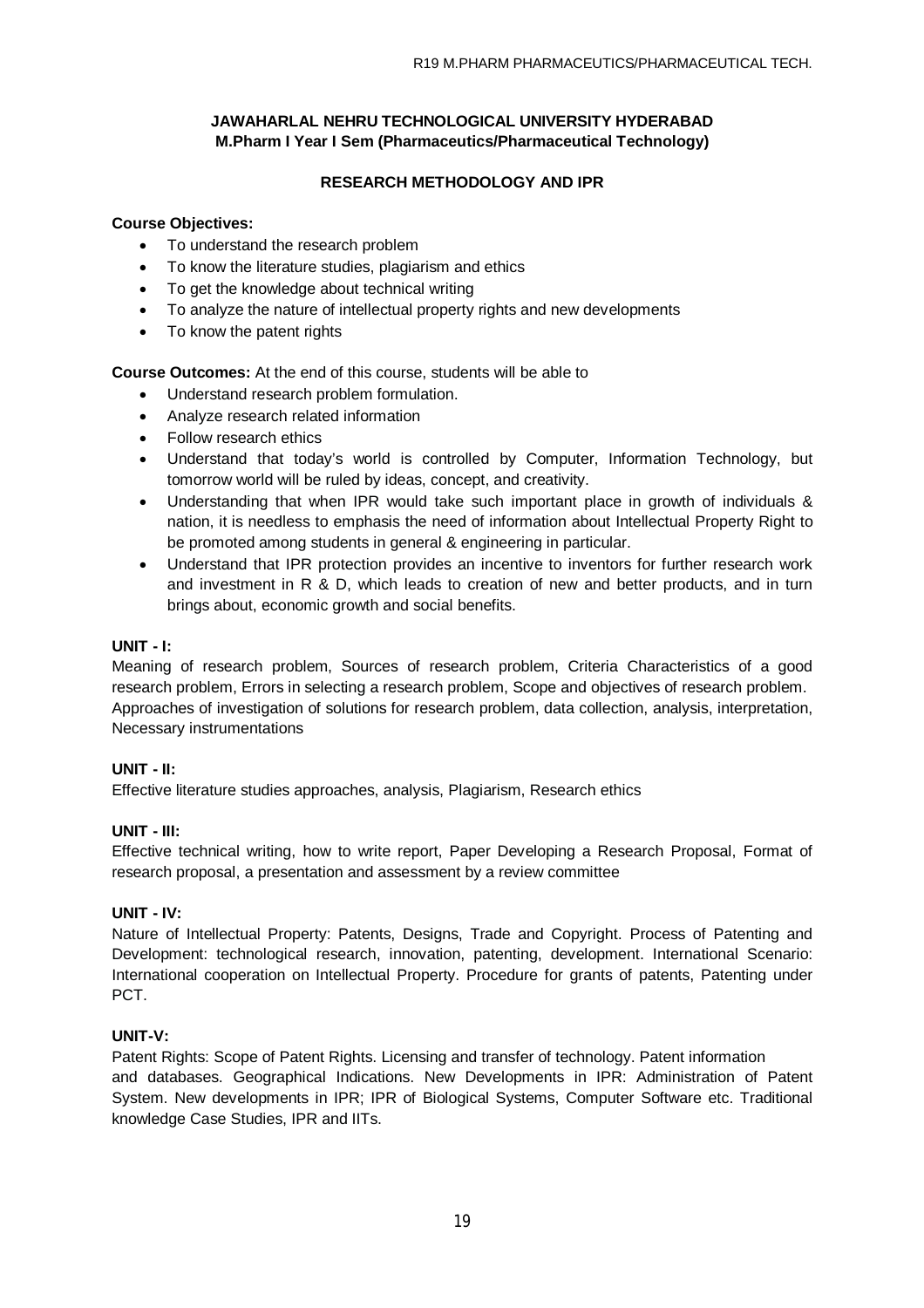### **RESEARCH METHODOLOGY AND IPR**

### **Course Objectives:**

- To understand the research problem
- To know the literature studies, plagiarism and ethics
- To get the knowledge about technical writing
- To analyze the nature of intellectual property rights and new developments
- To know the patent rights

**Course Outcomes:** At the end of this course, students will be able to

- Understand research problem formulation.
- Analyze research related information
- Follow research ethics
- Understand that today's world is controlled by Computer, Information Technology, but tomorrow world will be ruled by ideas, concept, and creativity.
- Understanding that when IPR would take such important place in growth of individuals & nation, it is needless to emphasis the need of information about Intellectual Property Right to be promoted among students in general & engineering in particular.
- Understand that IPR protection provides an incentive to inventors for further research work and investment in R & D, which leads to creation of new and better products, and in turn brings about, economic growth and social benefits.

### **UNIT - I:**

Meaning of research problem, Sources of research problem, Criteria Characteristics of a good research problem, Errors in selecting a research problem, Scope and objectives of research problem. Approaches of investigation of solutions for research problem, data collection, analysis, interpretation, Necessary instrumentations

### **UNIT - II:**

Effective literature studies approaches, analysis, Plagiarism, Research ethics

### **UNIT - III:**

Effective technical writing, how to write report, Paper Developing a Research Proposal, Format of research proposal, a presentation and assessment by a review committee

### **UNIT - IV:**

Nature of Intellectual Property: Patents, Designs, Trade and Copyright. Process of Patenting and Development: technological research, innovation, patenting, development. International Scenario: International cooperation on Intellectual Property. Procedure for grants of patents, Patenting under PCT.

### **UNIT-V:**

Patent Rights: Scope of Patent Rights. Licensing and transfer of technology. Patent information and databases. Geographical Indications. New Developments in IPR: Administration of Patent System. New developments in IPR; IPR of Biological Systems, Computer Software etc. Traditional knowledge Case Studies, IPR and IITs.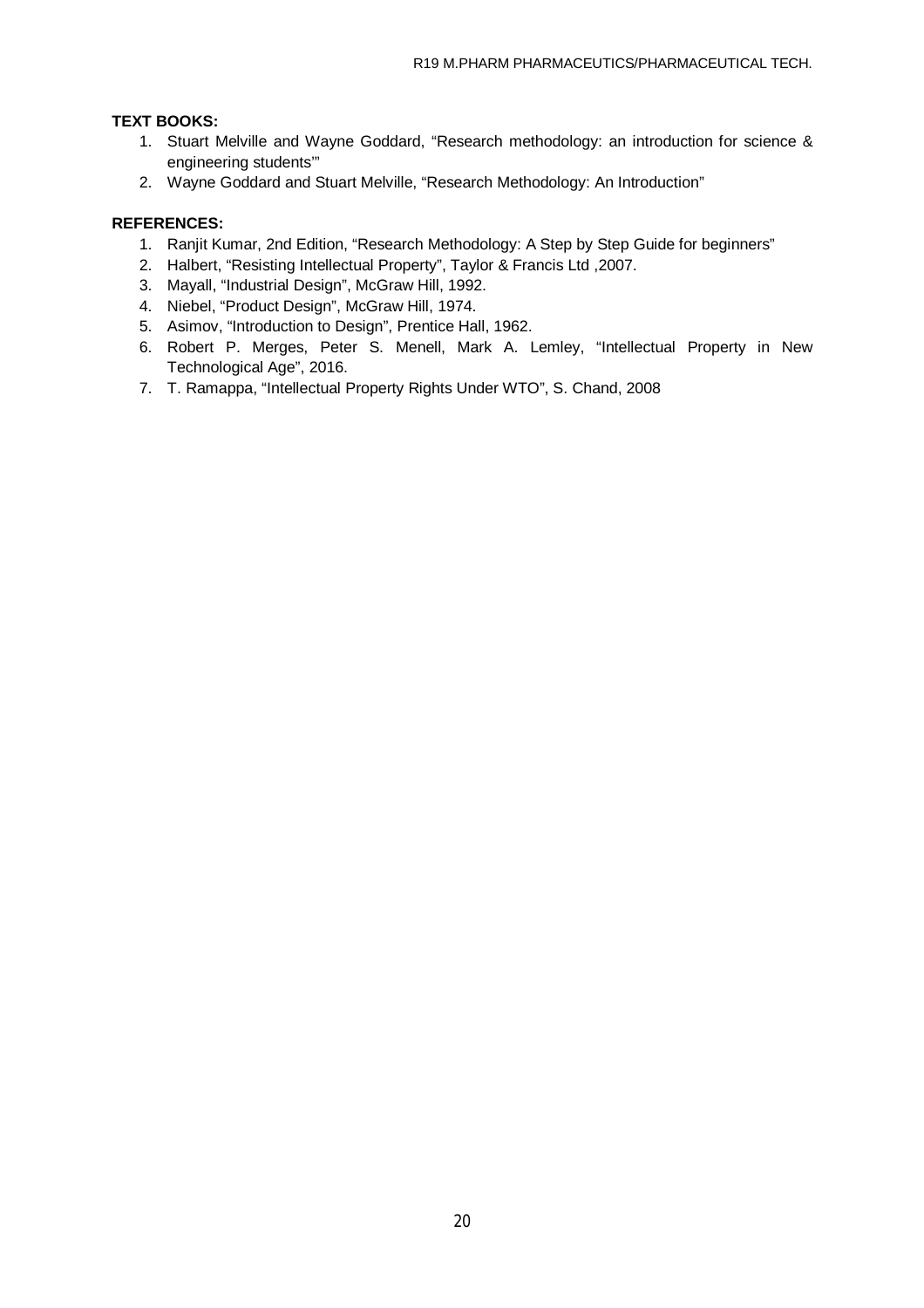## **TEXT BOOKS:**

- 1. Stuart Melville and Wayne Goddard, "Research methodology: an introduction for science & engineering students'"
- 2. Wayne Goddard and Stuart Melville, "Research Methodology: An Introduction"

## **REFERENCES:**

- 1. Ranjit Kumar, 2nd Edition, "Research Methodology: A Step by Step Guide for beginners"
- 2. Halbert, "Resisting Intellectual Property", Taylor & Francis Ltd ,2007.
- 3. Mayall, "Industrial Design", McGraw Hill, 1992.
- 4. Niebel, "Product Design", McGraw Hill, 1974.
- 5. Asimov, "Introduction to Design", Prentice Hall, 1962.
- 6. Robert P. Merges, Peter S. Menell, Mark A. Lemley, "Intellectual Property in New Technological Age", 2016.
- 7. T. Ramappa, "Intellectual Property Rights Under WTO", S. Chand, 2008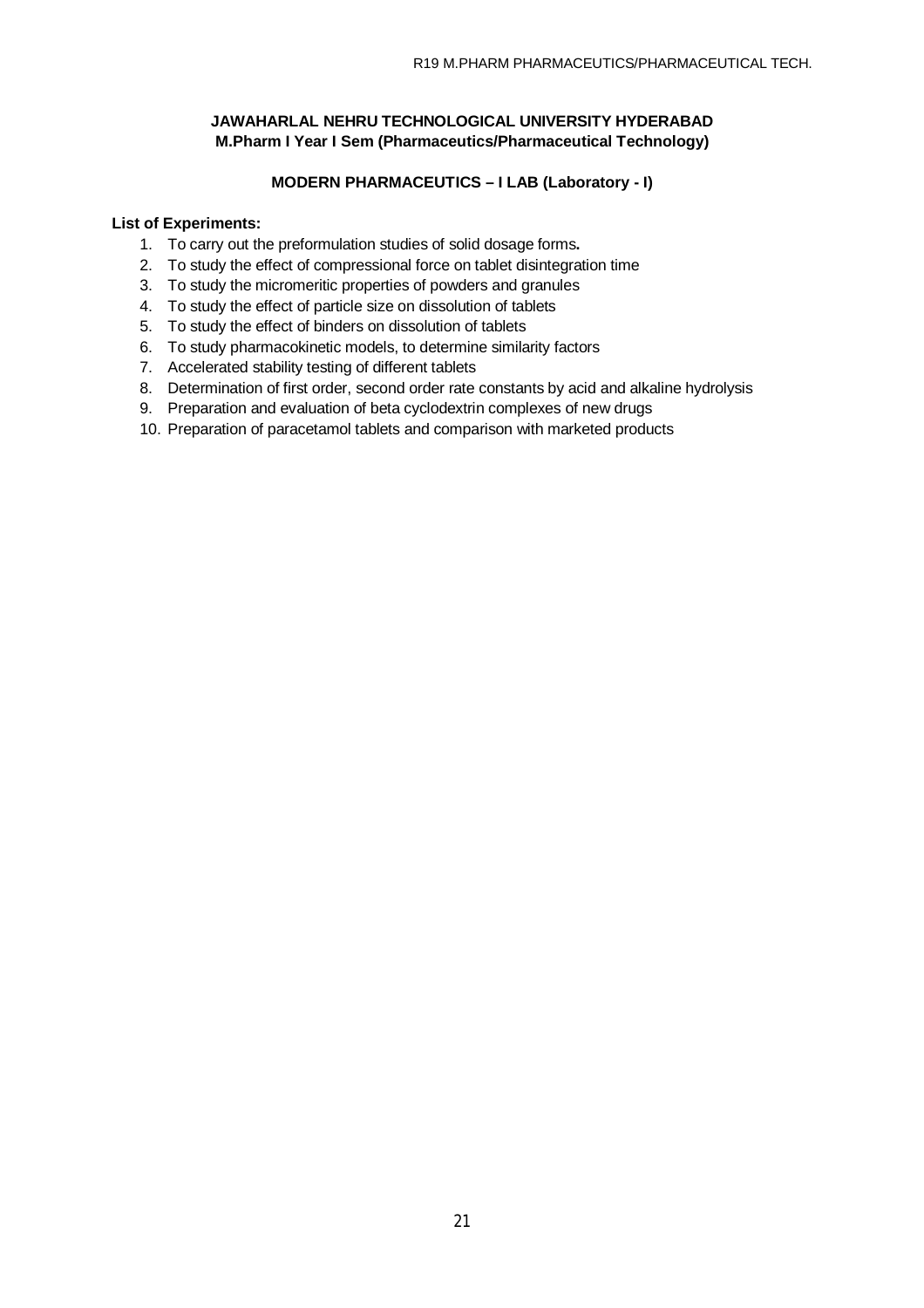## **MODERN PHARMACEUTICS – I LAB (Laboratory - I)**

### **List of Experiments:**

- 1. To carry out the preformulation studies of solid dosage forms**.**
- 2. To study the effect of compressional force on tablet disintegration time
- 3. To study the micromeritic properties of powders and granules
- 4. To study the effect of particle size on dissolution of tablets
- 5. To study the effect of binders on dissolution of tablets
- 6. To study pharmacokinetic models, to determine similarity factors
- 7. Accelerated stability testing of different tablets
- 8. Determination of first order, second order rate constants by acid and alkaline hydrolysis
- 9. Preparation and evaluation of beta cyclodextrin complexes of new drugs
- 10. Preparation of paracetamol tablets and comparison with marketed products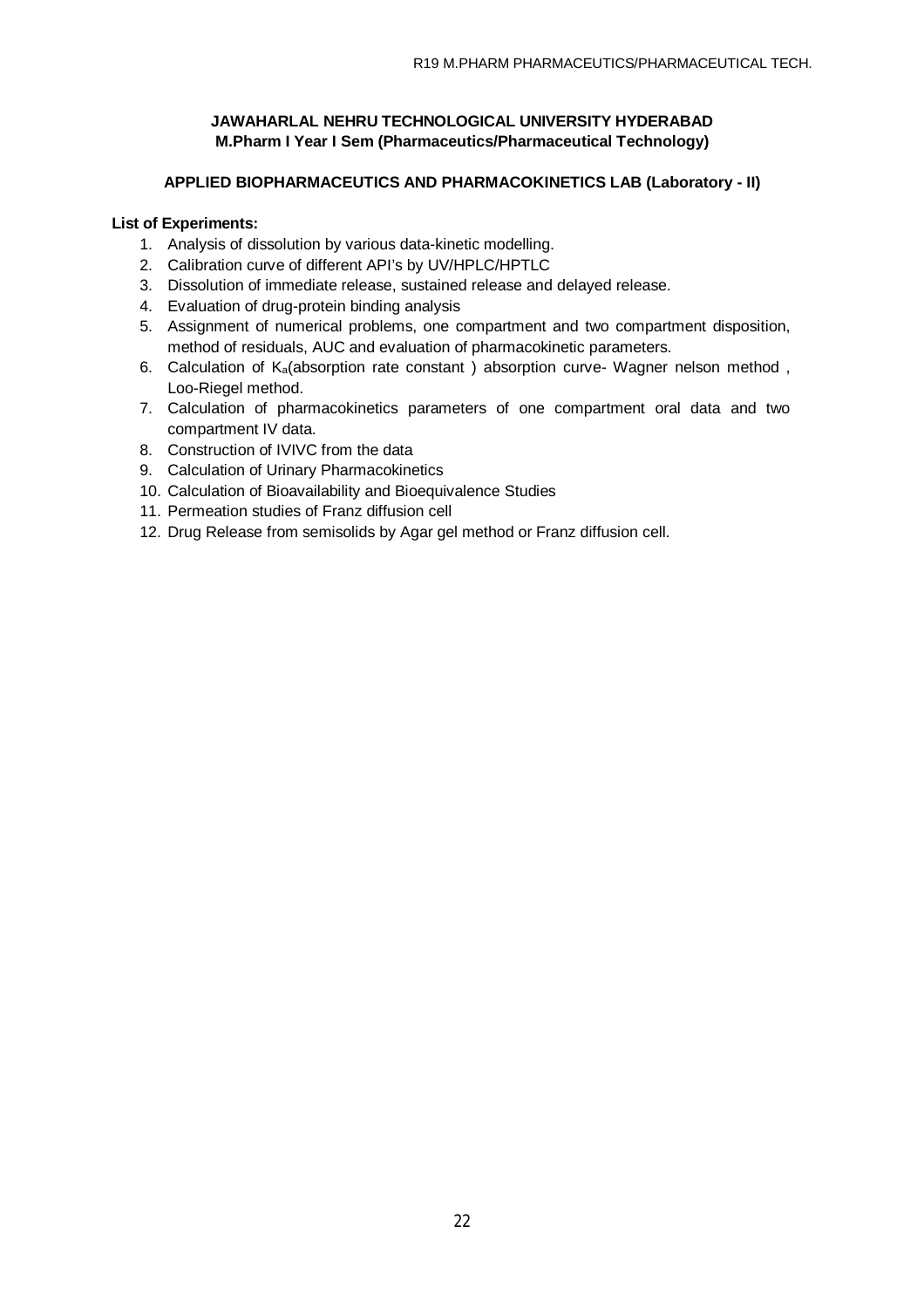### **APPLIED BIOPHARMACEUTICS AND PHARMACOKINETICS LAB (Laboratory - II)**

### **List of Experiments:**

- 1. Analysis of dissolution by various data-kinetic modelling.
- 2. Calibration curve of different API's by UV/HPLC/HPTLC
- 3. Dissolution of immediate release, sustained release and delayed release.
- 4. Evaluation of drug-protein binding analysis
- 5. Assignment of numerical problems, one compartment and two compartment disposition, method of residuals, AUC and evaluation of pharmacokinetic parameters.
- 6. Calculation of  $K_a$ (absorption rate constant) absorption curve- Wagner nelson method, Loo-Riegel method.
- 7. Calculation of pharmacokinetics parameters of one compartment oral data and two compartment IV data.
- 8. Construction of IVIVC from the data
- 9. Calculation of Urinary Pharmacokinetics
- 10. Calculation of Bioavailability and Bioequivalence Studies
- 11. Permeation studies of Franz diffusion cell
- 12. Drug Release from semisolids by Agar gel method or Franz diffusion cell.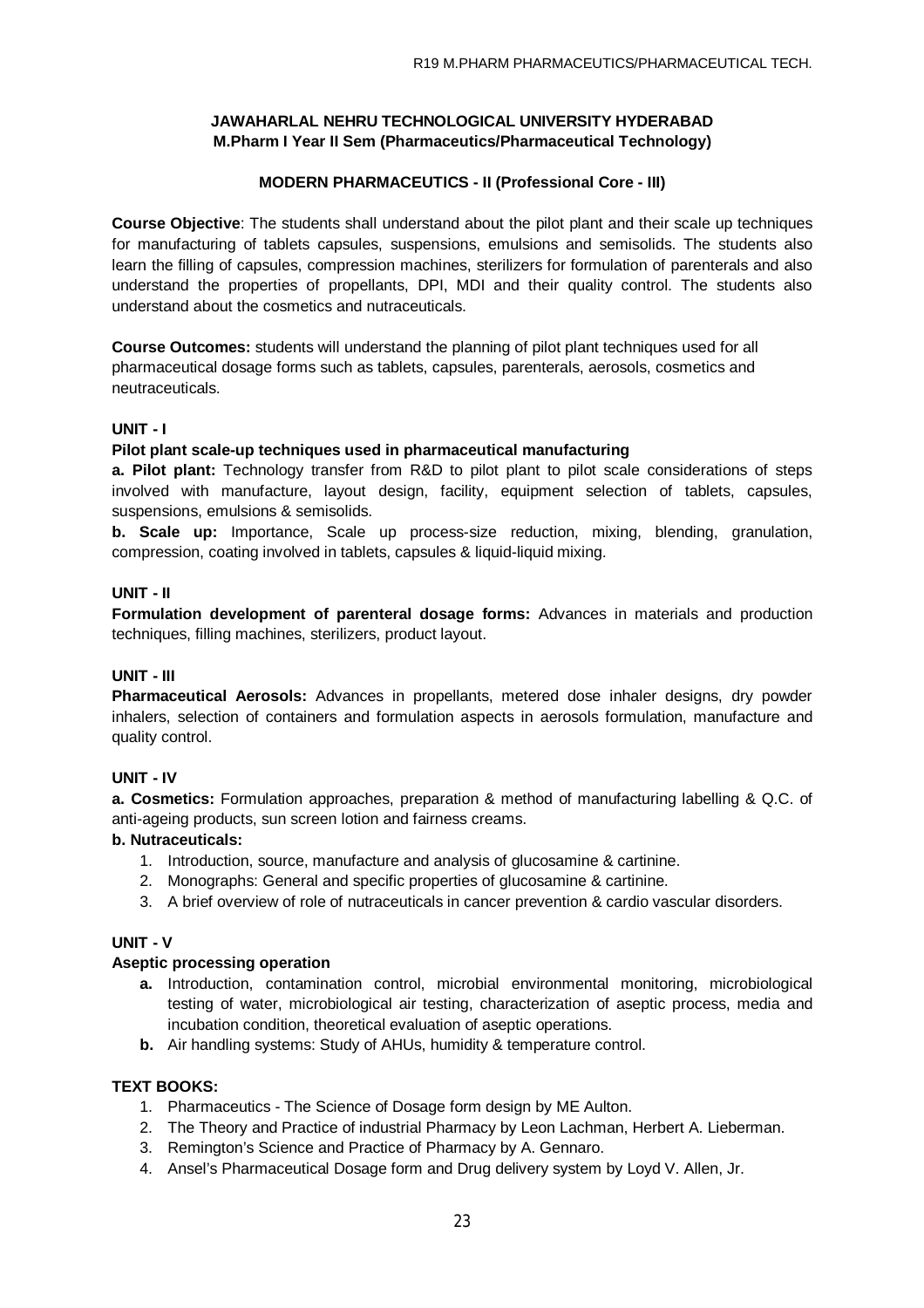## **MODERN PHARMACEUTICS - II (Professional Core - III)**

**Course Objective**: The students shall understand about the pilot plant and their scale up techniques for manufacturing of tablets capsules, suspensions, emulsions and semisolids. The students also learn the filling of capsules, compression machines, sterilizers for formulation of parenterals and also understand the properties of propellants, DPI, MDI and their quality control. The students also understand about the cosmetics and nutraceuticals.

**Course Outcomes:** students will understand the planning of pilot plant techniques used for all pharmaceutical dosage forms such as tablets, capsules, parenterals, aerosols, cosmetics and neutraceuticals.

### **UNIT - I**

### **Pilot plant scale-up techniques used in pharmaceutical manufacturing**

**a. Pilot plant:** Technology transfer from R&D to pilot plant to pilot scale considerations of steps involved with manufacture, layout design, facility, equipment selection of tablets, capsules, suspensions, emulsions & semisolids.

**b. Scale up:** Importance, Scale up process-size reduction, mixing, blending, granulation, compression, coating involved in tablets, capsules & liquid-liquid mixing.

### **UNIT - II**

**Formulation development of parenteral dosage forms:** Advances in materials and production techniques, filling machines, sterilizers, product layout.

### **UNIT - III**

**Pharmaceutical Aerosols:** Advances in propellants, metered dose inhaler designs, dry powder inhalers, selection of containers and formulation aspects in aerosols formulation, manufacture and quality control.

## **UNIT - IV**

**a. Cosmetics:** Formulation approaches, preparation & method of manufacturing labelling & Q.C. of anti-ageing products, sun screen lotion and fairness creams.

## **b. Nutraceuticals:**

- 1. Introduction, source, manufacture and analysis of glucosamine & cartinine.
- 2. Monographs: General and specific properties of glucosamine & cartinine.
- 3. A brief overview of role of nutraceuticals in cancer prevention & cardio vascular disorders.

### **UNIT - V**

### **Aseptic processing operation**

- **a.** Introduction, contamination control, microbial environmental monitoring, microbiological testing of water, microbiological air testing, characterization of aseptic process, media and incubation condition, theoretical evaluation of aseptic operations.
- **b.** Air handling systems: Study of AHUs, humidity & temperature control.

## **TEXT BOOKS:**

- 1. Pharmaceutics The Science of Dosage form design by ME Aulton.
- 2. The Theory and Practice of industrial Pharmacy by Leon Lachman, Herbert A. Lieberman.
- 3. Remington's Science and Practice of Pharmacy by A. Gennaro.
- 4. Ansel's Pharmaceutical Dosage form and Drug delivery system by Loyd V. Allen, Jr.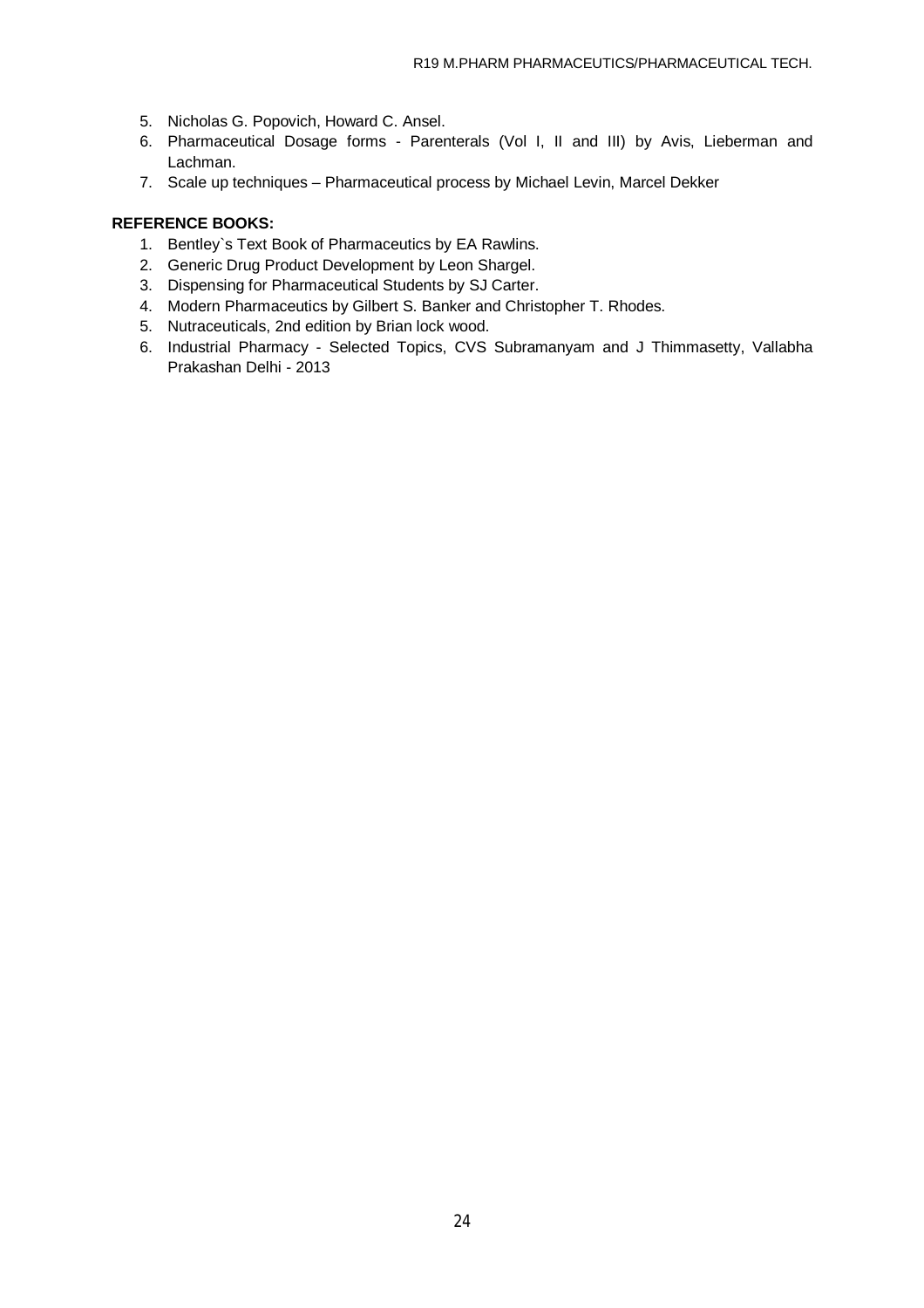- 5. Nicholas G. Popovich, Howard C. Ansel.
- 6. Pharmaceutical Dosage forms Parenterals (Vol I, II and III) by Avis, Lieberman and Lachman.
- 7. Scale up techniques Pharmaceutical process by Michael Levin, Marcel Dekker

### **REFERENCE BOOKS:**

- 1. Bentley`s Text Book of Pharmaceutics by EA Rawlins.
- 2. Generic Drug Product Development by Leon Shargel.
- 3. Dispensing for Pharmaceutical Students by SJ Carter.
- 4. Modern Pharmaceutics by Gilbert S. Banker and Christopher T. Rhodes.
- 5. Nutraceuticals, 2nd edition by Brian lock wood.
- 6. Industrial Pharmacy Selected Topics, CVS Subramanyam and J Thimmasetty, Vallabha Prakashan Delhi - 2013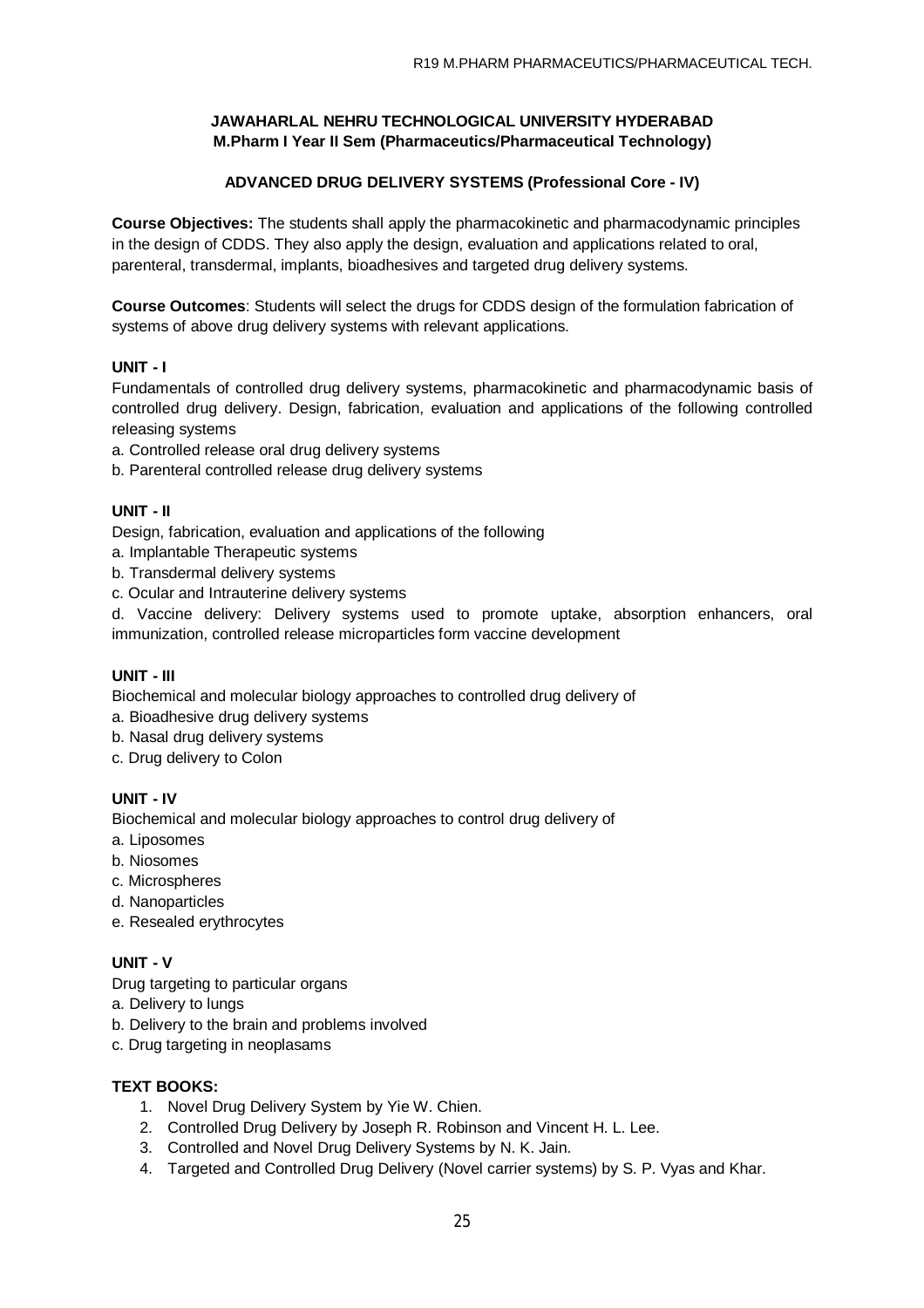## **ADVANCED DRUG DELIVERY SYSTEMS (Professional Core - IV)**

**Course Objectives:** The students shall apply the pharmacokinetic and pharmacodynamic principles in the design of CDDS. They also apply the design, evaluation and applications related to oral, parenteral, transdermal, implants, bioadhesives and targeted drug delivery systems.

**Course Outcomes**: Students will select the drugs for CDDS design of the formulation fabrication of systems of above drug delivery systems with relevant applications.

## **UNIT - I**

Fundamentals of controlled drug delivery systems, pharmacokinetic and pharmacodynamic basis of controlled drug delivery. Design, fabrication, evaluation and applications of the following controlled releasing systems

- a. Controlled release oral drug delivery systems
- b. Parenteral controlled release drug delivery systems

## **UNIT - II**

Design, fabrication, evaluation and applications of the following

- a. Implantable Therapeutic systems
- b. Transdermal delivery systems
- c. Ocular and Intrauterine delivery systems

d. Vaccine delivery: Delivery systems used to promote uptake, absorption enhancers, oral immunization, controlled release microparticles form vaccine development

## **UNIT - III**

Biochemical and molecular biology approaches to controlled drug delivery of

- a. Bioadhesive drug delivery systems
- b. Nasal drug delivery systems
- c. Drug delivery to Colon

## **UNIT - IV**

Biochemical and molecular biology approaches to control drug delivery of

- a. Liposomes
- b. Niosomes
- c. Microspheres
- d. Nanoparticles
- e. Resealed erythrocytes

## **UNIT - V**

Drug targeting to particular organs

- a. Delivery to lungs
- b. Delivery to the brain and problems involved
- c. Drug targeting in neoplasams

### **TEXT BOOKS:**

- 1. Novel Drug Delivery System by Yie W. Chien.
- 2. Controlled Drug Delivery by Joseph R. Robinson and Vincent H. L. Lee.
- 3. Controlled and Novel Drug Delivery Systems by N. K. Jain.
- 4. Targeted and Controlled Drug Delivery (Novel carrier systems) by S. P. Vyas and Khar.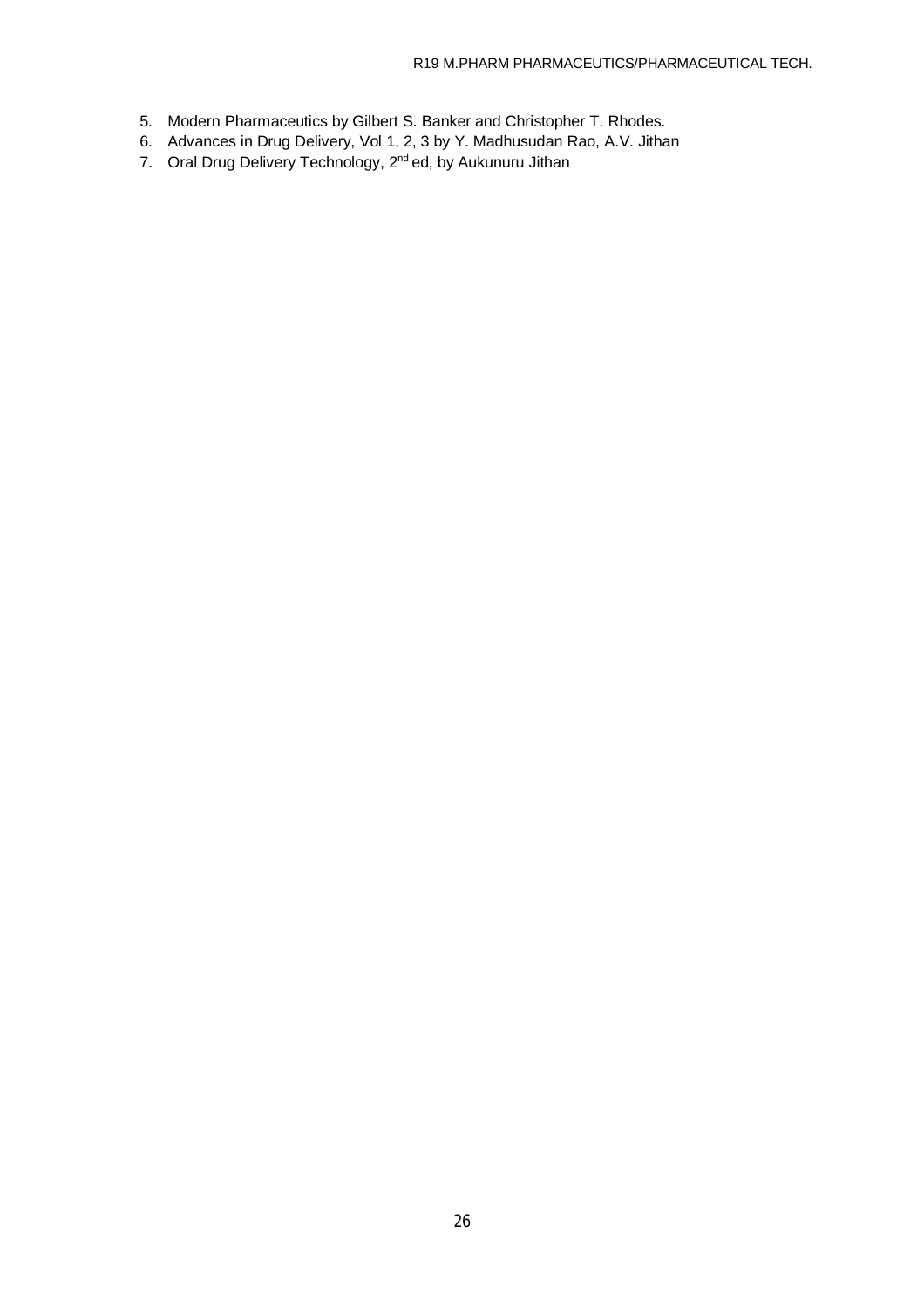- 5. Modern Pharmaceutics by Gilbert S. Banker and Christopher T. Rhodes.
- 6. Advances in Drug Delivery, Vol 1, 2, 3 by Y. Madhusudan Rao, A.V. Jithan
- 7. Oral Drug Delivery Technology, 2<sup>nd</sup> ed, by Aukunuru Jithan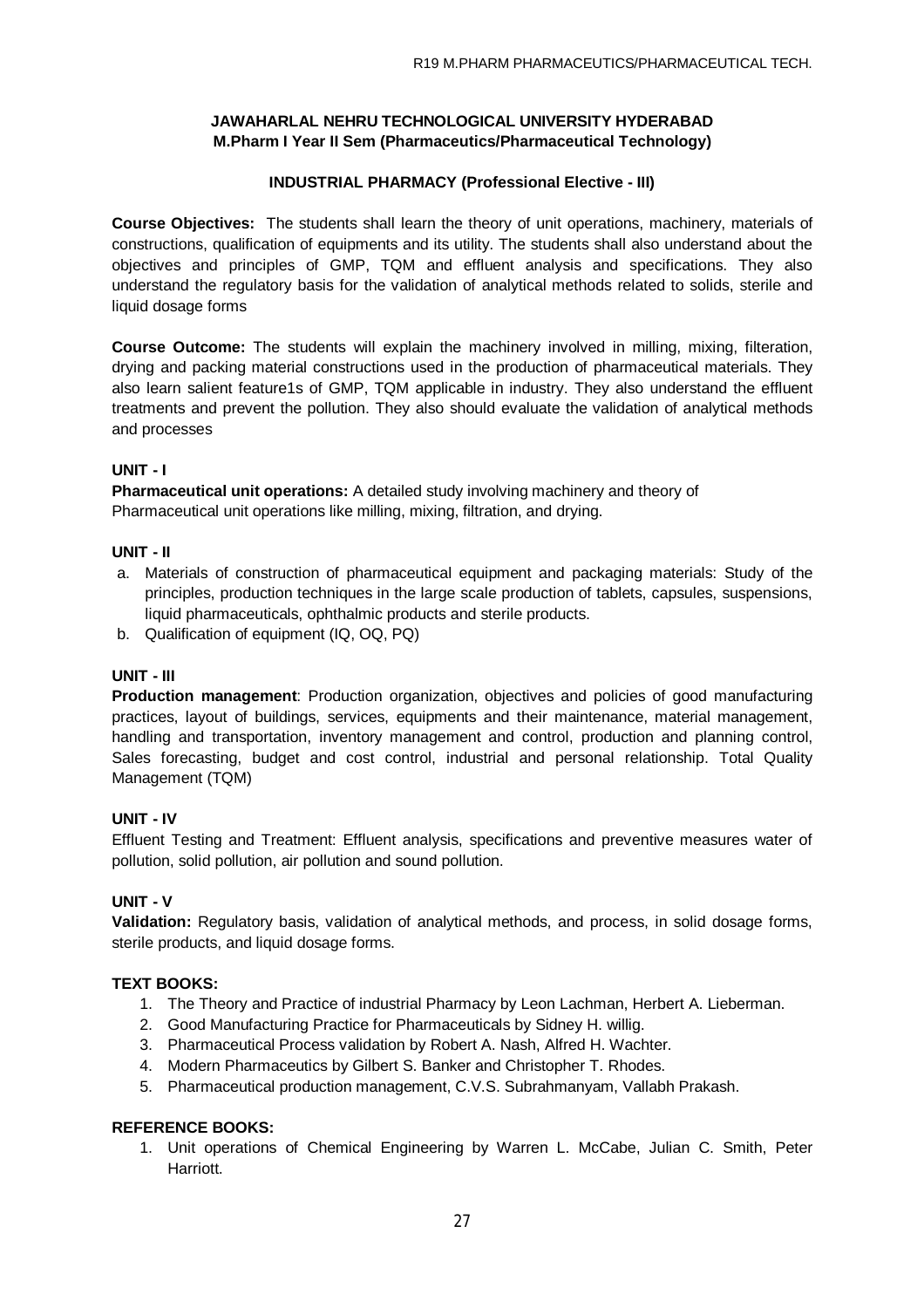## **INDUSTRIAL PHARMACY (Professional Elective - III)**

**Course Objectives:** The students shall learn the theory of unit operations, machinery, materials of constructions, qualification of equipments and its utility. The students shall also understand about the objectives and principles of GMP, TQM and effluent analysis and specifications. They also understand the regulatory basis for the validation of analytical methods related to solids, sterile and liquid dosage forms

**Course Outcome:** The students will explain the machinery involved in milling, mixing, filteration, drying and packing material constructions used in the production of pharmaceutical materials. They also learn salient feature1s of GMP, TQM applicable in industry. They also understand the effluent treatments and prevent the pollution. They also should evaluate the validation of analytical methods and processes

### **UNIT - I**

**Pharmaceutical unit operations:** A detailed study involving machinery and theory of Pharmaceutical unit operations like milling, mixing, filtration, and drying.

### **UNIT - II**

- a. Materials of construction of pharmaceutical equipment and packaging materials: Study of the principles, production techniques in the large scale production of tablets, capsules, suspensions, liquid pharmaceuticals, ophthalmic products and sterile products.
- b. Qualification of equipment (IQ, OQ, PQ)

### **UNIT - III**

**Production management**: Production organization, objectives and policies of good manufacturing practices, layout of buildings, services, equipments and their maintenance, material management, handling and transportation, inventory management and control, production and planning control, Sales forecasting, budget and cost control, industrial and personal relationship. Total Quality Management (TQM)

### **UNIT - IV**

Effluent Testing and Treatment: Effluent analysis, specifications and preventive measures water of pollution, solid pollution, air pollution and sound pollution.

### **UNIT - V**

**Validation:** Regulatory basis, validation of analytical methods, and process, in solid dosage forms, sterile products, and liquid dosage forms.

## **TEXT BOOKS:**

- 1. The Theory and Practice of industrial Pharmacy by Leon Lachman, Herbert A. Lieberman.
- 2. Good Manufacturing Practice for Pharmaceuticals by Sidney H. willig.
- 3. Pharmaceutical Process validation by Robert A. Nash, Alfred H. Wachter.
- 4. Modern Pharmaceutics by Gilbert S. Banker and Christopher T. Rhodes.
- 5. Pharmaceutical production management, C.V.S. Subrahmanyam, Vallabh Prakash.

### **REFERENCE BOOKS:**

1. Unit operations of Chemical Engineering by Warren L. McCabe, Julian C. Smith, Peter **Harriott**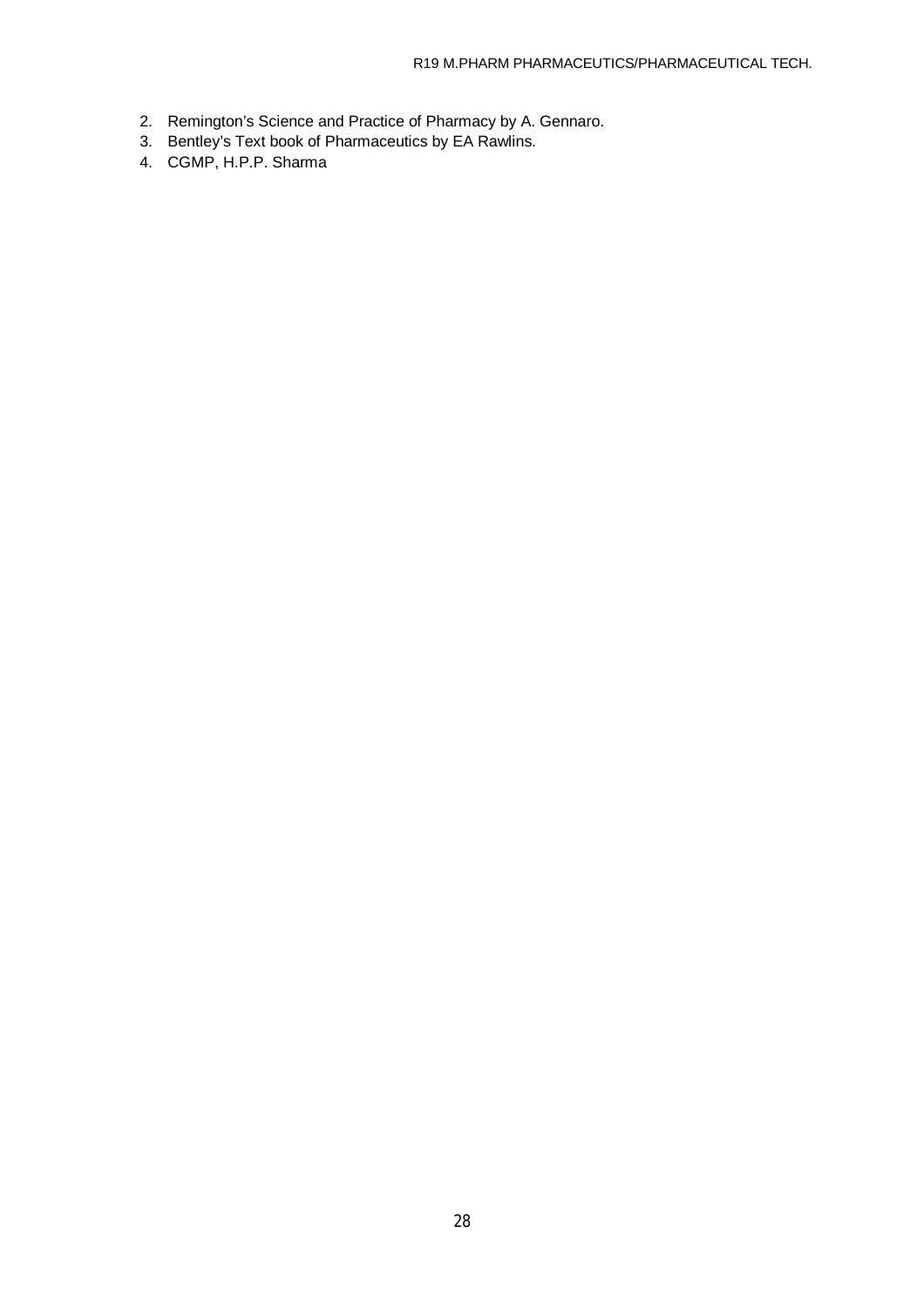- 2. Remington's Science and Practice of Pharmacy by A. Gennaro.
- 3. Bentley's Text book of Pharmaceutics by EA Rawlins.
- 4. CGMP, H.P.P. Sharma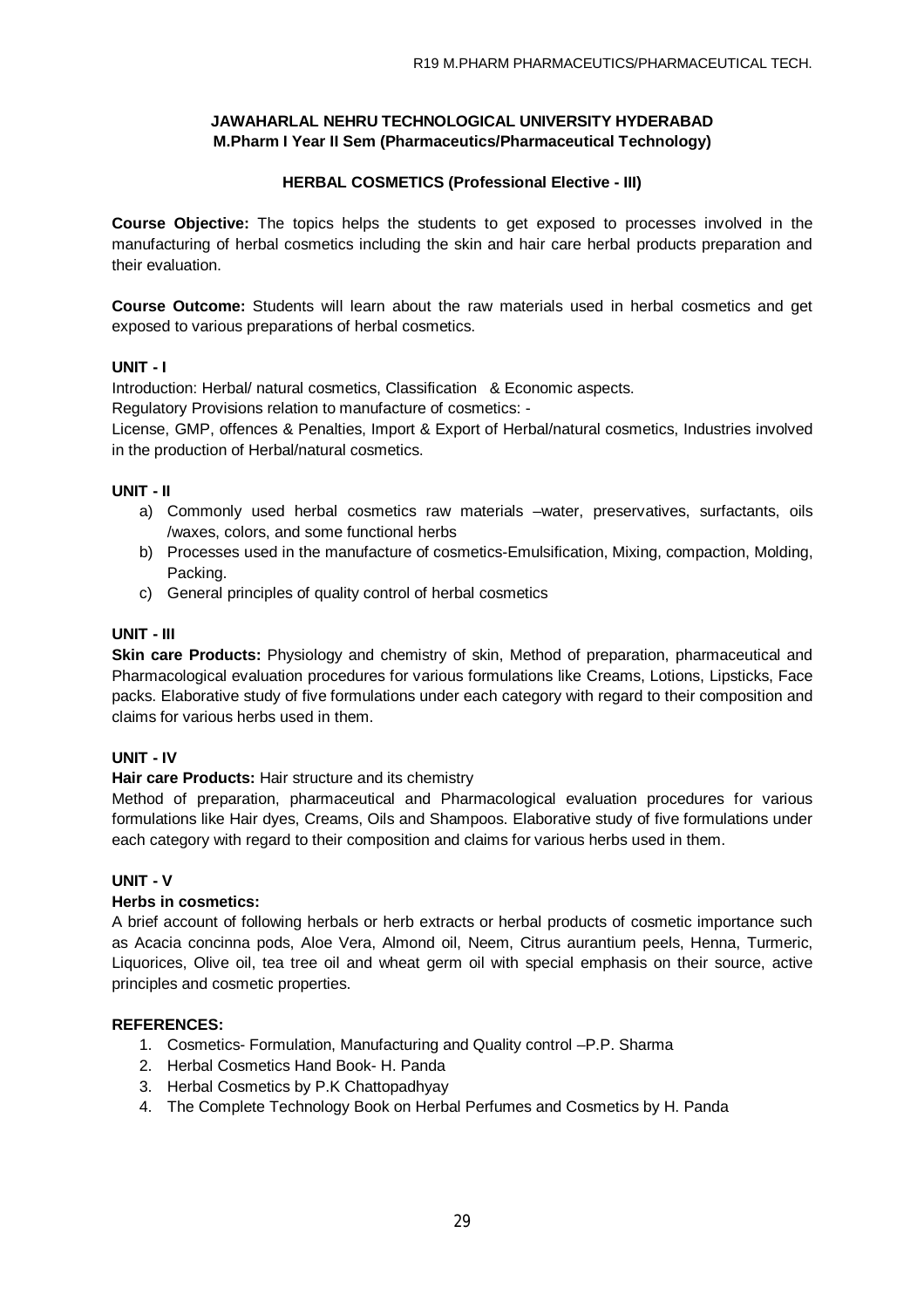## **HERBAL COSMETICS (Professional Elective - III)**

**Course Objective:** The topics helps the students to get exposed to processes involved in the manufacturing of herbal cosmetics including the skin and hair care herbal products preparation and their evaluation.

**Course Outcome:** Students will learn about the raw materials used in herbal cosmetics and get exposed to various preparations of herbal cosmetics.

### **UNIT - I**

Introduction: Herbal/ natural cosmetics, Classification & Economic aspects.

Regulatory Provisions relation to manufacture of cosmetics: -

License, GMP, offences & Penalties, Import & Export of Herbal/natural cosmetics, Industries involved in the production of Herbal/natural cosmetics.

### **UNIT - II**

- a) Commonly used herbal cosmetics raw materials –water, preservatives, surfactants, oils /waxes, colors, and some functional herbs
- b) Processes used in the manufacture of cosmetics-Emulsification, Mixing, compaction, Molding, Packing.
- c) General principles of quality control of herbal cosmetics

### **UNIT - III**

**Skin care Products:** Physiology and chemistry of skin, Method of preparation, pharmaceutical and Pharmacological evaluation procedures for various formulations like Creams, Lotions, Lipsticks, Face packs. Elaborative study of five formulations under each category with regard to their composition and claims for various herbs used in them.

### **UNIT - IV**

### **Hair care Products:** Hair structure and its chemistry

Method of preparation, pharmaceutical and Pharmacological evaluation procedures for various formulations like Hair dyes, Creams, Oils and Shampoos. Elaborative study of five formulations under each category with regard to their composition and claims for various herbs used in them.

### **UNIT - V**

### **Herbs in cosmetics:**

A brief account of following herbals or herb extracts or herbal products of cosmetic importance such as Acacia concinna pods, Aloe Vera, Almond oil, Neem, Citrus aurantium peels, Henna, Turmeric, Liquorices, Olive oil, tea tree oil and wheat germ oil with special emphasis on their source, active principles and cosmetic properties.

### **REFERENCES:**

- 1. Cosmetics- Formulation, Manufacturing and Quality control –P.P. Sharma
- 2. Herbal Cosmetics Hand Book- H. Panda
- 3. Herbal Cosmetics by P.K Chattopadhyay
- 4. The Complete Technology Book on Herbal Perfumes and Cosmetics by H. Panda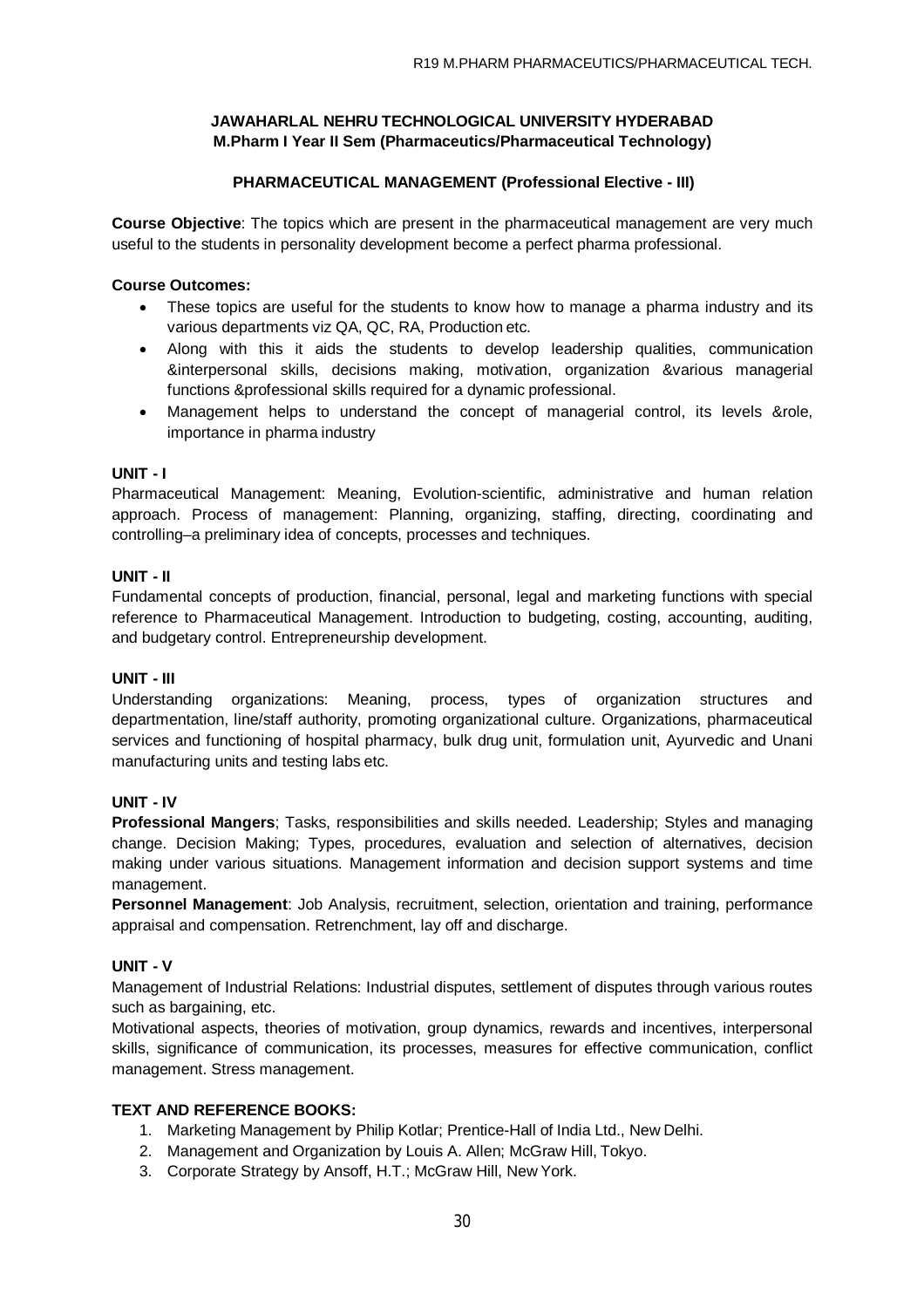## **PHARMACEUTICAL MANAGEMENT (Professional Elective - III)**

**Course Objective**: The topics which are present in the pharmaceutical management are very much useful to the students in personality development become a perfect pharma professional.

### **Course Outcomes:**

- These topics are useful for the students to know how to manage a pharma industry and its various departments viz QA, QC, RA, Production etc.
- Along with this it aids the students to develop leadership qualities, communication &interpersonal skills, decisions making, motivation, organization &various managerial functions &professional skills required for a dynamic professional.
- Management helps to understand the concept of managerial control, its levels &role, importance in pharma industry

### **UNIT - I**

Pharmaceutical Management: Meaning, Evolution-scientific, administrative and human relation approach. Process of management: Planning, organizing, staffing, directing, coordinating and controlling–a preliminary idea of concepts, processes and techniques.

#### **UNIT - II**

Fundamental concepts of production, financial, personal, legal and marketing functions with special reference to Pharmaceutical Management. Introduction to budgeting, costing, accounting, auditing, and budgetary control. Entrepreneurship development.

#### **UNIT - III**

Understanding organizations: Meaning, process, types of organization structures and departmentation, line/staff authority, promoting organizational culture. Organizations, pharmaceutical services and functioning of hospital pharmacy, bulk drug unit, formulation unit, Ayurvedic and Unani manufacturing units and testing labs etc.

### **UNIT - IV**

**Professional Mangers**; Tasks, responsibilities and skills needed. Leadership; Styles and managing change. Decision Making; Types, procedures, evaluation and selection of alternatives, decision making under various situations. Management information and decision support systems and time management.

**Personnel Management**: Job Analysis, recruitment, selection, orientation and training, performance appraisal and compensation. Retrenchment, lay off and discharge.

### **UNIT - V**

Management of Industrial Relations: Industrial disputes, settlement of disputes through various routes such as bargaining, etc.

Motivational aspects, theories of motivation, group dynamics, rewards and incentives, interpersonal skills, significance of communication, its processes, measures for effective communication, conflict management. Stress management.

### **TEXT AND REFERENCE BOOKS:**

- 1. Marketing Management by Philip Kotlar; Prentice-Hall of India Ltd., New Delhi.
- 2. Management and Organization by Louis A. Allen; McGraw Hill, Tokyo.
- 3. Corporate Strategy by Ansoff, H.T.; McGraw Hill, New York.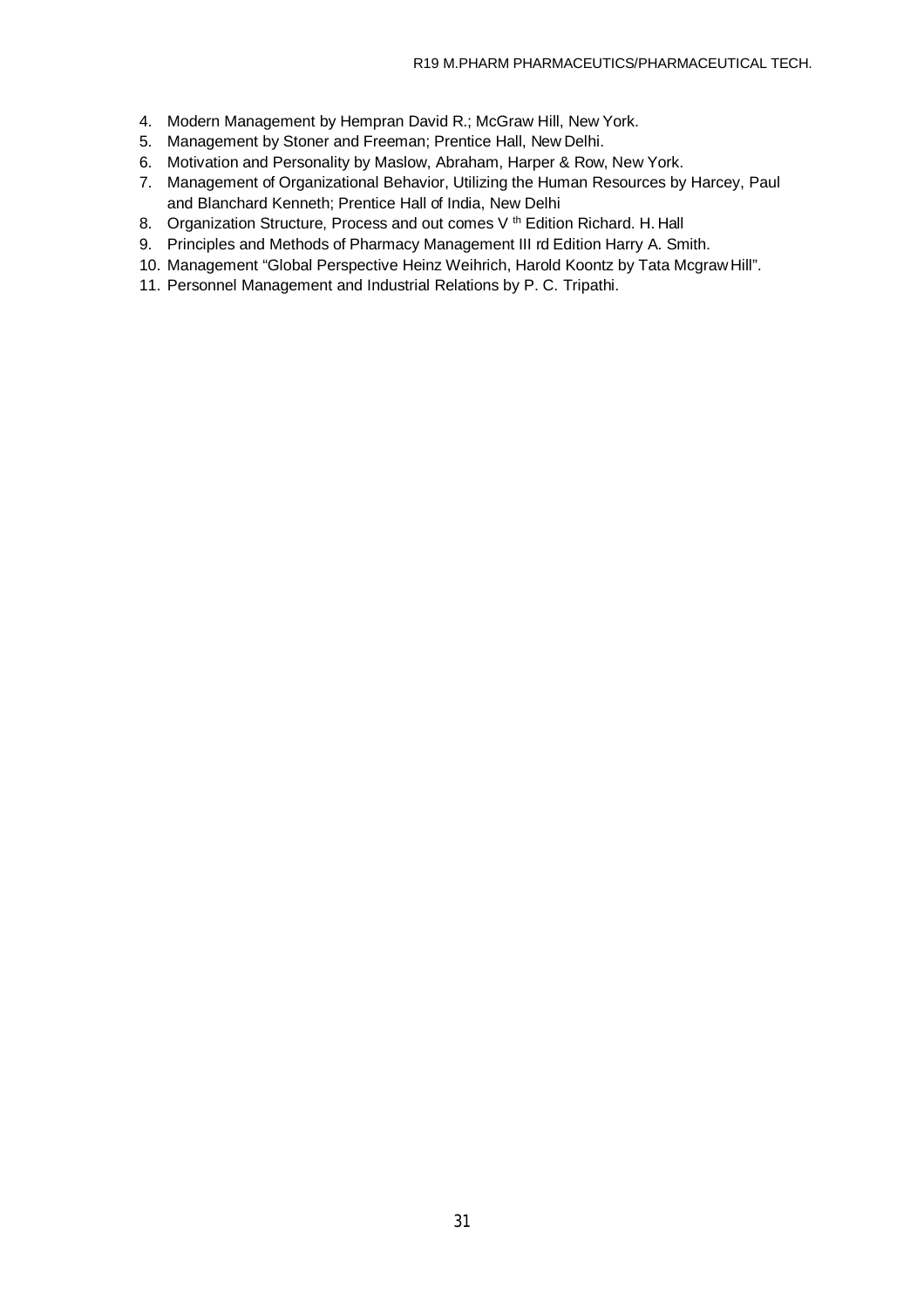- 4. Modern Management by Hempran David R.; McGraw Hill, New York.
- 5. Management by Stoner and Freeman; Prentice Hall, New Delhi.
- 6. Motivation and Personality by Maslow, Abraham, Harper & Row, New York.
- 7. Management of Organizational Behavior, Utilizing the Human Resources by Harcey, Paul and Blanchard Kenneth; Prentice Hall of India, New Delhi
- 8. Organization Structure, Process and out comes V<sup>th</sup> Edition Richard. H. Hall
- 9. Principles and Methods of Pharmacy Management III rd Edition Harry A. Smith.
- 10. Management "Global Perspective Heinz Weihrich, Harold Koontz by Tata McgrawHill".
- 11. Personnel Management and Industrial Relations by P. C. Tripathi.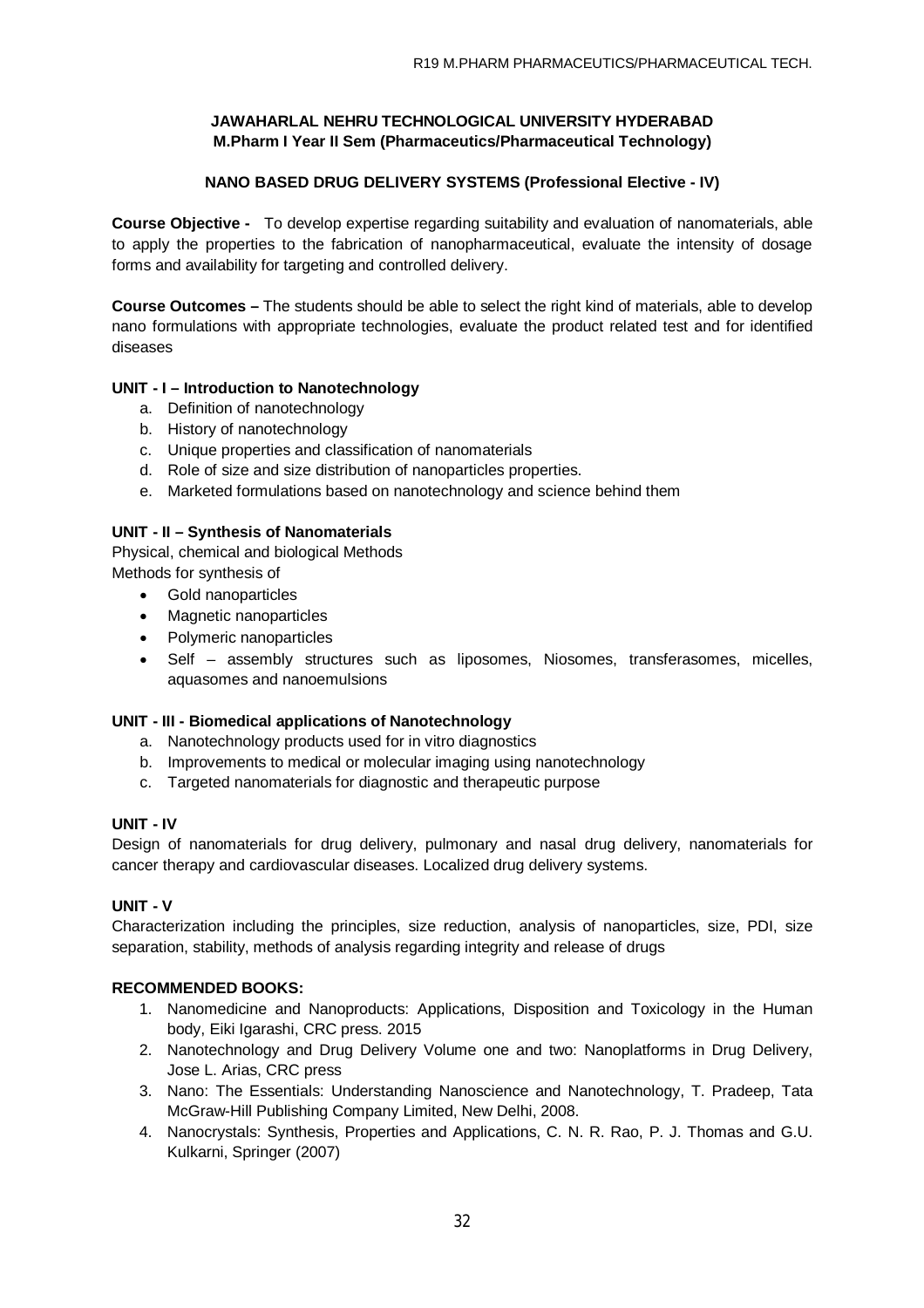## **NANO BASED DRUG DELIVERY SYSTEMS (Professional Elective - IV)**

**Course Objective -** To develop expertise regarding suitability and evaluation of nanomaterials, able to apply the properties to the fabrication of nanopharmaceutical, evaluate the intensity of dosage forms and availability for targeting and controlled delivery.

**Course Outcomes –** The students should be able to select the right kind of materials, able to develop nano formulations with appropriate technologies, evaluate the product related test and for identified diseases

## **UNIT - I – Introduction to Nanotechnology**

- a. Definition of nanotechnology
- b. History of nanotechnology
- c. Unique properties and classification of nanomaterials
- d. Role of size and size distribution of nanoparticles properties.
- e. Marketed formulations based on nanotechnology and science behind them

### **UNIT - II – Synthesis of Nanomaterials**

Physical, chemical and biological Methods Methods for synthesis of

- Gold nanoparticles
- Magnetic nanoparticles
- Polymeric nanoparticles
- Self assembly structures such as liposomes, Niosomes, transferasomes, micelles, aquasomes and nanoemulsions

## **UNIT - III - Biomedical applications of Nanotechnology**

- a. Nanotechnology products used for in vitro diagnostics
- b. Improvements to medical or molecular imaging using nanotechnology
- c. Targeted nanomaterials for diagnostic and therapeutic purpose

### **UNIT - IV**

Design of nanomaterials for drug delivery, pulmonary and nasal drug delivery, nanomaterials for cancer therapy and cardiovascular diseases. Localized drug delivery systems.

### **UNIT - V**

Characterization including the principles, size reduction, analysis of nanoparticles, size, PDI, size separation, stability, methods of analysis regarding integrity and release of drugs

### **RECOMMENDED BOOKS:**

- 1. Nanomedicine and Nanoproducts: Applications, Disposition and Toxicology in the Human body, Eiki Igarashi, CRC press. 2015
- 2. Nanotechnology and Drug Delivery Volume one and two: Nanoplatforms in Drug Delivery, Jose L. Arias, CRC press
- 3. Nano: The Essentials: Understanding Nanoscience and Nanotechnology, T. Pradeep, Tata McGraw-Hill Publishing Company Limited, New Delhi, 2008.
- 4. Nanocrystals: Synthesis, Properties and Applications, C. N. R. Rao, P. J. Thomas and G.U. Kulkarni, Springer (2007)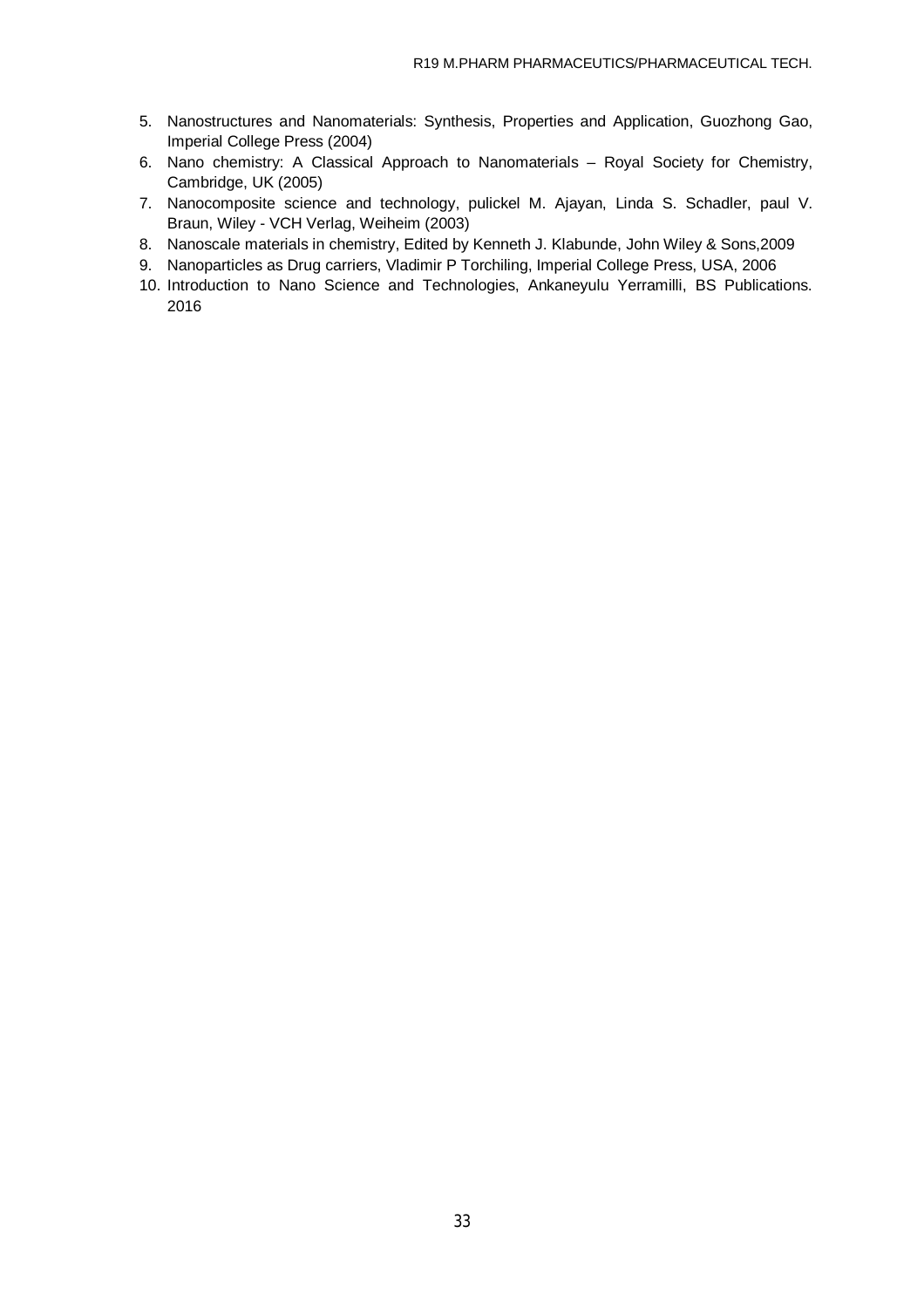- 5. Nanostructures and Nanomaterials: Synthesis, Properties and Application, Guozhong Gao, Imperial College Press (2004)
- 6. Nano chemistry: A Classical Approach to Nanomaterials Royal Society for Chemistry, Cambridge, UK (2005)
- 7. Nanocomposite science and technology, pulickel M. Ajayan, Linda S. Schadler, paul V. Braun, Wiley - VCH Verlag, Weiheim (2003)
- 8. Nanoscale materials in chemistry, Edited by Kenneth J. Klabunde, John Wiley & Sons,2009
- 9. Nanoparticles as Drug carriers, Vladimir P Torchiling, Imperial College Press, USA, 2006
- 10. Introduction to Nano Science and Technologies, Ankaneyulu Yerramilli, BS Publications. 2016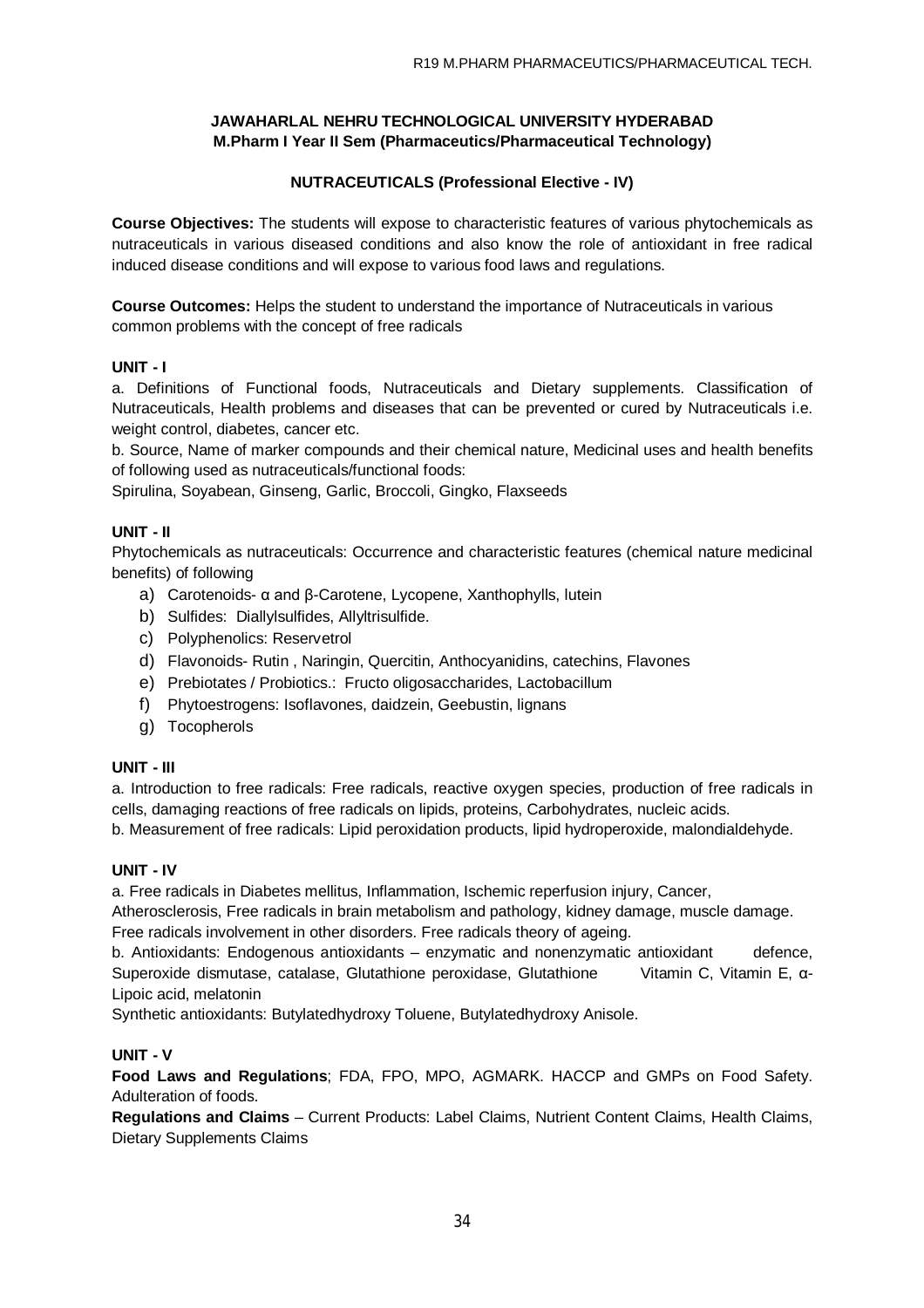## **NUTRACEUTICALS (Professional Elective - IV)**

**Course Objectives:** The students will expose to characteristic features of various phytochemicals as nutraceuticals in various diseased conditions and also know the role of antioxidant in free radical induced disease conditions and will expose to various food laws and regulations.

**Course Outcomes:** Helps the student to understand the importance of Nutraceuticals in various common problems with the concept of free radicals

### **UNIT - I**

a. Definitions of Functional foods, Nutraceuticals and Dietary supplements. Classification of Nutraceuticals, Health problems and diseases that can be prevented or cured by Nutraceuticals i.e. weight control, diabetes, cancer etc.

b. Source, Name of marker compounds and their chemical nature, Medicinal uses and health benefits of following used as nutraceuticals/functional foods:

Spirulina, Soyabean, Ginseng, Garlic, Broccoli, Gingko, Flaxseeds

### **UNIT - II**

Phytochemicals as nutraceuticals: Occurrence and characteristic features (chemical nature medicinal benefits) of following

- a) Carotenoids- α and β-Carotene, Lycopene, Xanthophylls, lutein
- b) Sulfides: Diallylsulfides, Allyltrisulfide.
- c) Polyphenolics: Reservetrol
- d) Flavonoids- Rutin , Naringin, Quercitin, Anthocyanidins, catechins, Flavones
- e) Prebiotates / Probiotics.: Fructo oligosaccharides, Lactobacillum
- f) Phytoestrogens: Isoflavones, daidzein, Geebustin, lignans
- g) Tocopherols

### **UNIT - III**

a. Introduction to free radicals: Free radicals, reactive oxygen species, production of free radicals in cells, damaging reactions of free radicals on lipids, proteins, Carbohydrates, nucleic acids.

b. Measurement of free radicals: Lipid peroxidation products, lipid hydroperoxide, malondialdehyde.

### **UNIT - IV**

a. Free radicals in Diabetes mellitus, Inflammation, Ischemic reperfusion injury, Cancer,

Atherosclerosis, Free radicals in brain metabolism and pathology, kidney damage, muscle damage. Free radicals involvement in other disorders. Free radicals theory of ageing.

b. Antioxidants: Endogenous antioxidants – enzymatic and nonenzymatic antioxidant defence, Superoxide dismutase, catalase, Glutathione peroxidase, Glutathione Vitamin C, Vitamin E, α-Lipoic acid, melatonin

Synthetic antioxidants: Butylatedhydroxy Toluene, Butylatedhydroxy Anisole.

### **UNIT - V**

**Food Laws and Regulations**; FDA, FPO, MPO, AGMARK. HACCP and GMPs on Food Safety. Adulteration of foods.

**Regulations and Claims** – Current Products: Label Claims, Nutrient Content Claims, Health Claims, Dietary Supplements Claims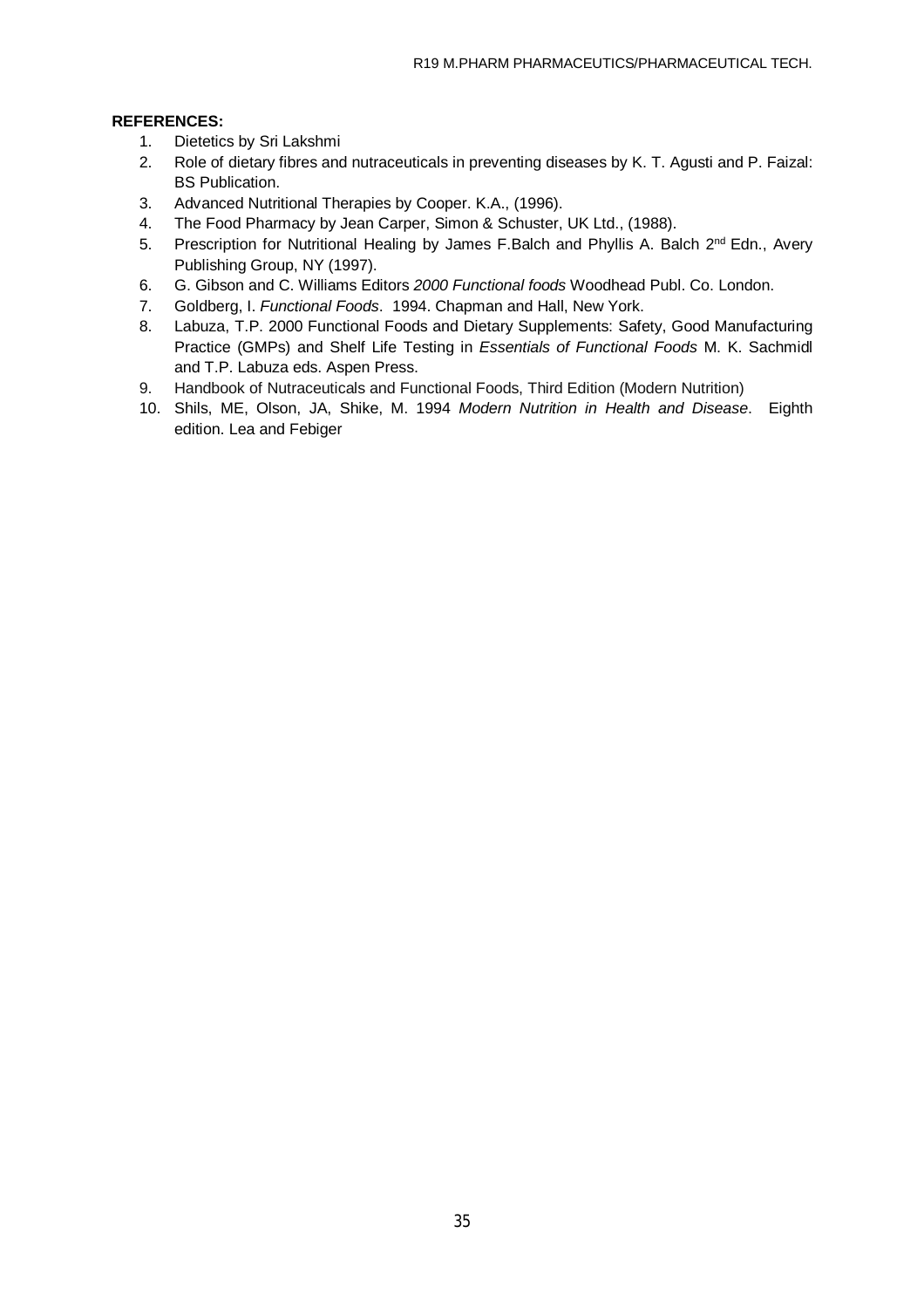## **REFERENCES:**

- 1. Dietetics by Sri Lakshmi
- 2. Role of dietary fibres and nutraceuticals in preventing diseases by K. T. Agusti and P. Faizal: BS Publication.
- 3. Advanced Nutritional Therapies by Cooper. K.A., (1996).
- 4. The Food Pharmacy by Jean Carper, Simon & Schuster, UK Ltd., (1988).
- 5. Prescription for Nutritional Healing by James F.Balch and Phyllis A. Balch  $2^{nd}$  Edn., Avery Publishing Group, NY (1997).
- 6. G. Gibson and C. Williams Editors *2000 Functional foods* Woodhead Publ. Co. London.
- 7. Goldberg, I. *Functional Foods*. 1994. Chapman and Hall, New York.
- 8. Labuza, T.P. 2000 Functional Foods and Dietary Supplements: Safety, Good Manufacturing Practice (GMPs) and Shelf Life Testing in *Essentials of Functional Foods* M. K. Sachmidl and T.P. Labuza eds. Aspen Press.
- 9. Handbook of Nutraceuticals and Functional Foods, Third Edition (Modern Nutrition)
- 10. Shils, ME, Olson, JA, Shike, M. 1994 *Modern Nutrition in Health and Disease*. Eighth edition. Lea and Febiger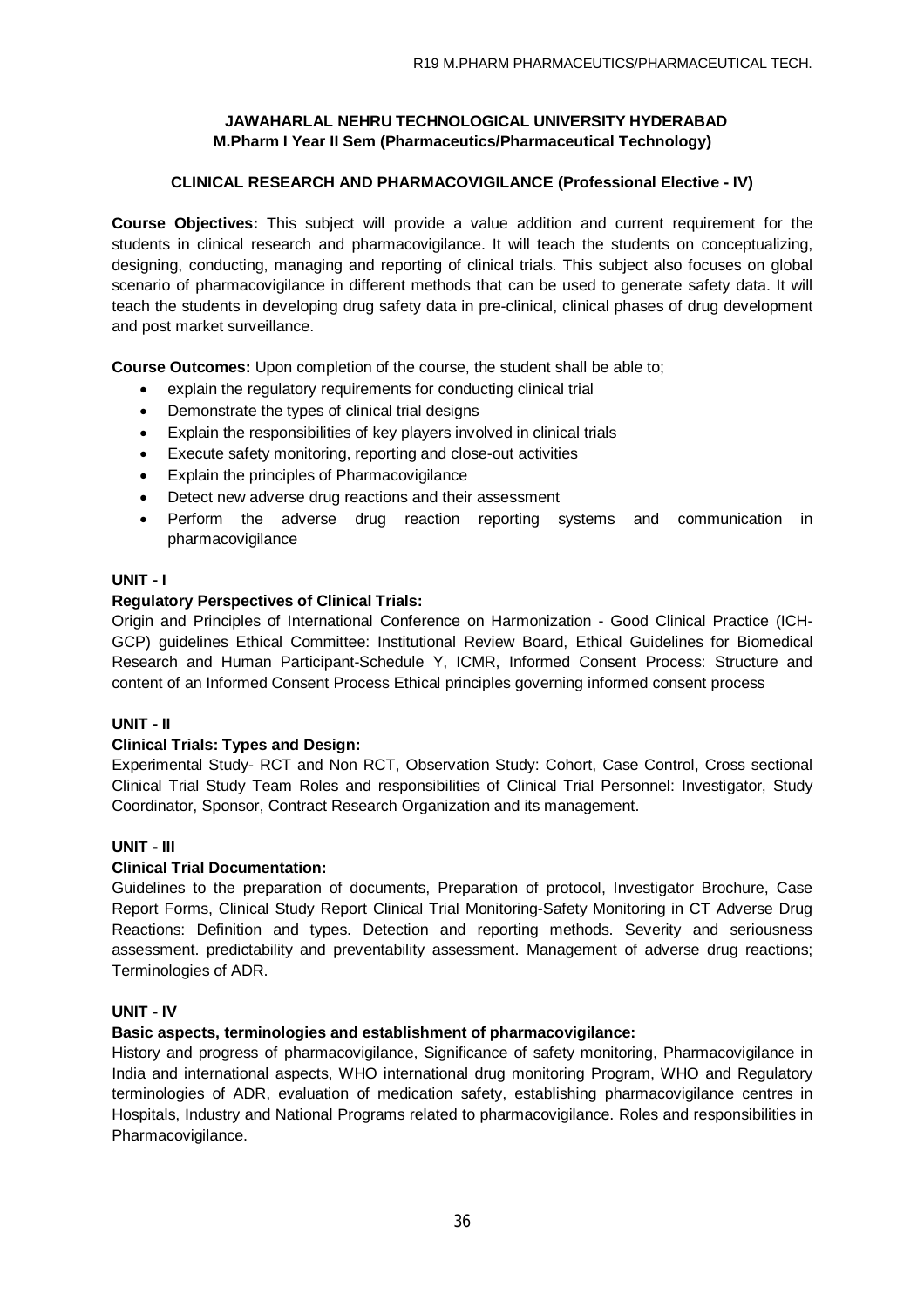## **CLINICAL RESEARCH AND PHARMACOVIGILANCE (Professional Elective - IV)**

**Course Objectives:** This subject will provide a value addition and current requirement for the students in clinical research and pharmacovigilance. It will teach the students on conceptualizing, designing, conducting, managing and reporting of clinical trials. This subject also focuses on global scenario of pharmacovigilance in different methods that can be used to generate safety data. It will teach the students in developing drug safety data in pre-clinical, clinical phases of drug development and post market surveillance.

**Course Outcomes:** Upon completion of the course, the student shall be able to;

- explain the regulatory requirements for conducting clinical trial
- Demonstrate the types of clinical trial designs
- Explain the responsibilities of key players involved in clinical trials
- Execute safety monitoring, reporting and close-out activities
- Explain the principles of Pharmacovigilance
- Detect new adverse drug reactions and their assessment
- Perform the adverse drug reaction reporting systems and communication in pharmacovigilance

### **UNIT - I**

### **Regulatory Perspectives of Clinical Trials:**

Origin and Principles of International Conference on Harmonization - Good Clinical Practice (ICH-GCP) guidelines Ethical Committee: Institutional Review Board, Ethical Guidelines for Biomedical Research and Human Participant-Schedule Y, ICMR, Informed Consent Process: Structure and content of an Informed Consent Process Ethical principles governing informed consent process

### **UNIT - II**

### **Clinical Trials: Types and Design:**

Experimental Study- RCT and Non RCT, Observation Study: Cohort, Case Control, Cross sectional Clinical Trial Study Team Roles and responsibilities of Clinical Trial Personnel: Investigator, Study Coordinator, Sponsor, Contract Research Organization and its management.

### **UNIT - III**

### **Clinical Trial Documentation:**

Guidelines to the preparation of documents, Preparation of protocol, Investigator Brochure, Case Report Forms, Clinical Study Report Clinical Trial Monitoring-Safety Monitoring in CT Adverse Drug Reactions: Definition and types. Detection and reporting methods. Severity and seriousness assessment. predictability and preventability assessment. Management of adverse drug reactions; Terminologies of ADR.

### **UNIT - IV**

### **Basic aspects, terminologies and establishment of pharmacovigilance:**

History and progress of pharmacovigilance, Significance of safety monitoring, Pharmacovigilance in India and international aspects, WHO international drug monitoring Program, WHO and Regulatory terminologies of ADR, evaluation of medication safety, establishing pharmacovigilance centres in Hospitals, Industry and National Programs related to pharmacovigilance. Roles and responsibilities in Pharmacovigilance.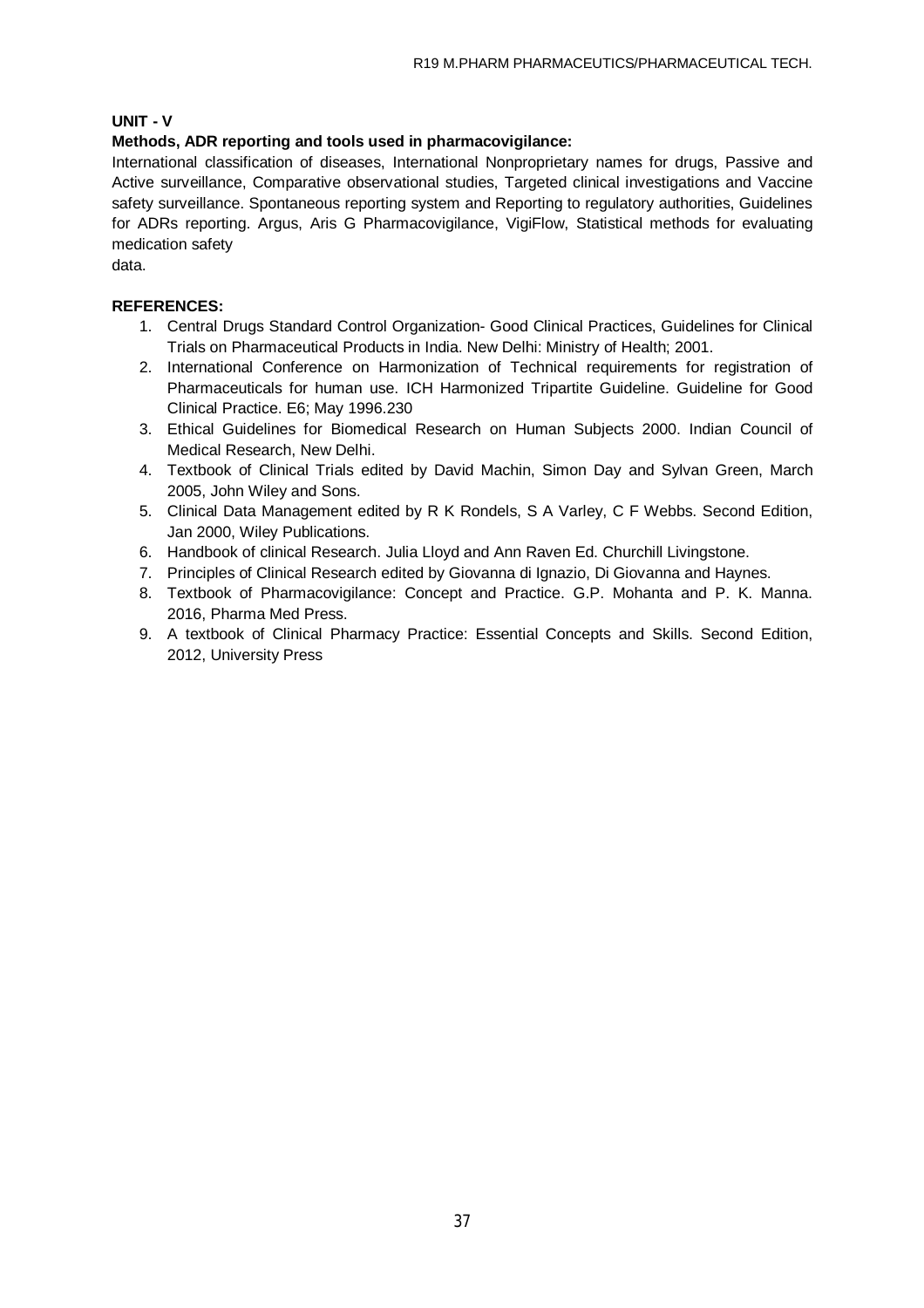## **UNIT - V**

## **Methods, ADR reporting and tools used in pharmacovigilance:**

International classification of diseases, International Nonproprietary names for drugs, Passive and Active surveillance, Comparative observational studies, Targeted clinical investigations and Vaccine safety surveillance. Spontaneous reporting system and Reporting to regulatory authorities, Guidelines for ADRs reporting. Argus, Aris G Pharmacovigilance, VigiFlow, Statistical methods for evaluating medication safety

data.

## **REFERENCES:**

- 1. Central Drugs Standard Control Organization- Good Clinical Practices, Guidelines for Clinical Trials on Pharmaceutical Products in India. New Delhi: Ministry of Health; 2001.
- 2. International Conference on Harmonization of Technical requirements for registration of Pharmaceuticals for human use. ICH Harmonized Tripartite Guideline. Guideline for Good Clinical Practice. E6; May 1996.230
- 3. Ethical Guidelines for Biomedical Research on Human Subjects 2000. Indian Council of Medical Research, New Delhi.
- 4. Textbook of Clinical Trials edited by David Machin, Simon Day and Sylvan Green, March 2005, John Wiley and Sons.
- 5. Clinical Data Management edited by R K Rondels, S A Varley, C F Webbs. Second Edition, Jan 2000, Wiley Publications.
- 6. Handbook of clinical Research. Julia Lloyd and Ann Raven Ed. Churchill Livingstone.
- 7. Principles of Clinical Research edited by Giovanna di Ignazio, Di Giovanna and Haynes.
- 8. Textbook of Pharmacovigilance: Concept and Practice. G.P. Mohanta and P. K. Manna. 2016, Pharma Med Press.
- 9. A textbook of Clinical Pharmacy Practice: Essential Concepts and Skills. Second Edition, 2012, University Press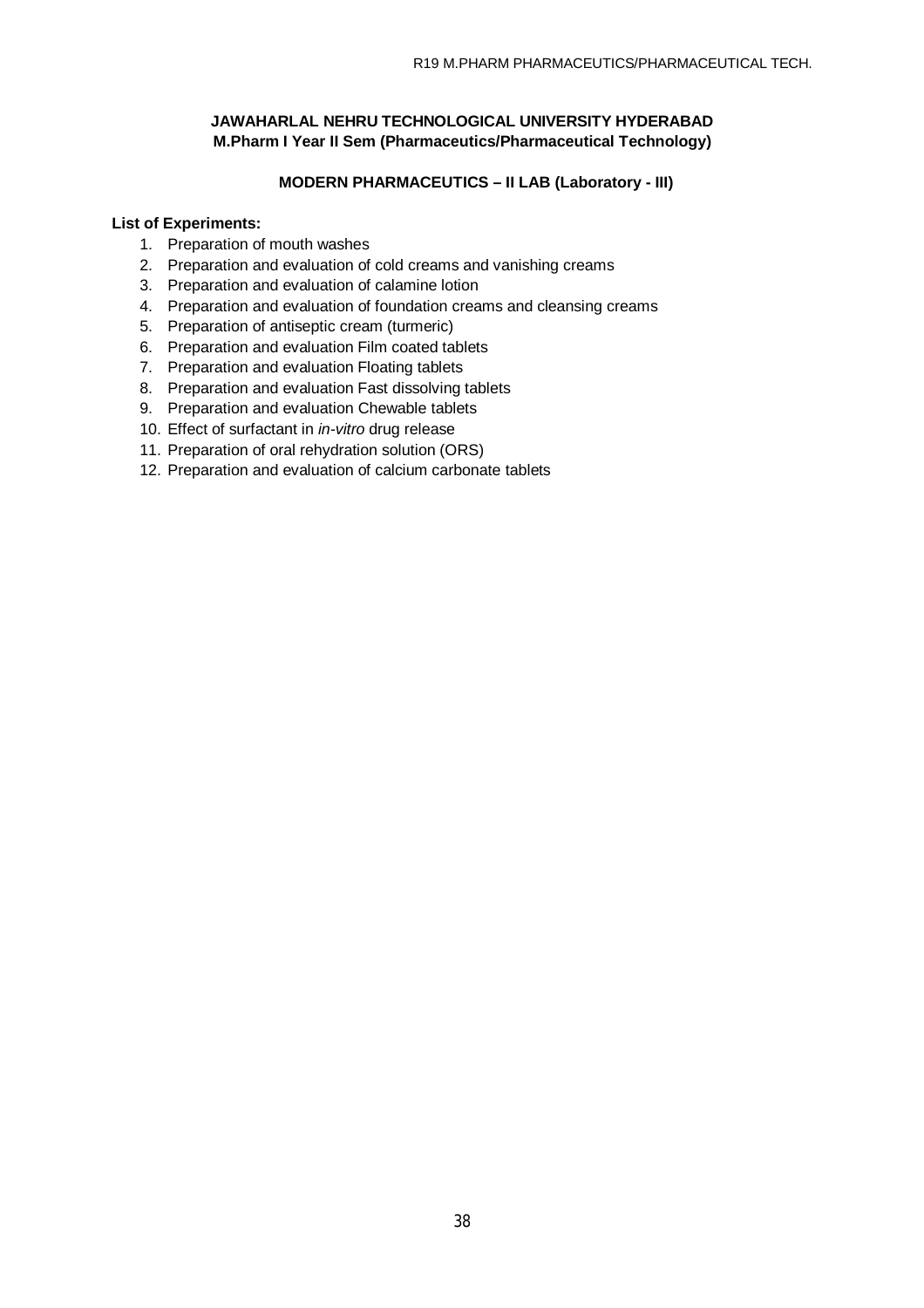## **MODERN PHARMACEUTICS – II LAB (Laboratory - III)**

## **List of Experiments:**

- 1. Preparation of mouth washes
- 2. Preparation and evaluation of cold creams and vanishing creams
- 3. Preparation and evaluation of calamine lotion
- 4. Preparation and evaluation of foundation creams and cleansing creams
- 5. Preparation of antiseptic cream (turmeric)
- 6. Preparation and evaluation Film coated tablets
- 7. Preparation and evaluation Floating tablets
- 8. Preparation and evaluation Fast dissolving tablets
- 9. Preparation and evaluation Chewable tablets
- 10. Effect of surfactant in *in-vitro* drug release
- 11. Preparation of oral rehydration solution (ORS)
- 12. Preparation and evaluation of calcium carbonate tablets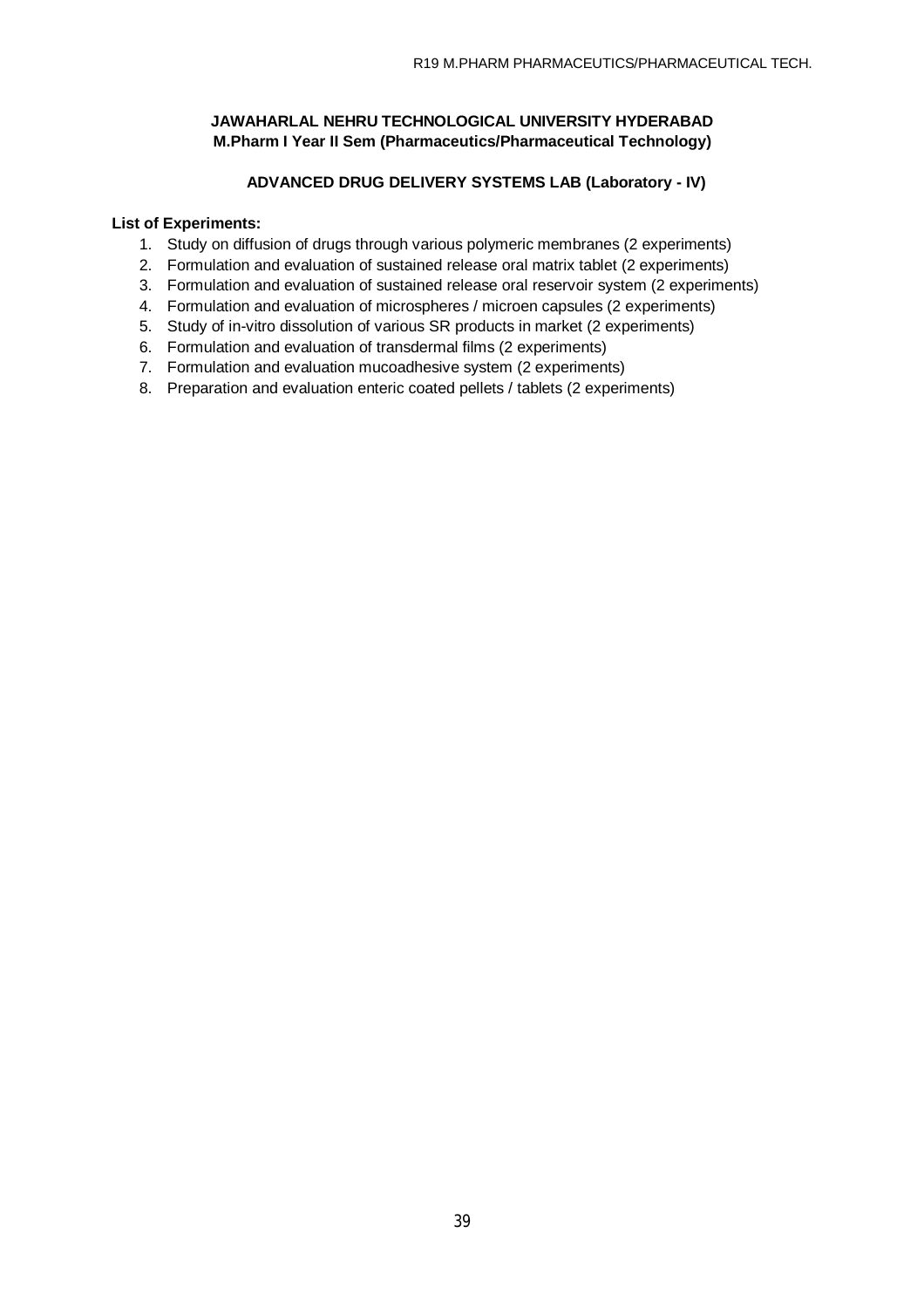## **ADVANCED DRUG DELIVERY SYSTEMS LAB (Laboratory - IV)**

### **List of Experiments:**

- 1. Study on diffusion of drugs through various polymeric membranes (2 experiments)
- 2. Formulation and evaluation of sustained release oral matrix tablet (2 experiments)
- 3. Formulation and evaluation of sustained release oral reservoir system (2 experiments)
- 4. Formulation and evaluation of microspheres / microen capsules (2 experiments)
- 5. Study of in-vitro dissolution of various SR products in market (2 experiments)
- 6. Formulation and evaluation of transdermal films (2 experiments)
- 7. Formulation and evaluation mucoadhesive system (2 experiments)
- 8. Preparation and evaluation enteric coated pellets / tablets (2 experiments)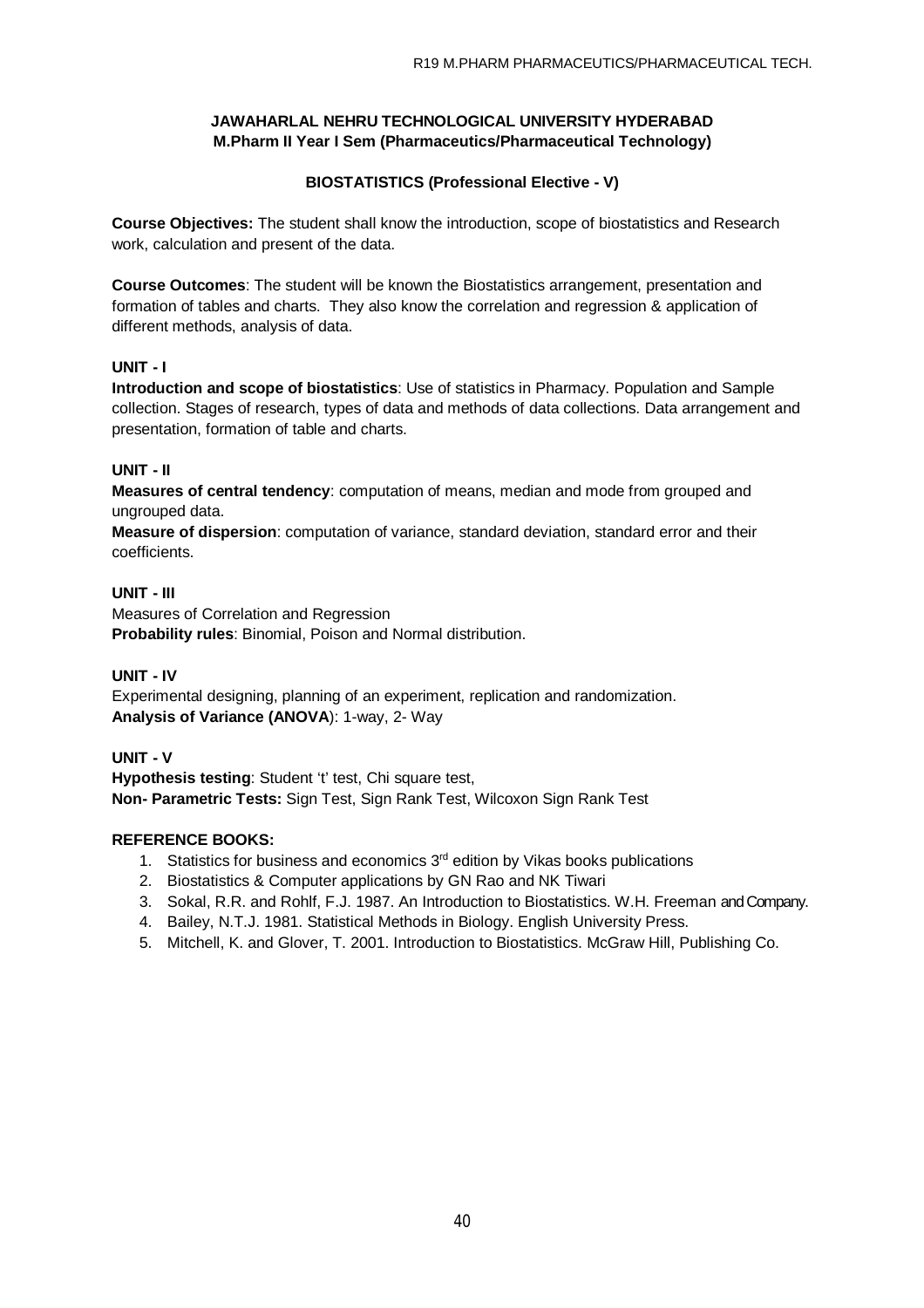## **BIOSTATISTICS (Professional Elective - V)**

**Course Objectives:** The student shall know the introduction, scope of biostatistics and Research work, calculation and present of the data.

**Course Outcomes**: The student will be known the Biostatistics arrangement, presentation and formation of tables and charts. They also know the correlation and regression & application of different methods, analysis of data.

## **UNIT - I**

**Introduction and scope of biostatistics**: Use of statistics in Pharmacy. Population and Sample collection. Stages of research, types of data and methods of data collections. Data arrangement and presentation, formation of table and charts.

## **UNIT - II**

**Measures of central tendency**: computation of means, median and mode from grouped and ungrouped data.

**Measure of dispersion**: computation of variance, standard deviation, standard error and their coefficients.

### **UNIT - III**

Measures of Correlation and Regression **Probability rules**: Binomial, Poison and Normal distribution.

## **UNIT - IV**

Experimental designing, planning of an experiment, replication and randomization. **Analysis of Variance (ANOVA**): 1-way, 2- Way

## **UNIT - V**

**Hypothesis testing**: Student 't' test, Chi square test, **Non- Parametric Tests:** Sign Test, Sign Rank Test, Wilcoxon Sign Rank Test

### **REFERENCE BOOKS:**

- 1. Statistics for business and economics  $3<sup>rd</sup>$  edition by Vikas books publications
- 2. Biostatistics & Computer applications by GN Rao and NK Tiwari
- 3. Sokal, R.R. and Rohlf, F.J. 1987. An Introduction to Biostatistics. W.H. Freeman and Company.
- 4. Bailey, N.T.J. 1981. Statistical Methods in Biology. English University Press.
- 5. Mitchell, K. and Glover, T. 2001. Introduction to Biostatistics. McGraw Hill, Publishing Co.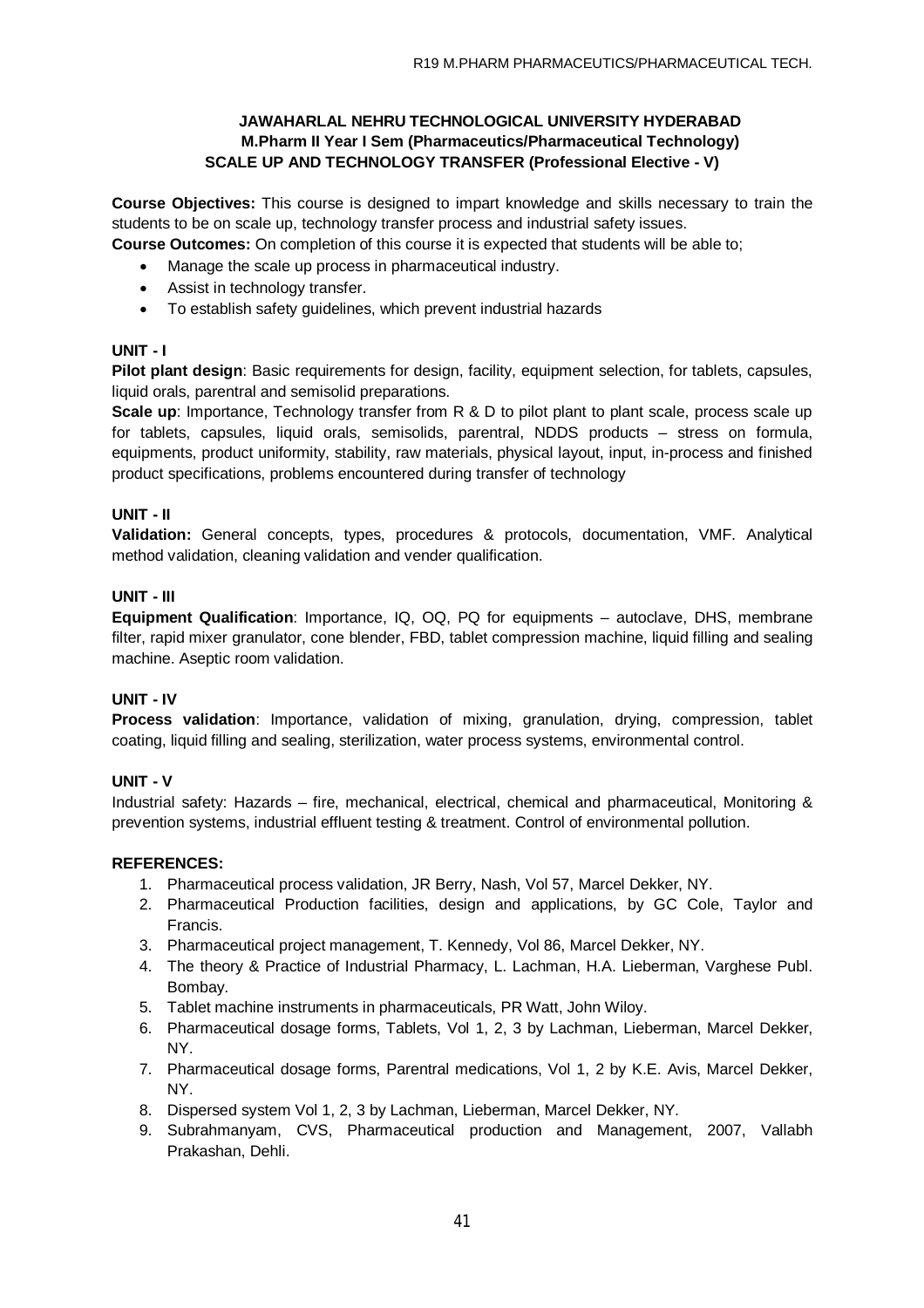### **JAWAHARLAL NEHRU TECHNOLOGICAL UNIVERSITY HYDERABAD M.Pharm II Year I Sem (Pharmaceutics/Pharmaceutical Technology) SCALE UP AND TECHNOLOGY TRANSFER (Professional Elective - V)**

**Course Objectives:** This course is designed to impart knowledge and skills necessary to train the students to be on scale up, technology transfer process and industrial safety issues.

- **Course Outcomes:** On completion of this course it is expected that students will be able to;
	- Manage the scale up process in pharmaceutical industry.
	- Assist in technology transfer.
	- To establish safety guidelines, which prevent industrial hazards

## **UNIT - I**

**Pilot plant design**: Basic requirements for design, facility, equipment selection, for tablets, capsules, liquid orals, parentral and semisolid preparations.

**Scale up:** Importance, Technology transfer from R & D to pilot plant to plant scale, process scale up for tablets, capsules, liquid orals, semisolids, parentral, NDDS products – stress on formula, equipments, product uniformity, stability, raw materials, physical layout, input, in-process and finished product specifications, problems encountered during transfer of technology

### **UNIT - II**

**Validation:** General concepts, types, procedures & protocols, documentation, VMF. Analytical method validation, cleaning validation and vender qualification.

### **UNIT - III**

**Equipment Qualification**: Importance, IQ, OQ, PQ for equipments – autoclave, DHS, membrane filter, rapid mixer granulator, cone blender, FBD, tablet compression machine, liquid filling and sealing machine. Aseptic room validation.

### **UNIT - IV**

**Process validation**: Importance, validation of mixing, granulation, drying, compression, tablet coating, liquid filling and sealing, sterilization, water process systems, environmental control.

### **UNIT - V**

Industrial safety: Hazards – fire, mechanical, electrical, chemical and pharmaceutical, Monitoring & prevention systems, industrial effluent testing & treatment. Control of environmental pollution.

### **REFERENCES:**

- 1. Pharmaceutical process validation, JR Berry, Nash, Vol 57, Marcel Dekker, NY.
- 2. Pharmaceutical Production facilities, design and applications, by GC Cole, Taylor and Francis.
- 3. Pharmaceutical project management, T. Kennedy, Vol 86, Marcel Dekker, NY.
- 4. The theory & Practice of Industrial Pharmacy, L. Lachman, H.A. Lieberman, Varghese Publ. Bombay.
- 5. Tablet machine instruments in pharmaceuticals, PR Watt, John Wiloy.
- 6. Pharmaceutical dosage forms, Tablets, Vol 1, 2, 3 by Lachman, Lieberman, Marcel Dekker, NY.
- 7. Pharmaceutical dosage forms, Parentral medications, Vol 1, 2 by K.E. Avis, Marcel Dekker, NY.
- 8. Dispersed system Vol 1, 2, 3 by Lachman, Lieberman, Marcel Dekker, NY.
- 9. Subrahmanyam, CVS, Pharmaceutical production and Management, 2007, Vallabh Prakashan, Dehli.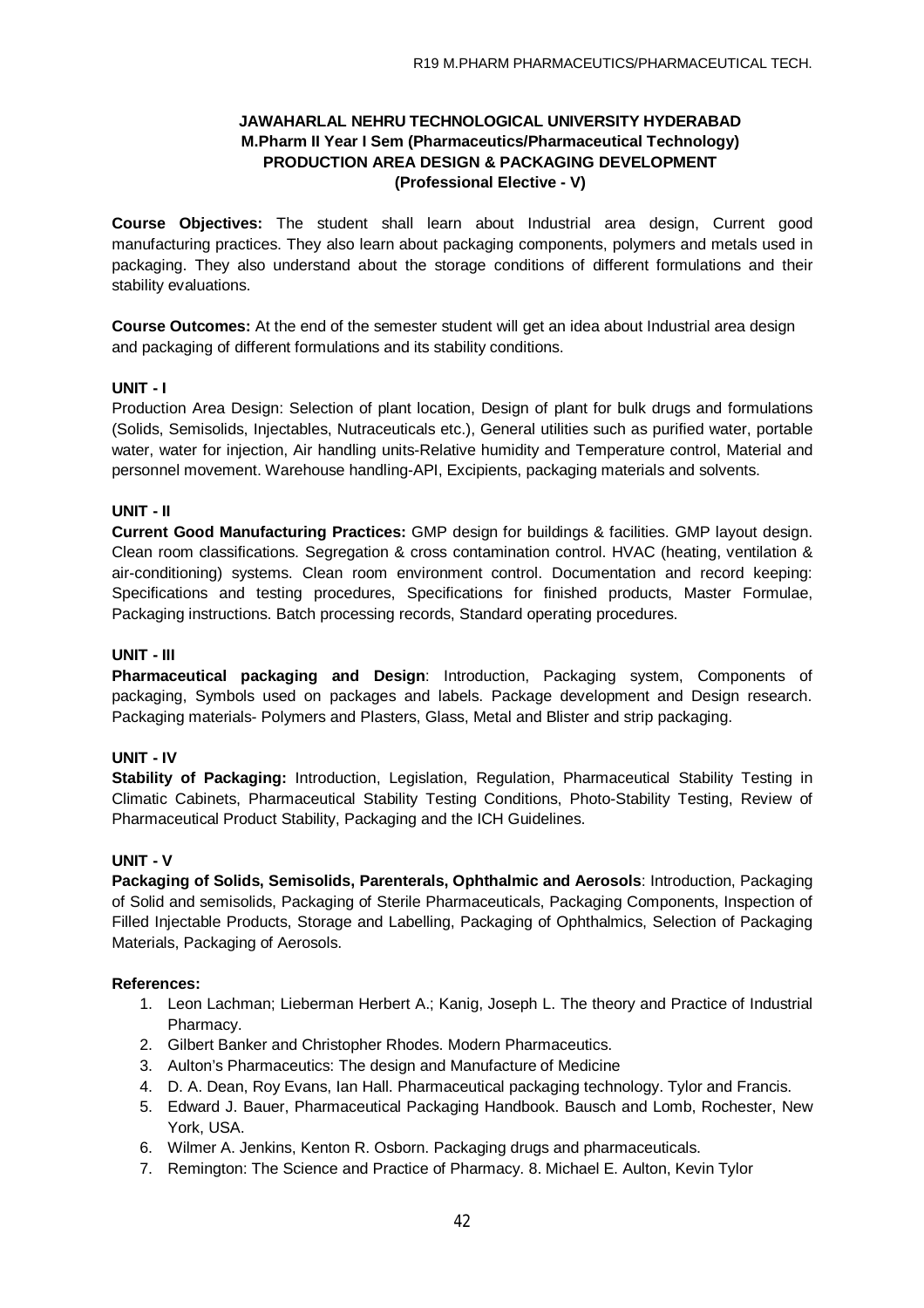## **JAWAHARLAL NEHRU TECHNOLOGICAL UNIVERSITY HYDERABAD M.Pharm II Year I Sem (Pharmaceutics/Pharmaceutical Technology) PRODUCTION AREA DESIGN & PACKAGING DEVELOPMENT (Professional Elective - V)**

**Course Objectives:** The student shall learn about Industrial area design, Current good manufacturing practices. They also learn about packaging components, polymers and metals used in packaging. They also understand about the storage conditions of different formulations and their stability evaluations.

**Course Outcomes:** At the end of the semester student will get an idea about Industrial area design and packaging of different formulations and its stability conditions.

### **UNIT - I**

Production Area Design: Selection of plant location, Design of plant for bulk drugs and formulations (Solids, Semisolids, Injectables, Nutraceuticals etc.), General utilities such as purified water, portable water, water for injection, Air handling units-Relative humidity and Temperature control, Material and personnel movement. Warehouse handling-API, Excipients, packaging materials and solvents.

### **UNIT - II**

**Current Good Manufacturing Practices:** GMP design for buildings & facilities. GMP layout design. Clean room classifications. Segregation & cross contamination control. HVAC (heating, ventilation & air-conditioning) systems. Clean room environment control. Documentation and record keeping: Specifications and testing procedures, Specifications for finished products, Master Formulae, Packaging instructions. Batch processing records, Standard operating procedures.

### **UNIT - III**

**Pharmaceutical packaging and Design**: Introduction, Packaging system, Components of packaging, Symbols used on packages and labels. Package development and Design research. Packaging materials- Polymers and Plasters, Glass, Metal and Blister and strip packaging.

### **UNIT - IV**

**Stability of Packaging:** Introduction, Legislation, Regulation, Pharmaceutical Stability Testing in Climatic Cabinets, Pharmaceutical Stability Testing Conditions, Photo-Stability Testing, Review of Pharmaceutical Product Stability, Packaging and the ICH Guidelines.

### **UNIT - V**

**Packaging of Solids, Semisolids, Parenterals, Ophthalmic and Aerosols**: Introduction, Packaging of Solid and semisolids, Packaging of Sterile Pharmaceuticals, Packaging Components, Inspection of Filled Injectable Products, Storage and Labelling, Packaging of Ophthalmics, Selection of Packaging Materials, Packaging of Aerosols.

### **References:**

- 1. Leon Lachman; Lieberman Herbert A.; Kanig, Joseph L. The theory and Practice of Industrial Pharmacy.
- 2. Gilbert Banker and Christopher Rhodes. Modern Pharmaceutics.
- 3. Aulton's Pharmaceutics: The design and Manufacture of Medicine
- 4. D. A. Dean, Roy Evans, Ian Hall. Pharmaceutical packaging technology. Tylor and Francis.
- 5. Edward J. Bauer, Pharmaceutical Packaging Handbook. Bausch and Lomb, Rochester, New York, USA.
- 6. Wilmer A. Jenkins, Kenton R. Osborn. Packaging drugs and pharmaceuticals.
- 7. Remington: The Science and Practice of Pharmacy. 8. Michael E. Aulton, Kevin Tylor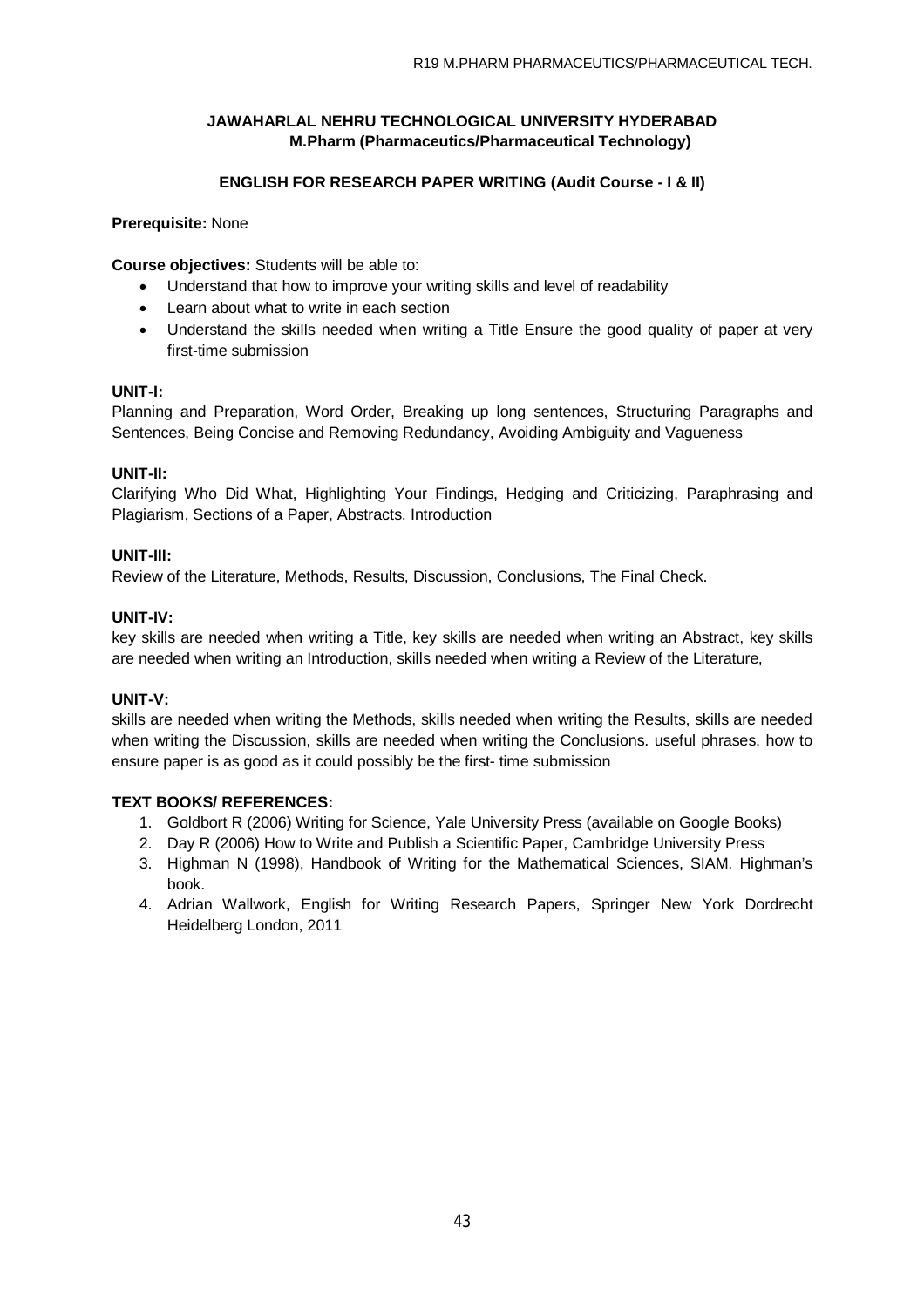## **ENGLISH FOR RESEARCH PAPER WRITING (Audit Course - I & II)**

## **Prerequisite:** None

**Course objectives:** Students will be able to:

- Understand that how to improve your writing skills and level of readability
- Learn about what to write in each section
- Understand the skills needed when writing a Title Ensure the good quality of paper at very first-time submission

### **UNIT-I:**

Planning and Preparation, Word Order, Breaking up long sentences, Structuring Paragraphs and Sentences, Being Concise and Removing Redundancy, Avoiding Ambiguity and Vagueness

## **UNIT-II:**

Clarifying Who Did What, Highlighting Your Findings, Hedging and Criticizing, Paraphrasing and Plagiarism, Sections of a Paper, Abstracts. Introduction

### **UNIT-III:**

Review of the Literature, Methods, Results, Discussion, Conclusions, The Final Check.

### **UNIT-IV:**

key skills are needed when writing a Title, key skills are needed when writing an Abstract, key skills are needed when writing an Introduction, skills needed when writing a Review of the Literature,

## **UNIT-V:**

skills are needed when writing the Methods, skills needed when writing the Results, skills are needed when writing the Discussion, skills are needed when writing the Conclusions. useful phrases, how to ensure paper is as good as it could possibly be the first- time submission

- 1. Goldbort R (2006) Writing for Science, Yale University Press (available on Google Books)
- 2. Day R (2006) How to Write and Publish a Scientific Paper, Cambridge University Press
- 3. Highman N (1998), Handbook of Writing for the Mathematical Sciences, SIAM. Highman's book.
- 4. Adrian Wallwork, English for Writing Research Papers, Springer New York Dordrecht Heidelberg London, 2011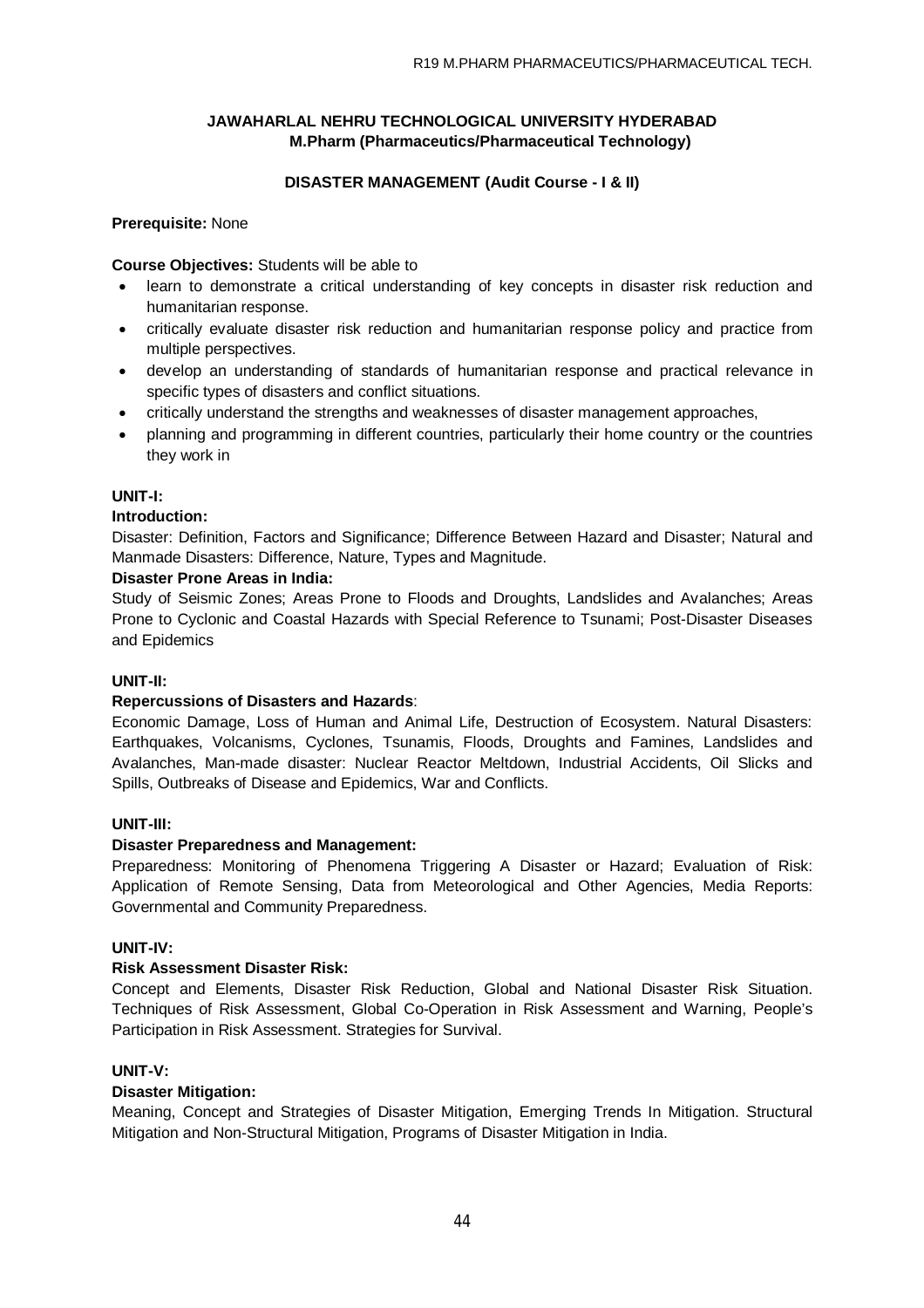## **DISASTER MANAGEMENT (Audit Course - I & II)**

### **Prerequisite:** None

**Course Objectives:** Students will be able to

- learn to demonstrate a critical understanding of key concepts in disaster risk reduction and humanitarian response.
- critically evaluate disaster risk reduction and humanitarian response policy and practice from multiple perspectives.
- develop an understanding of standards of humanitarian response and practical relevance in specific types of disasters and conflict situations.
- critically understand the strengths and weaknesses of disaster management approaches,
- planning and programming in different countries, particularly their home country or the countries they work in

### **UNIT-I:**

#### **Introduction:**

Disaster: Definition, Factors and Significance; Difference Between Hazard and Disaster; Natural and Manmade Disasters: Difference, Nature, Types and Magnitude.

### **Disaster Prone Areas in India:**

Study of Seismic Zones; Areas Prone to Floods and Droughts, Landslides and Avalanches; Areas Prone to Cyclonic and Coastal Hazards with Special Reference to Tsunami; Post-Disaster Diseases and Epidemics

### **UNIT-II:**

### **Repercussions of Disasters and Hazards**:

Economic Damage, Loss of Human and Animal Life, Destruction of Ecosystem. Natural Disasters: Earthquakes, Volcanisms, Cyclones, Tsunamis, Floods, Droughts and Famines, Landslides and Avalanches, Man-made disaster: Nuclear Reactor Meltdown, Industrial Accidents, Oil Slicks and Spills, Outbreaks of Disease and Epidemics, War and Conflicts.

### **UNIT-III:**

### **Disaster Preparedness and Management:**

Preparedness: Monitoring of Phenomena Triggering A Disaster or Hazard; Evaluation of Risk: Application of Remote Sensing, Data from Meteorological and Other Agencies, Media Reports: Governmental and Community Preparedness.

### **UNIT-IV:**

### **Risk Assessment Disaster Risk:**

Concept and Elements, Disaster Risk Reduction, Global and National Disaster Risk Situation. Techniques of Risk Assessment, Global Co-Operation in Risk Assessment and Warning, People's Participation in Risk Assessment. Strategies for Survival.

#### **UNIT-V:**

#### **Disaster Mitigation:**

Meaning, Concept and Strategies of Disaster Mitigation, Emerging Trends In Mitigation. Structural Mitigation and Non-Structural Mitigation, Programs of Disaster Mitigation in India.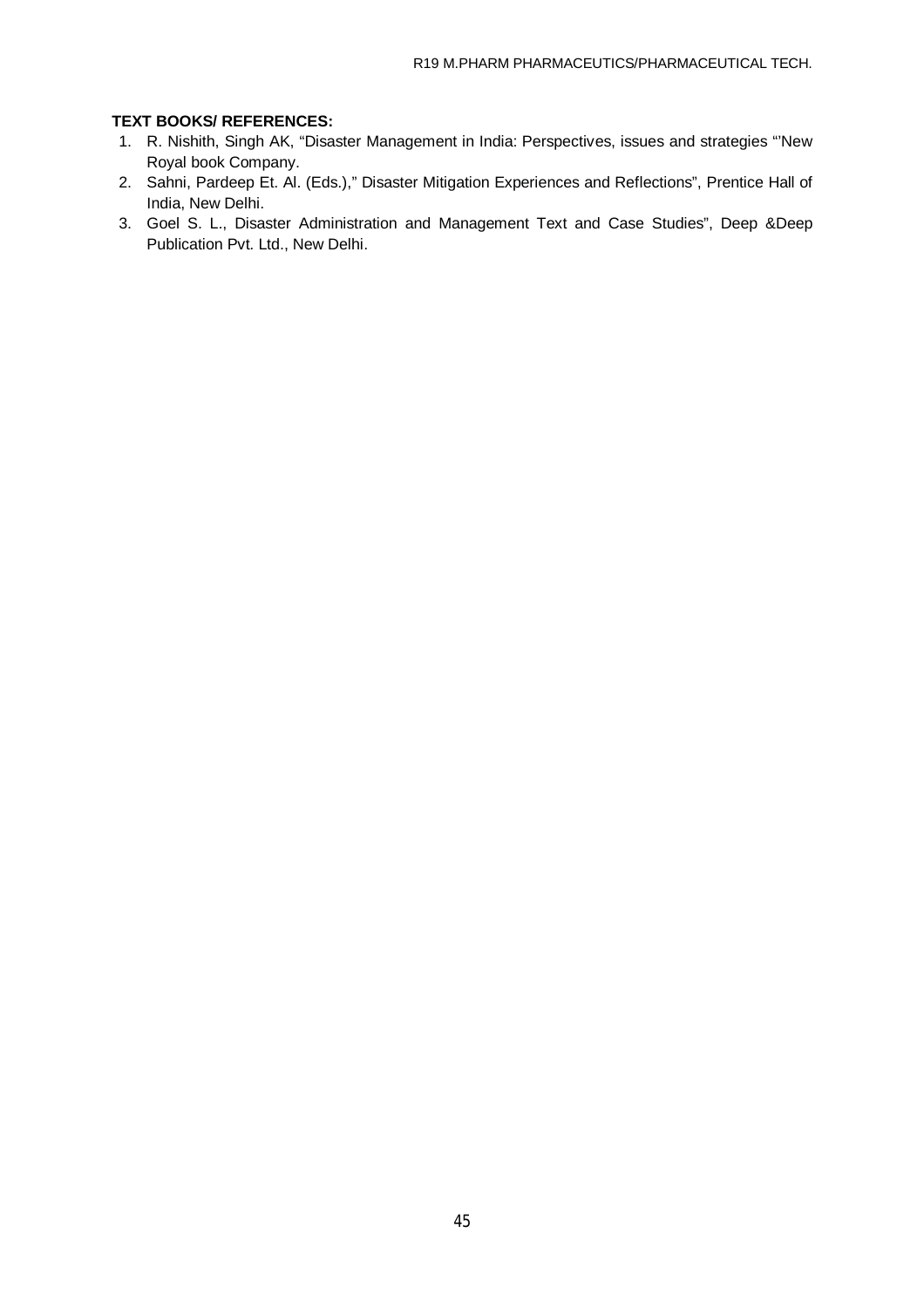- 1. R. Nishith, Singh AK, "Disaster Management in India: Perspectives, issues and strategies "'New Royal book Company.
- 2. Sahni, Pardeep Et. Al. (Eds.)," Disaster Mitigation Experiences and Reflections", Prentice Hall of India, New Delhi.
- 3. Goel S. L., Disaster Administration and Management Text and Case Studies", Deep &Deep Publication Pvt. Ltd., New Delhi.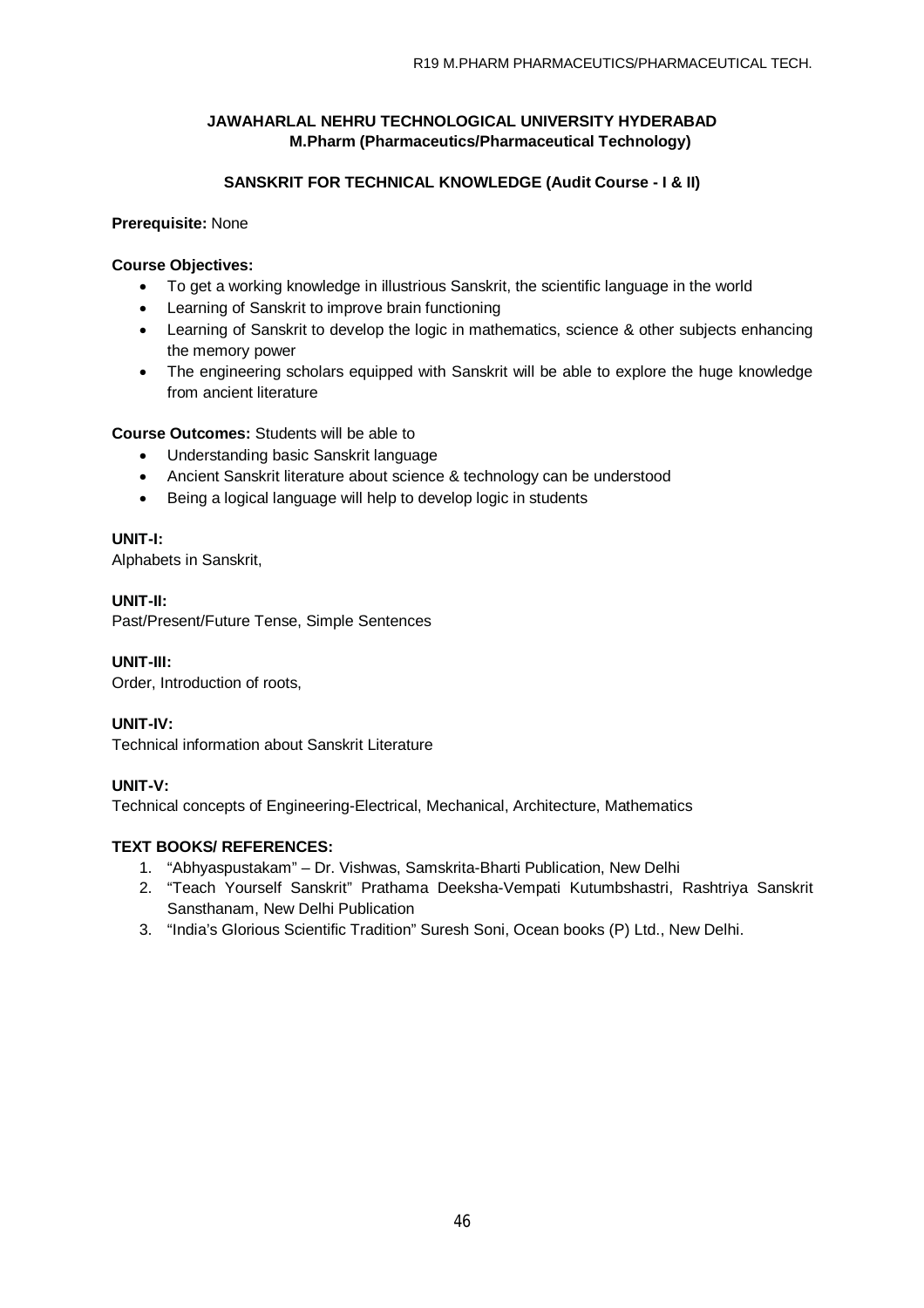## **SANSKRIT FOR TECHNICAL KNOWLEDGE (Audit Course - I & II)**

## **Prerequisite:** None

### **Course Objectives:**

- To get a working knowledge in illustrious Sanskrit, the scientific language in the world
- Learning of Sanskrit to improve brain functioning
- Learning of Sanskrit to develop the logic in mathematics, science & other subjects enhancing the memory power
- The engineering scholars equipped with Sanskrit will be able to explore the huge knowledge from ancient literature

## **Course Outcomes:** Students will be able to

- Understanding basic Sanskrit language
- Ancient Sanskrit literature about science & technology can be understood
- Being a logical language will help to develop logic in students

## **UNIT-I:**

Alphabets in Sanskrit,

## **UNIT-II:**

Past/Present/Future Tense, Simple Sentences

## **UNIT-III:**

Order, Introduction of roots,

## **UNIT-IV:**

Technical information about Sanskrit Literature

## **UNIT-V:**

Technical concepts of Engineering-Electrical, Mechanical, Architecture, Mathematics

- 1. "Abhyaspustakam" Dr. Vishwas, Samskrita-Bharti Publication, New Delhi
- 2. "Teach Yourself Sanskrit" Prathama Deeksha-Vempati Kutumbshastri, Rashtriya Sanskrit Sansthanam, New Delhi Publication
- 3. "India's Glorious Scientific Tradition" Suresh Soni, Ocean books (P) Ltd., New Delhi.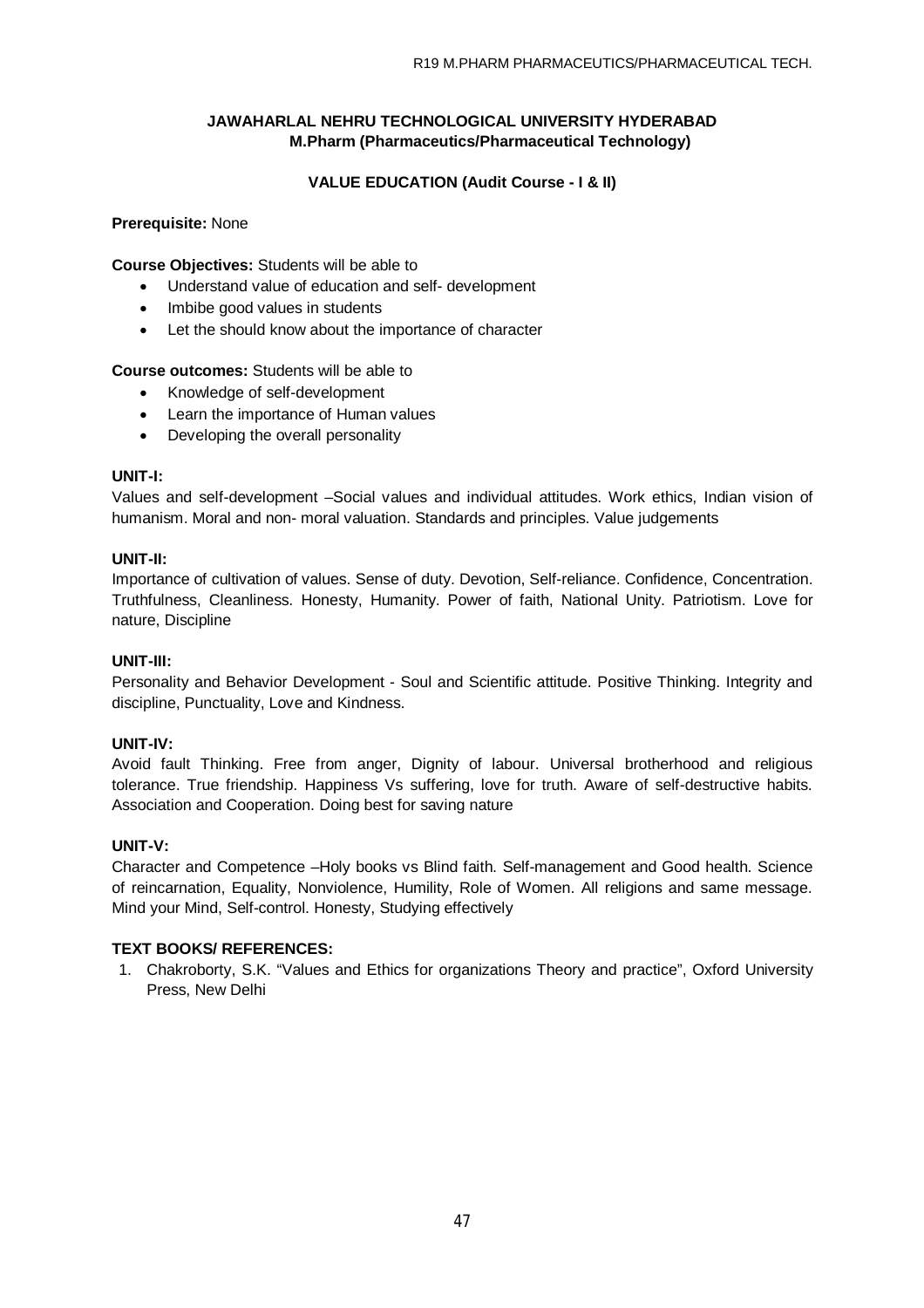## **VALUE EDUCATION (Audit Course - I & II)**

### **Prerequisite:** None

**Course Objectives:** Students will be able to

- Understand value of education and self- development
- Imbibe good values in students
- Let the should know about the importance of character

### **Course outcomes:** Students will be able to

- Knowledge of self-development
- Learn the importance of Human values
- Developing the overall personality

### **UNIT-I:**

Values and self-development –Social values and individual attitudes. Work ethics, Indian vision of humanism. Moral and non- moral valuation. Standards and principles. Value judgements

### **UNIT-II:**

Importance of cultivation of values. Sense of duty. Devotion, Self-reliance. Confidence, Concentration. Truthfulness, Cleanliness. Honesty, Humanity. Power of faith, National Unity. Patriotism. Love for nature, Discipline

### **UNIT-III:**

Personality and Behavior Development - Soul and Scientific attitude. Positive Thinking. Integrity and discipline, Punctuality, Love and Kindness.

### **UNIT-IV:**

Avoid fault Thinking. Free from anger, Dignity of labour. Universal brotherhood and religious tolerance. True friendship. Happiness Vs suffering, love for truth. Aware of self-destructive habits. Association and Cooperation. Doing best for saving nature

### **UNIT-V:**

Character and Competence –Holy books vs Blind faith. Self-management and Good health. Science of reincarnation, Equality, Nonviolence, Humility, Role of Women. All religions and same message. Mind your Mind, Self-control. Honesty, Studying effectively

### **TEXT BOOKS/ REFERENCES:**

1. Chakroborty, S.K. "Values and Ethics for organizations Theory and practice", Oxford University Press, New Delhi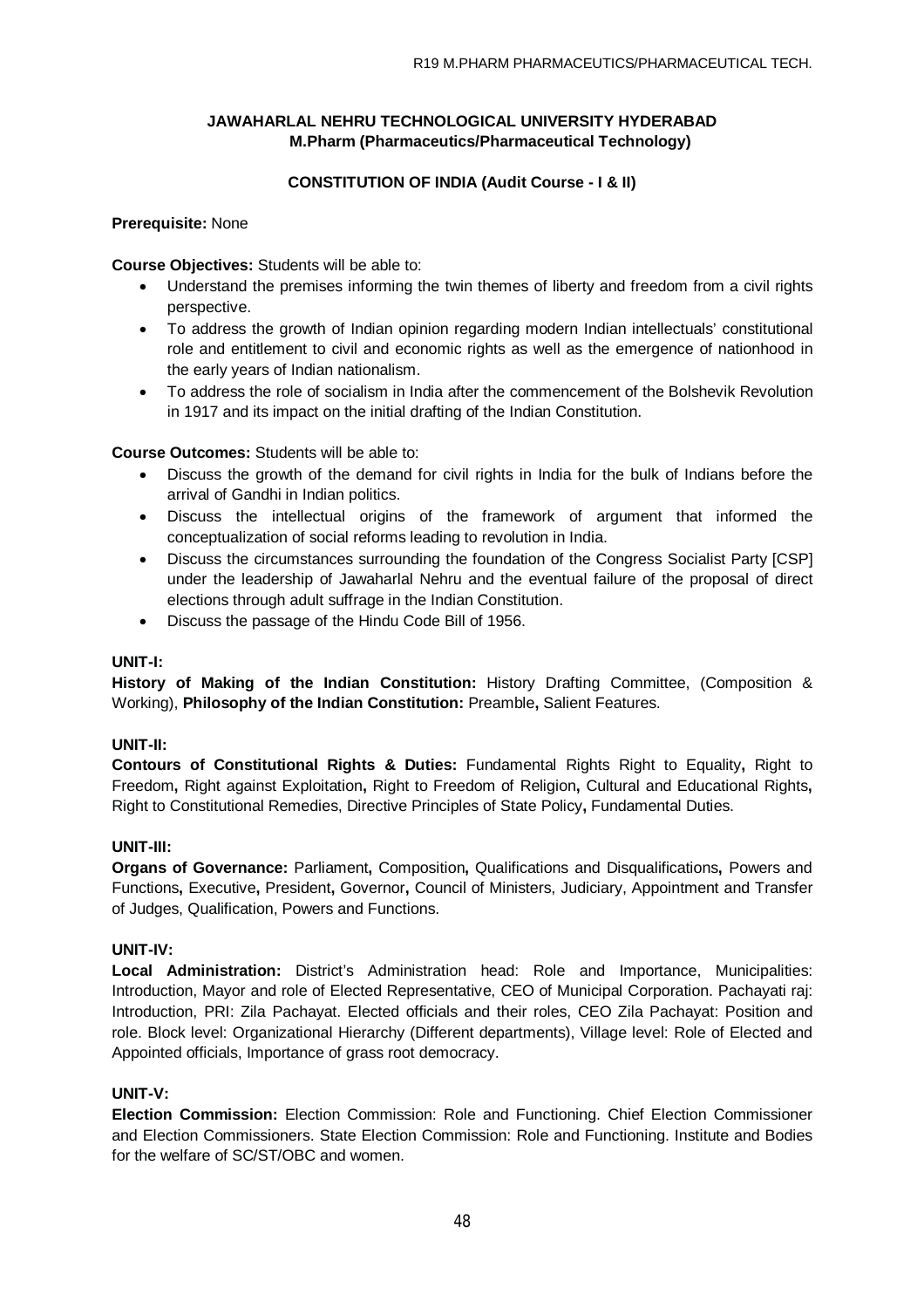## **CONSTITUTION OF INDIA (Audit Course - I & II)**

### **Prerequisite:** None

**Course Objectives:** Students will be able to:

- Understand the premises informing the twin themes of liberty and freedom from a civil rights perspective.
- To address the growth of Indian opinion regarding modern Indian intellectuals' constitutional role and entitlement to civil and economic rights as well as the emergence of nationhood in the early years of Indian nationalism.
- To address the role of socialism in India after the commencement of the Bolshevik Revolution in 1917 and its impact on the initial drafting of the Indian Constitution.

**Course Outcomes:** Students will be able to:

- Discuss the growth of the demand for civil rights in India for the bulk of Indians before the arrival of Gandhi in Indian politics.
- Discuss the intellectual origins of the framework of argument that informed the conceptualization of social reforms leading to revolution in India.
- Discuss the circumstances surrounding the foundation of the Congress Socialist Party [CSP] under the leadership of Jawaharlal Nehru and the eventual failure of the proposal of direct elections through adult suffrage in the Indian Constitution.
- Discuss the passage of the Hindu Code Bill of 1956.

## **UNIT-I:**

**History of Making of the Indian Constitution:** History Drafting Committee, (Composition & Working), **Philosophy of the Indian Constitution:** Preamble**,** Salient Features.

## **UNIT-II:**

**Contours of Constitutional Rights & Duties:** Fundamental Rights Right to Equality**,** Right to Freedom**,** Right against Exploitation**,** Right to Freedom of Religion**,** Cultural and Educational Rights**,**  Right to Constitutional Remedies, Directive Principles of State Policy**,** Fundamental Duties.

## **UNIT-III:**

**Organs of Governance:** Parliament**,** Composition**,** Qualifications and Disqualifications**,** Powers and Functions**,** Executive**,** President**,** Governor**,** Council of Ministers, Judiciary, Appointment and Transfer of Judges, Qualification, Powers and Functions.

### **UNIT-IV:**

**Local Administration:** District's Administration head: Role and Importance, Municipalities: Introduction, Mayor and role of Elected Representative, CEO of Municipal Corporation. Pachayati raj: Introduction, PRI: Zila Pachayat. Elected officials and their roles, CEO Zila Pachayat: Position and role. Block level: Organizational Hierarchy (Different departments), Village level: Role of Elected and Appointed officials, Importance of grass root democracy.

## **UNIT-V:**

**Election Commission:** Election Commission: Role and Functioning. Chief Election Commissioner and Election Commissioners. State Election Commission: Role and Functioning. Institute and Bodies for the welfare of SC/ST/OBC and women.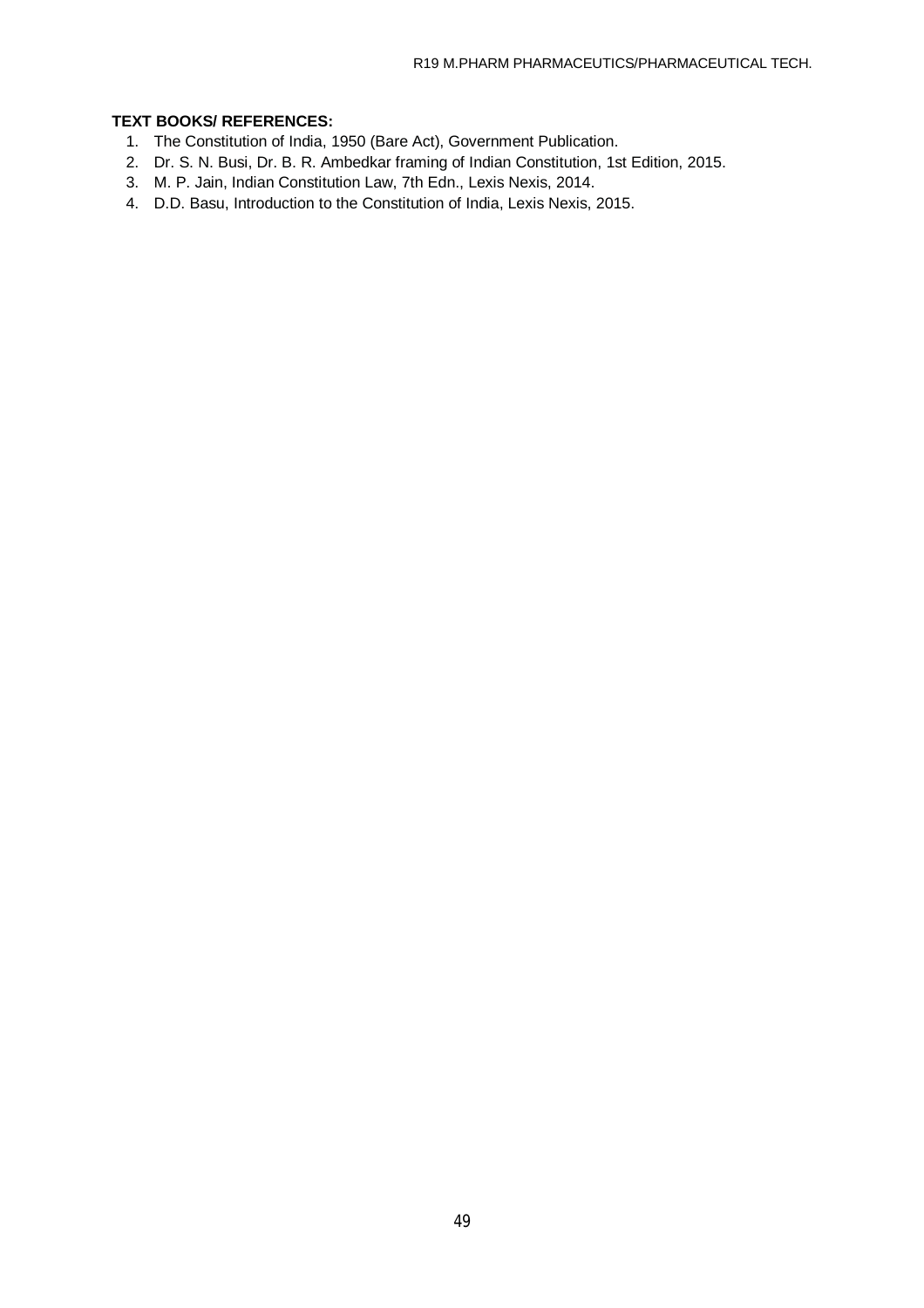- 1. The Constitution of India, 1950 (Bare Act), Government Publication.
- 2. Dr. S. N. Busi, Dr. B. R. Ambedkar framing of Indian Constitution, 1st Edition, 2015.
- 3. M. P. Jain, Indian Constitution Law, 7th Edn., Lexis Nexis, 2014.
- 4. D.D. Basu, Introduction to the Constitution of India, Lexis Nexis, 2015.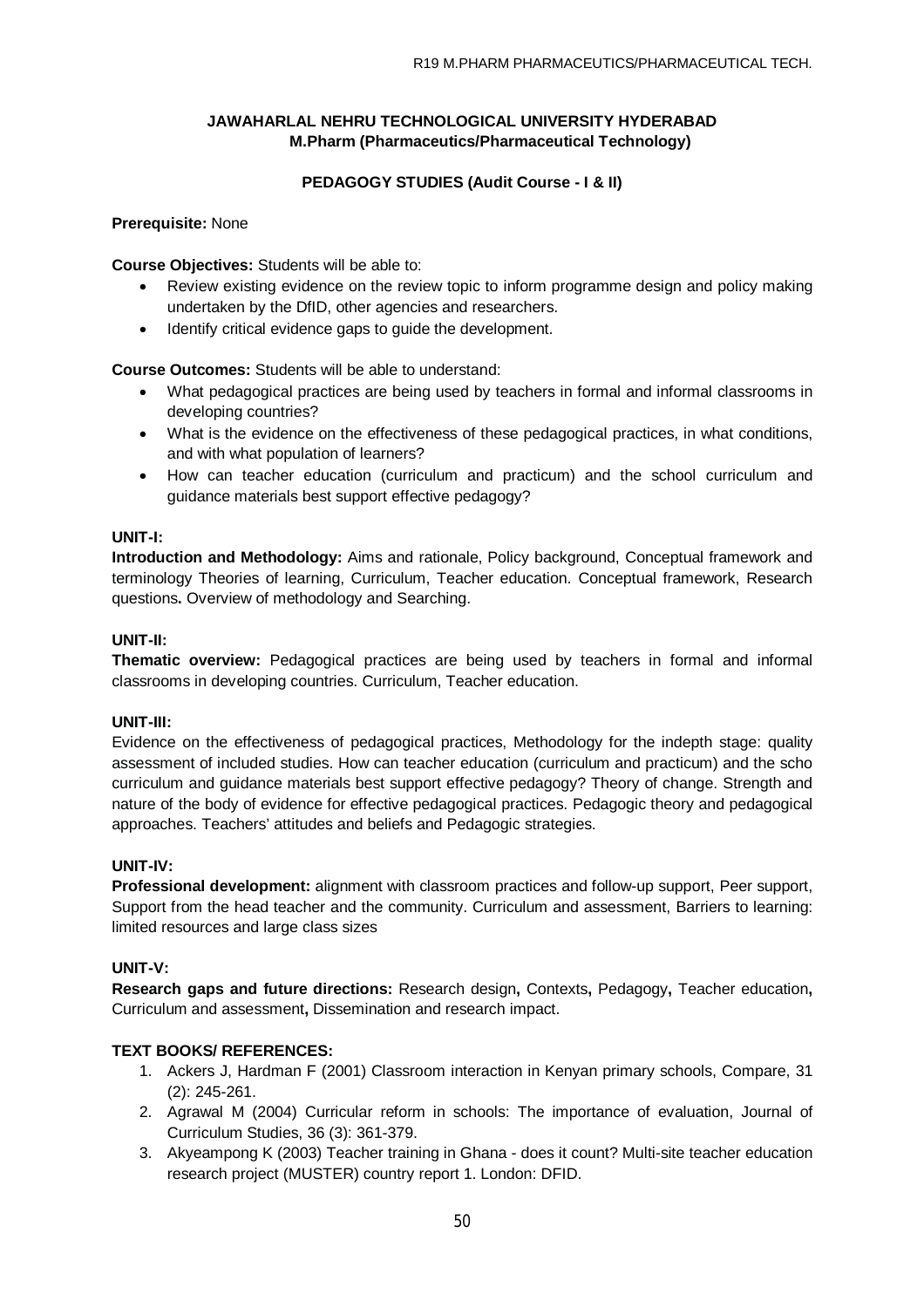## **PEDAGOGY STUDIES (Audit Course - I & II)**

### **Prerequisite:** None

**Course Objectives:** Students will be able to:

- Review existing evidence on the review topic to inform programme design and policy making undertaken by the DfID, other agencies and researchers.
- Identify critical evidence gaps to guide the development.

**Course Outcomes:** Students will be able to understand:

- What pedagogical practices are being used by teachers in formal and informal classrooms in developing countries?
- What is the evidence on the effectiveness of these pedagogical practices, in what conditions, and with what population of learners?
- How can teacher education (curriculum and practicum) and the school curriculum and guidance materials best support effective pedagogy?

### **UNIT-I:**

**Introduction and Methodology:** Aims and rationale, Policy background, Conceptual framework and terminology Theories of learning, Curriculum, Teacher education. Conceptual framework, Research questions**.** Overview of methodology and Searching.

### **UNIT-II:**

**Thematic overview:** Pedagogical practices are being used by teachers in formal and informal classrooms in developing countries. Curriculum, Teacher education.

### **UNIT-III:**

Evidence on the effectiveness of pedagogical practices, Methodology for the indepth stage: quality assessment of included studies. How can teacher education (curriculum and practicum) and the scho curriculum and guidance materials best support effective pedagogy? Theory of change. Strength and nature of the body of evidence for effective pedagogical practices. Pedagogic theory and pedagogical approaches. Teachers' attitudes and beliefs and Pedagogic strategies.

### **UNIT-IV:**

**Professional development:** alignment with classroom practices and follow-up support, Peer support, Support from the head teacher and the community. Curriculum and assessment, Barriers to learning: limited resources and large class sizes

### **UNIT-V:**

**Research gaps and future directions:** Research design**,** Contexts**,** Pedagogy**,** Teacher education**,**  Curriculum and assessment**,** Dissemination and research impact.

- 1. Ackers J, Hardman F (2001) Classroom interaction in Kenyan primary schools, Compare, 31 (2): 245-261.
- 2. Agrawal M (2004) Curricular reform in schools: The importance of evaluation, Journal of Curriculum Studies, 36 (3): 361-379.
- 3. Akyeampong K (2003) Teacher training in Ghana does it count? Multi-site teacher education research project (MUSTER) country report 1. London: DFID.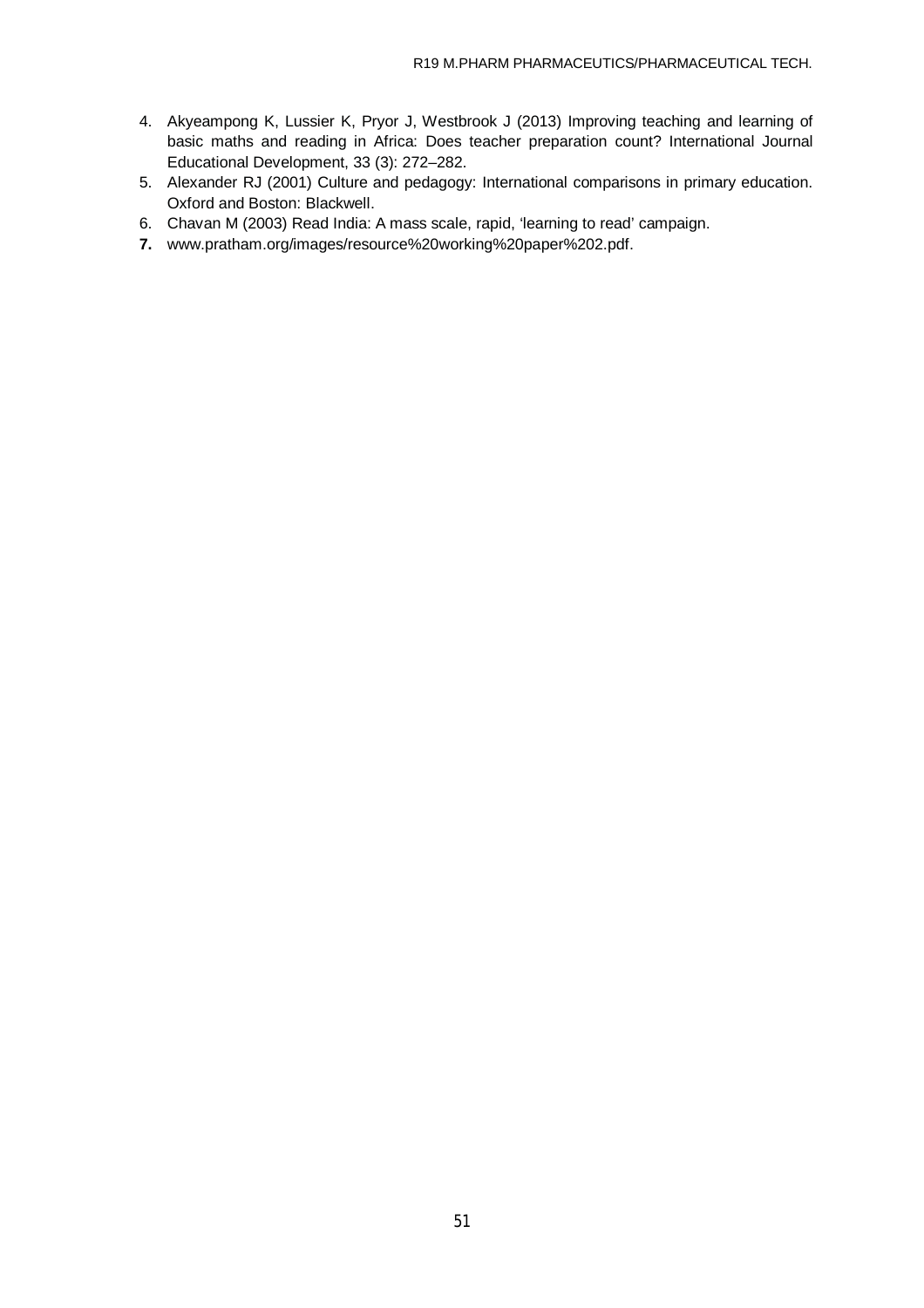- 4. Akyeampong K, Lussier K, Pryor J, Westbrook J (2013) Improving teaching and learning of basic maths and reading in Africa: Does teacher preparation count? International Journal Educational Development, 33 (3): 272–282.
- 5. Alexander RJ (2001) Culture and pedagogy: International comparisons in primary education. Oxford and Boston: Blackwell.
- 6. Chavan M (2003) Read India: A mass scale, rapid, 'learning to read' campaign.
- **7.** [www.pratham.org/images/resource%20working%20paper%202.pdf.](http://www.pratham.org/images/resource%20working%20paper%202.pdf.)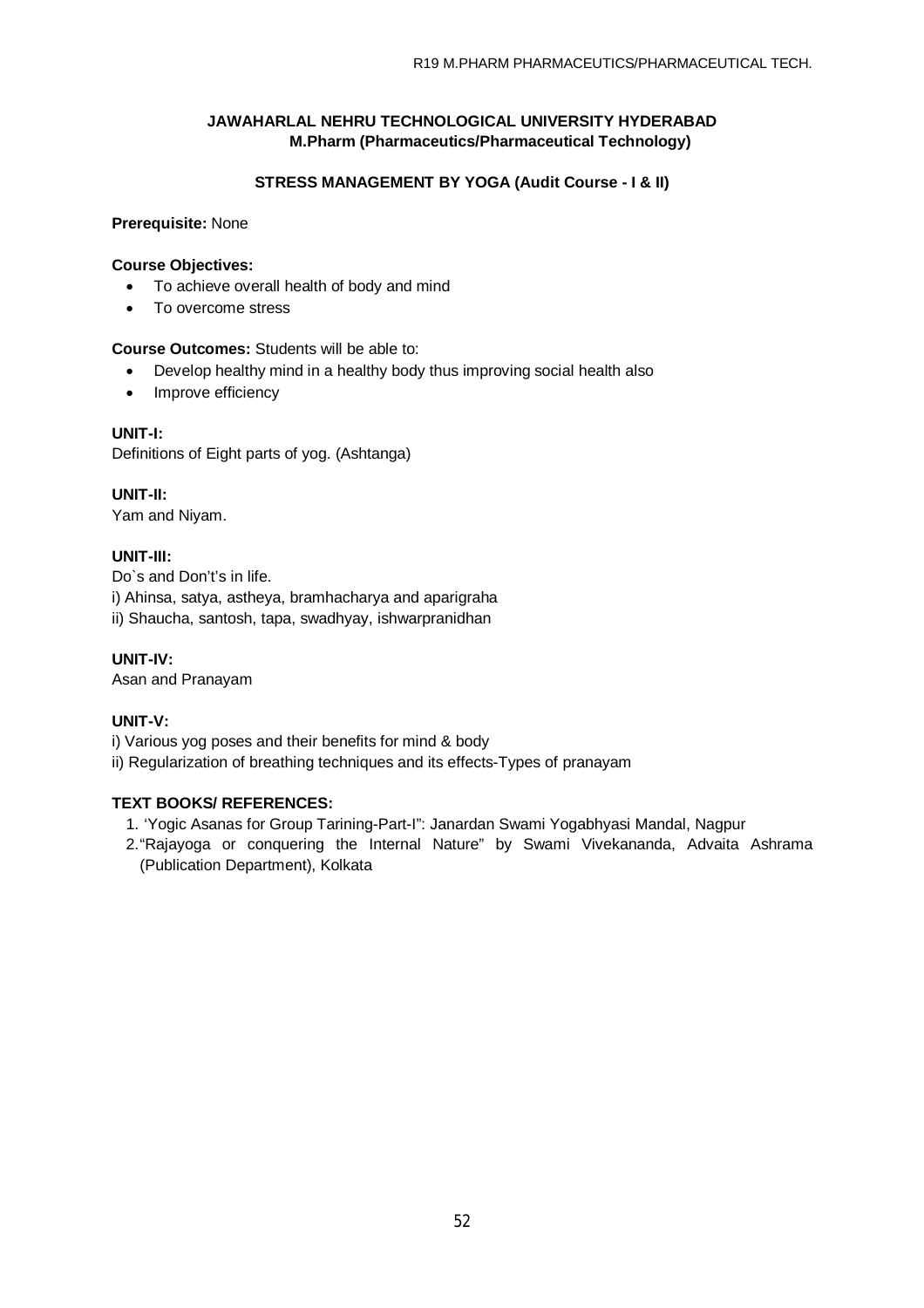## **STRESS MANAGEMENT BY YOGA (Audit Course - I & II)**

### **Prerequisite:** None

### **Course Objectives:**

- To achieve overall health of body and mind
- To overcome stress

## **Course Outcomes:** Students will be able to:

- Develop healthy mind in a healthy body thus improving social health also
- Improve efficiency

## **UNIT-I:**

Definitions of Eight parts of yog. (Ashtanga)

**UNIT-II:**  Yam and Niyam.

## **UNIT-III:**

Do`s and Don't's in life. i) Ahinsa, satya, astheya, bramhacharya and aparigraha ii) Shaucha, santosh, tapa, swadhyay, ishwarpranidhan

**UNIT-IV:** 

Asan and Pranayam

## **UNIT-V:**

i) Various yog poses and their benefits for mind & body

ii) Regularization of breathing techniques and its effects-Types of pranayam

- 1. 'Yogic Asanas for Group Tarining-Part-I": Janardan Swami Yogabhyasi Mandal, Nagpur
- 2."Rajayoga or conquering the Internal Nature" by Swami Vivekananda, Advaita Ashrama (Publication Department), Kolkata